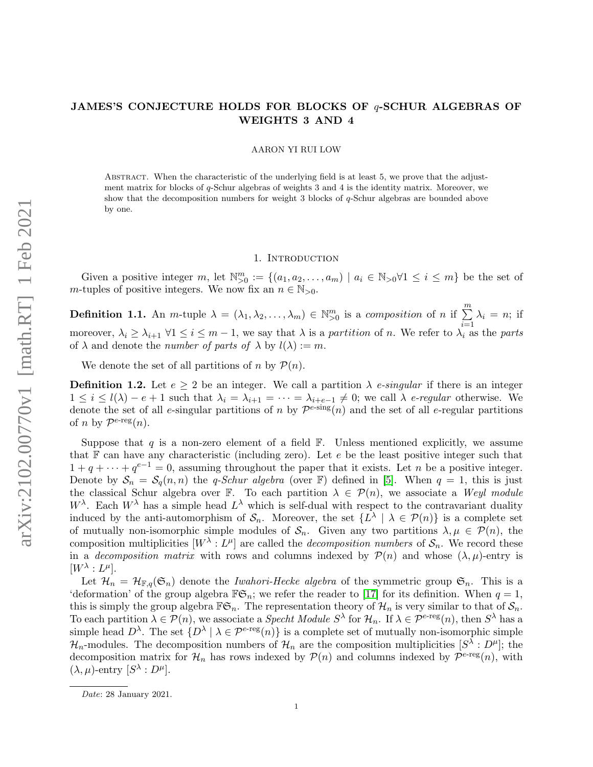## JAMES'S CONJECTURE HOLDS FOR BLOCKS OF q-SCHUR ALGEBRAS OF WEIGHTS 3 AND 4

AARON YI RUI LOW

ABSTRACT. When the characteristic of the underlying field is at least 5, we prove that the adjustment matrix for blocks of q-Schur algebras of weights 3 and 4 is the identity matrix. Moreover, we show that the decomposition numbers for weight 3 blocks of  $q$ -Schur algebras are bounded above by one.

#### 1. INTRODUCTION

Given a positive integer m, let  $\mathbb{N}_{>0}^m := \{(a_1, a_2, \ldots, a_m) \mid a_i \in \mathbb{N}_{>0} \forall 1 \leq i \leq m\}$  be the set of m-tuples of positive integers. We now fix an  $n \in \mathbb{N}_{>0}$ .

**Definition 1.1.** An *m*-tuple  $\lambda = (\lambda_1, \lambda_2, \dots, \lambda_m) \in \mathbb{N}_{\geq 0}^m$  is a *composition* of *n* if  $\sum^m$  $i=1$  $\lambda_i = n;$  if moreover,  $\lambda_i \geq \lambda_{i+1}$   $\forall 1 \leq i \leq m-1$ , we say that  $\lambda$  is a partition of n. We refer to  $\lambda_i$  as the parts of  $\lambda$  and denote the *number of parts of*  $\lambda$  by  $l(\lambda) := m$ .

We denote the set of all partitions of n by  $\mathcal{P}(n)$ .

**Definition 1.2.** Let  $e \geq 2$  be an integer. We call a partition  $\lambda$  *e-singular* if there is an integer  $1 \leq i \leq l(\lambda) - e + 1$  such that  $\lambda_i = \lambda_{i+1} = \cdots = \lambda_{i+e-1} \neq 0$ ; we call  $\lambda$  e-regular otherwise. We denote the set of all e-singular partitions of n by  $\mathcal{P}^{e\text{-sing}}(n)$  and the set of all e-regular partitions of *n* by  $\mathcal{P}^{e\text{-reg}}(n)$ .

Suppose that q is a non-zero element of a field  $\mathbb{F}$ . Unless mentioned explicitly, we assume that  $\mathbb F$  can have any characteristic (including zero). Let e be the least positive integer such that  $1 + q + \cdots + q^{e-1} = 0$ , assuming throughout the paper that it exists. Let *n* be a positive integer. Denote by  $S_n = S_q(n, n)$  the q-Schur algebra (over F) defined in [\[5\]](#page-25-0). When  $q = 1$ , this is just the classical Schur algebra over F. To each partition  $\lambda \in \mathcal{P}(n)$ , we associate a Weyl module  $W^{\lambda}$ . Each  $W^{\lambda}$  has a simple head  $L^{\lambda}$  which is self-dual with respect to the contravariant duality induced by the anti-automorphism of  $\mathcal{S}_n$ . Moreover, the set  $\{L^{\lambda} \mid \lambda \in \mathcal{P}(n)\}\$ is a complete set of mutually non-isomorphic simple modules of  $S_n$ . Given any two partitions  $\lambda, \mu \in \mathcal{P}(n)$ , the composition multiplicities  $[W^{\lambda}: L^{\mu}]$  are called the *decomposition numbers* of  $S_n$ . We record these in a *decomposition matrix* with rows and columns indexed by  $\mathcal{P}(n)$  and whose  $(\lambda, \mu)$ -entry is  $[W^{\lambda}:L^{\mu}].$ 

Let  $\mathcal{H}_n = \mathcal{H}_{\mathbb{F},q}(\mathfrak{S}_n)$  denote the *Iwahori-Hecke algebra* of the symmetric group  $\mathfrak{S}_n$ . This is a 'deformation' of the group algebra  $\mathbb{F}\mathfrak{S}_n$ ; we refer the reader to [\[17\]](#page-26-0) for its definition. When  $q=1$ , this is simply the group algebra  $\mathbb{F}\mathfrak{S}_n$ . The representation theory of  $\mathcal{H}_n$  is very similar to that of  $\mathcal{S}_n$ . To each partition  $\lambda \in \mathcal{P}(n)$ , we associate a *Specht Module S*<sup> $\lambda$ </sup> for  $\mathcal{H}_n$ . If  $\lambda \in \mathcal{P}^{e\text{-reg}}(n)$ , then  $S^{\lambda}$  has a simple head  $D^{\lambda}$ . The set  $\{D^{\lambda} \mid \lambda \in \mathcal{P}^{\epsilon\text{-reg}}(n)\}$  is a complete set of mutually non-isomorphic simple  $\mathcal{H}_n$ -modules. The decomposition numbers of  $\mathcal{H}_n$  are the composition multiplicities  $[S^{\lambda}:D^{\mu}]$ ; the decomposition matrix for  $\mathcal{H}_n$  has rows indexed by  $\mathcal{P}(n)$  and columns indexed by  $\mathcal{P}^{e\text{-reg}}(n)$ , with  $(\lambda, \mu)$ -entry  $[S^{\lambda}: D^{\mu}]$ .

Date: 28 January 2021.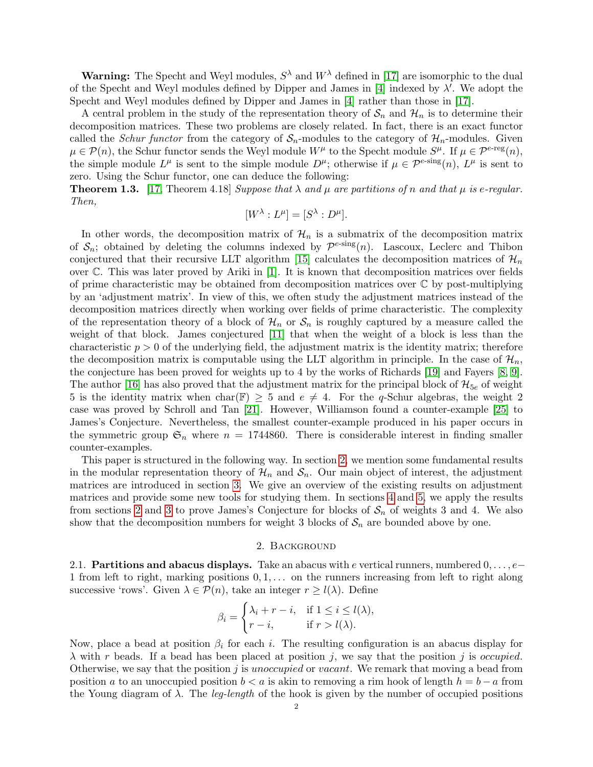**Warning:** The Specht and Weyl modules,  $S^{\lambda}$  and  $W^{\lambda}$  defined in [\[17\]](#page-26-0) are isomorphic to the dual of the Specht and Weyl modules defined by Dipper and James in [\[4\]](#page-25-1) indexed by  $\lambda'$ . We adopt the Specht and Weyl modules defined by Dipper and James in [\[4\]](#page-25-1) rather than those in [\[17\]](#page-26-0).

A central problem in the study of the representation theory of  $S_n$  and  $\mathcal{H}_n$  is to determine their decomposition matrices. These two problems are closely related. In fact, there is an exact functor called the *Schur functor* from the category of  $S_n$ -modules to the category of  $\mathcal{H}_n$ -modules. Given  $\mu \in \mathcal{P}(n)$ , the Schur functor sends the Weyl module  $W^{\mu}$  to the Specht module  $S^{\mu}$ . If  $\mu \in \mathcal{P}^{e\text{-reg}}(n)$ , the simple module  $L^{\mu}$  is sent to the simple module  $D^{\mu}$ ; otherwise if  $\mu \in \mathcal{P}^{\epsilon\text{-sing}}(n)$ ,  $L^{\mu}$  is sent to zero. Using the Schur functor, one can deduce the following:

<span id="page-1-1"></span>**Theorem 1.3.** [\[17,](#page-26-0) Theorem 4.18] Suppose that  $\lambda$  and  $\mu$  are partitions of n and that  $\mu$  is e-regular. Then,

$$
[W^{\lambda}:L^{\mu}]=[S^{\lambda}:D^{\mu}].
$$

In other words, the decomposition matrix of  $\mathcal{H}_n$  is a submatrix of the decomposition matrix of  $S_n$ ; obtained by deleting the columns indexed by  $\mathcal{P}^{e\text{-sing}}(n)$ . Lascoux, Leclerc and Thibon conjectured that their recursive LLT algorithm [\[15\]](#page-26-1) calculates the decomposition matrices of  $\mathcal{H}_n$ over C. This was later proved by Ariki in [\[1\]](#page-25-2). It is known that decomposition matrices over fields of prime characteristic may be obtained from decomposition matrices over  $\mathbb C$  by post-multiplying by an 'adjustment matrix'. In view of this, we often study the adjustment matrices instead of the decomposition matrices directly when working over fields of prime characteristic. The complexity of the representation theory of a block of  $\mathcal{H}_n$  or  $\mathcal{S}_n$  is roughly captured by a measure called the weight of that block. James conjectured [\[11\]](#page-26-2) that when the weight of a block is less than the characteristic  $p > 0$  of the underlying field, the adjustment matrix is the identity matrix; therefore the decomposition matrix is computable using the LLT algorithm in principle. In the case of  $\mathcal{H}_n$ , the conjecture has been proved for weights up to 4 by the works of Richards [\[19\]](#page-26-3) and Fayers [\[8,](#page-25-3) [9\]](#page-26-4). The author [\[16\]](#page-26-5) has also proved that the adjustment matrix for the principal block of  $\mathcal{H}_{5e}$  of weight 5 is the identity matrix when char(F)  $\geq$  5 and  $e \neq 4$ . For the q-Schur algebras, the weight 2 case was proved by Schroll and Tan [\[21\]](#page-26-6). However, Williamson found a counter-example [\[25\]](#page-26-7) to James's Conjecture. Nevertheless, the smallest counter-example produced in his paper occurs in the symmetric group  $\mathfrak{S}_n$  where  $n = 1744860$ . There is considerable interest in finding smaller counter-examples.

This paper is structured in the following way. In section [2,](#page-1-0) we mention some fundamental results in the modular representation theory of  $\mathcal{H}_n$  and  $\mathcal{S}_n$ . Our main object of interest, the adjustment matrices are introduced in section [3.](#page-7-0) We give an overview of the existing results on adjustment matrices and provide some new tools for studying them. In sections [4](#page-14-0) and [5,](#page-16-0) we apply the results from sections [2](#page-1-0) and [3](#page-7-0) to prove James's Conjecture for blocks of  $S_n$  of weights 3 and 4. We also show that the decomposition numbers for weight 3 blocks of  $S_n$  are bounded above by one.

#### 2. Background

<span id="page-1-0"></span>2.1. **Partitions and abacus displays.** Take an abacus with e vertical runners, numbered  $0, \ldots, e-$ 1 from left to right, marking positions  $0, 1, \ldots$  on the runners increasing from left to right along successive 'rows'. Given  $\lambda \in \mathcal{P}(n)$ , take an integer  $r \geq l(\lambda)$ . Define

$$
\beta_i = \begin{cases} \lambda_i + r - i, & \text{if } 1 \le i \le l(\lambda), \\ r - i, & \text{if } r > l(\lambda). \end{cases}
$$

Now, place a bead at position  $\beta_i$  for each i. The resulting configuration is an abacus display for  $\lambda$  with r beads. If a bead has been placed at position j, we say that the position j is occupied. Otherwise, we say that the position  $j$  is unoccupied or vacant. We remark that moving a bead from position a to an unoccupied position  $b < a$  is akin to removing a rim hook of length  $h = b - a$  from the Young diagram of  $\lambda$ . The *leg-length* of the hook is given by the number of occupied positions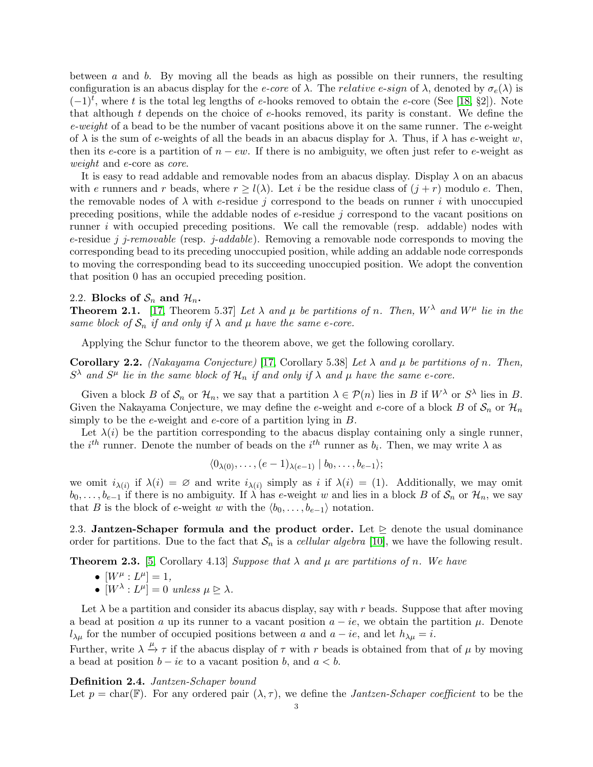between a and b. By moving all the beads as high as possible on their runners, the resulting configuration is an abacus display for the *e-core* of  $\lambda$ . The *relative e-sign* of  $\lambda$ , denoted by  $\sigma_e(\lambda)$  is  $(-1)^t$ , where t is the total leg lengths of e-hooks removed to obtain the e-core (See [\[18,](#page-26-8) §2]). Note that although t depends on the choice of  $e$ -hooks removed, its parity is constant. We define the  $e$ -weight of a bead to be the number of vacant positions above it on the same runner. The  $e$ -weight of  $\lambda$  is the sum of e-weights of all the beads in an abacus display for  $\lambda$ . Thus, if  $\lambda$  has e-weight w, then its e-core is a partition of  $n - ew$ . If there is no ambiguity, we often just refer to e-weight as weight and e-core as core.

It is easy to read addable and removable nodes from an abacus display. Display  $\lambda$  on an abacus with e runners and r beads, where  $r \geq l(\lambda)$ . Let i be the residue class of  $(j + r)$  modulo e. Then, the removable nodes of  $\lambda$  with e-residue j correspond to the beads on runner i with unoccupied preceding positions, while the addable nodes of  $e$ -residue  $j$  correspond to the vacant positions on runner i with occupied preceding positions. We call the removable (resp. addable) nodes with e-residue j j-removable (resp. j-addable). Removing a removable node corresponds to moving the corresponding bead to its preceding unoccupied position, while adding an addable node corresponds to moving the corresponding bead to its succeeding unoccupied position. We adopt the convention that position 0 has an occupied preceding position.

#### 2.2. Blocks of  $S_n$  and  $\mathcal{H}_n$ .

<span id="page-2-1"></span>**Theorem 2.1.** [\[17,](#page-26-0) Theorem 5.37] Let  $\lambda$  and  $\mu$  be partitions of n. Then,  $W^{\lambda}$  and  $W^{\mu}$  lie in the same block of  $S_n$  if and only if  $\lambda$  and  $\mu$  have the same e-core.

Applying the Schur functor to the theorem above, we get the following corollary.

<span id="page-2-2"></span>Corollary 2.2. (Nakayama Conjecture) [\[17,](#page-26-0) Corollary 5.38] Let  $\lambda$  and  $\mu$  be partitions of n. Then,  $S^{\lambda}$  and  $S^{\mu}$  lie in the same block of  $\mathcal{H}_n$  if and only if  $\lambda$  and  $\mu$  have the same e-core.

Given a block B of  $S_n$  or  $\mathcal{H}_n$ , we say that a partition  $\lambda \in \mathcal{P}(n)$  lies in B if  $W^{\lambda}$  or  $S^{\lambda}$  lies in B. Given the Nakayama Conjecture, we may define the e-weight and e-core of a block B of  $S_n$  or  $\mathcal{H}_n$ simply to be the  $e$ -weight and  $e$ -core of a partition lying in  $B$ .

Let  $\lambda(i)$  be the partition corresponding to the abacus display containing only a single runner, the *i*<sup>th</sup> runner. Denote the number of beads on the *i*<sup>th</sup> runner as  $b_i$ . Then, we may write  $\lambda$  as

$$
\langle 0_{\lambda(0)},\ldots,(e-1)_{\lambda(e-1)} | b_0,\ldots,b_{e-1}\rangle;
$$

we omit  $i_{\lambda(i)}$  if  $\lambda(i) = \emptyset$  and write  $i_{\lambda(i)}$  simply as i if  $\lambda(i) = (1)$ . Additionally, we may omit  $b_0, \ldots, b_{e-1}$  if there is no ambiguity. If  $\lambda$  has e-weight w and lies in a block B of  $\mathcal{S}_n$  or  $\mathcal{H}_n$ , we say that B is the block of e-weight w with the  $\langle b_0, \ldots, b_{e-1} \rangle$  notation.

2.3. Jantzen-Schaper formula and the product order. Let  $\geq$  denote the usual dominance order for partitions. Due to the fact that  $S_n$  is a cellular algebra [\[10\]](#page-26-9), we have the following result.

<span id="page-2-0"></span>**Theorem 2.3.** [\[5,](#page-25-0) Corollary 4.13] Suppose that  $\lambda$  and  $\mu$  are partitions of n. We have

- $[W^{\mu}: L^{\mu}] = 1,$
- $[W^{\lambda}: L^{\mu}] = 0$  unless  $\mu \geq \lambda$ .

Let  $\lambda$  be a partition and consider its abacus display, say with r beads. Suppose that after moving a bead at position a up its runner to a vacant position  $a - ie$ , we obtain the partition  $\mu$ . Denote  $l_{\lambda\mu}$  for the number of occupied positions between a and  $a - ie$ , and let  $h_{\lambda\mu} = i$ .

Further, write  $\lambda \xrightarrow{\mu} \tau$  if the abacus display of  $\tau$  with r beads is obtained from that of  $\mu$  by moving a bead at position  $b - ie$  to a vacant position b, and  $a < b$ .

#### <span id="page-2-3"></span>Definition 2.4. Jantzen-Schaper bound

Let  $p = \text{char}(\mathbb{F})$ . For any ordered pair  $(\lambda, \tau)$ , we define the *Jantzen-Schaper coefficient* to be the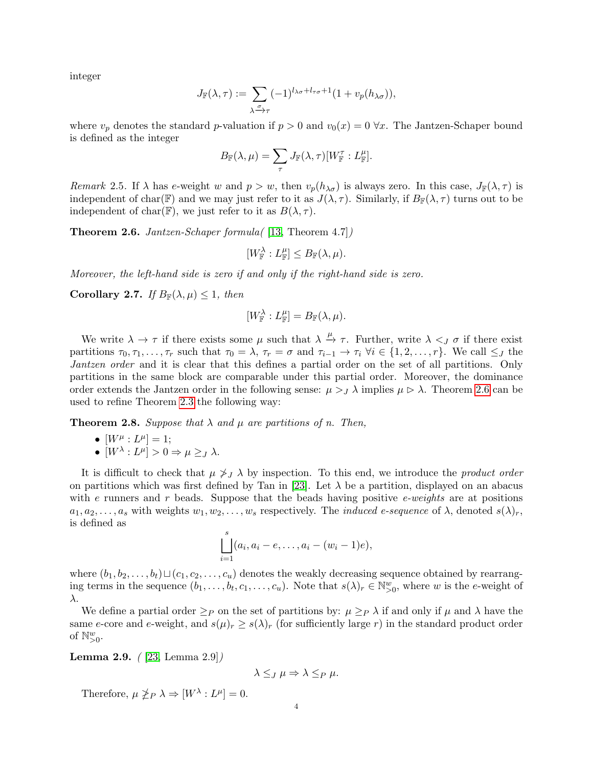integer

$$
J_{\mathbb{F}}(\lambda,\tau) := \sum_{\substack{\sigma \\ \lambda \to \tau}} (-1)^{l_{\lambda\sigma} + l_{\tau\sigma} + 1} (1 + v_p(h_{\lambda\sigma})),
$$

where  $v_p$  denotes the standard p-valuation if  $p > 0$  and  $v_0(x) = 0 \,\forall x$ . The Jantzen-Schaper bound is defined as the integer

$$
B_{\mathbb{F}}(\lambda,\mu)=\sum_{\tau}J_{\mathbb{F}}(\lambda,\tau)[W_{\mathbb{F}}^{\tau}:L_{\mathbb{F}}^{\mu}].
$$

Remark 2.5. If  $\lambda$  has e-weight w and  $p > w$ , then  $v_p(h_{\lambda\sigma})$  is always zero. In this case,  $J_F(\lambda, \tau)$  is independent of char(F) and we may just refer to it as  $J(\lambda, \tau)$ . Similarly, if  $B_F(\lambda, \tau)$  turns out to be independent of char(F), we just refer to it as  $B(\lambda, \tau)$ .

<span id="page-3-0"></span>**Theorem 2.6.** Jantzen-Schaper formula  $(13,$  Theorem 4.7]

$$
[W_{\mathbb{F}}^{\lambda}:L_{\mathbb{F}}^{\mu}]\leq B_{\mathbb{F}}(\lambda,\mu).
$$

Moreover, the left-hand side is zero if and only if the right-hand side is zero.

<span id="page-3-3"></span>Corollary 2.7. If  $B_{\mathbb{F}}(\lambda,\mu) \leq 1$ , then

$$
[W_{\mathbb{F}}^{\lambda}:L_{\mathbb{F}}^{\mu}]=B_{\mathbb{F}}(\lambda,\mu).
$$

We write  $\lambda \to \tau$  if there exists some  $\mu$  such that  $\lambda \stackrel{\mu}{\to} \tau$ . Further, write  $\lambda <sub>J</sub> \sigma$  if there exist partitions  $\tau_0, \tau_1, \ldots, \tau_r$  such that  $\tau_0 = \lambda$ ,  $\tau_r = \sigma$  and  $\tau_{i-1} \to \tau_i \ \forall i \in \{1, 2, \ldots, r\}$ . We call  $\leq_J$  the Jantzen order and it is clear that this defines a partial order on the set of all partitions. Only partitions in the same block are comparable under this partial order. Moreover, the dominance order extends the Jantzen order in the following sense:  $\mu >_J \lambda$  implies  $\mu \triangleright \lambda$ . Theorem [2.6](#page-3-0) can be used to refine Theorem [2.3](#page-2-0) the following way:

<span id="page-3-2"></span>**Theorem 2.8.** Suppose that  $\lambda$  and  $\mu$  are partitions of n. Then,

- $[W^{\mu}: L^{\mu}] = 1;$
- $[W^{\lambda}: L^{\mu}] > 0 \Rightarrow \mu \geq_{J} \lambda$ .

It is difficult to check that  $\mu \nsim J \lambda$  by inspection. To this end, we introduce the *product order* on partitions which was first defined by Tan in [\[23\]](#page-26-11). Let  $\lambda$  be a partition, displayed on an abacus with e runners and r beads. Suppose that the beads having positive e-weights are at positions  $a_1, a_2, \ldots, a_s$  with weights  $w_1, w_2, \ldots, w_s$  respectively. The *induced e-sequence* of  $\lambda$ , denoted  $s(\lambda)_r$ , is defined as

$$
\bigsqcup_{i=1}^{s} (a_i, a_i - e, \dots, a_i - (w_i - 1)e),
$$

where  $(b_1, b_2, \ldots, b_t) \sqcup (c_1, c_2, \ldots, c_u)$  denotes the weakly decreasing sequence obtained by rearranging terms in the sequence  $(b_1, \ldots, b_t, c_1, \ldots, c_u)$ . Note that  $s(\lambda)_r \in \mathbb{N}_{>0}^w$ , where w is the e-weight of λ.

We define a partial order  $\geq_P$  on the set of partitions by:  $\mu \geq_P \lambda$  if and only if  $\mu$  and  $\lambda$  have the same e-core and e-weight, and  $s(\mu)_r \geq s(\lambda)_r$  (for sufficiently large r) in the standard product order of  $\mathbb{N}_{>0}^w$ .

<span id="page-3-1"></span>Lemma 2.9. ( [\[23,](#page-26-11) Lemma 2.9])

$$
\lambda \leq_J \mu \Rightarrow \lambda \leq_P \mu.
$$

Therefore,  $\mu \ngeq_P \lambda \Rightarrow [W^{\lambda} : L^{\mu}] = 0.$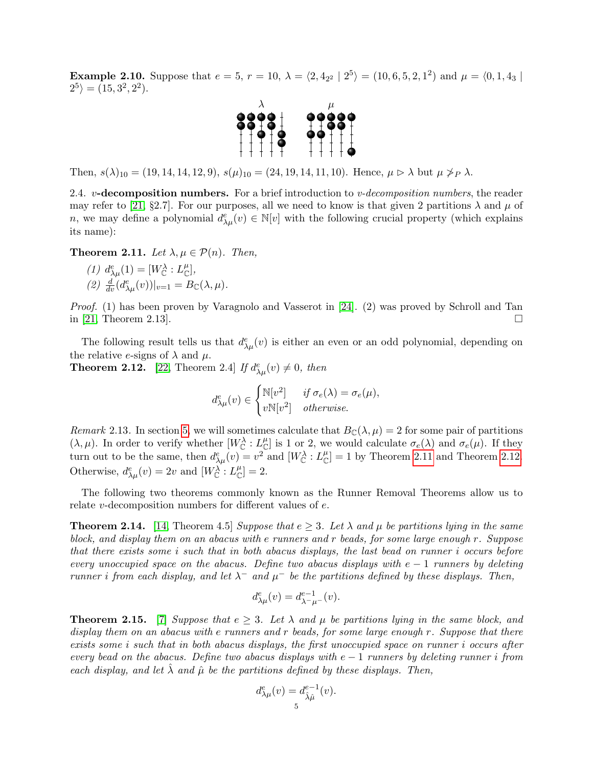**Example 2.10.** Suppose that  $e = 5$ ,  $r = 10$ ,  $\lambda = \langle 2, 4_{2^2} | 2^5 \rangle = (10, 6, 5, 2, 1^2)$  and  $\mu = \langle 0, 1, 4_3 |$  $2^5$  =  $(15, 3^2, 2^2)$ .



Then,  $s(\lambda)_{10} = (19, 14, 14, 12, 9), s(\mu)_{10} = (24, 19, 14, 11, 10).$  Hence,  $\mu \triangleright \lambda$  but  $\mu \not\geq_P \lambda$ .

2.4.  $v$ **-decomposition numbers.** For a brief introduction to  $v$ -decomposition numbers, the reader may refer to [\[21,](#page-26-6) §2.7]. For our purposes, all we need to know is that given 2 partitions  $\lambda$  and  $\mu$  of n, we may define a polynomial  $d_{\lambda\mu}^e(v) \in \mathbb{N}[v]$  with the following crucial property (which explains its name):

<span id="page-4-0"></span>**Theorem 2.11.** Let  $\lambda, \mu \in \mathcal{P}(n)$ . Then,

(1)  $d_{\lambda\mu}^e(1) = [W_{\mathbb{C}}^{\lambda} : L_{\mathbb{C}}^{\mu}],$ (2)  $\frac{d}{dv}(d_{\lambda\mu}^e(v))|_{v=1} = B_{\mathbb{C}}(\lambda,\mu).$ 

Proof. (1) has been proven by Varagnolo and Vasserot in [\[24\]](#page-26-12). (2) was proved by Schroll and Tan in [\[21,](#page-26-6) Theorem 2.13].

The following result tells us that  $d^e_{\lambda\mu}(v)$  is either an even or an odd polynomial, depending on the relative e-signs of  $\lambda$  and  $\mu$ .

<span id="page-4-1"></span>**Theorem 2.12.** [\[22,](#page-26-13) Theorem 2.4] If  $d_{\lambda\mu}^e(v) \neq 0$ , then

$$
d_{\lambda\mu}^{e}(v) \in \begin{cases} \mathbb{N}[v^2] & \text{if } \sigma_e(\lambda) = \sigma_e(\mu), \\ v\mathbb{N}[v^2] & otherwise. \end{cases}
$$

<span id="page-4-4"></span>Remark 2.13. In section [5,](#page-16-0) we will sometimes calculate that  $B_{\mathbb{C}}(\lambda,\mu) = 2$  for some pair of partitions  $(\lambda, \mu)$ . In order to verify whether  $[W_{\mathbb{C}}^{\lambda}: L_{\mathbb{C}}^{\mu}]$  is 1 or 2, we would calculate  $\sigma_e(\lambda)$  and  $\sigma_e(\mu)$ . If they turn out to be the same, then  $d_{\lambda\mu}^e(v) = v^2$  and  $[W_{\mathbb{C}}^{\lambda}: L_{\mathbb{C}}^{\mu}] = 1$  by Theorem [2.11](#page-4-0) and Theorem [2.12.](#page-4-1) Otherwise,  $d_{\lambda\mu}^e(v) = 2v$  and  $[W_{\mathbb{C}}^{\lambda}: L_{\mathbb{C}}^{\mu}] = 2$ .

The following two theorems commonly known as the Runner Removal Theorems allow us to relate v-decomposition numbers for different values of e.

<span id="page-4-2"></span>**Theorem 2.14.** [\[14,](#page-26-14) Theorem 4.5] Suppose that  $e \geq 3$ . Let  $\lambda$  and  $\mu$  be partitions lying in the same block, and display them on an abacus with  $e$  runners and  $r$  beads, for some large enough  $r$ . Suppose that there exists some i such that in both abacus displays, the last bead on runner i occurs before every unoccupied space on the abacus. Define two abacus displays with  $e-1$  runners by deleting runner i from each display, and let  $\lambda^-$  and  $\mu^-$  be the partitions defined by these displays. Then,

$$
d^e_{\lambda\mu}(v) = d^{e-1}_{\lambda^-\mu^-}(v).
$$

<span id="page-4-3"></span>**Theorem 2.15.** [\[7\]](#page-25-4) Suppose that  $e \geq 3$ . Let  $\lambda$  and  $\mu$  be partitions lying in the same block, and display them on an abacus with  $e$  runners and  $r$  beads, for some large enough  $r$ . Suppose that there exists some i such that in both abacus displays, the first unoccupied space on runner i occurs after every bead on the abacus. Define two abacus displays with  $e-1$  runners by deleting runner i from each display, and let  $\hat{\lambda}$  and  $\hat{\mu}$  be the partitions defined by these displays. Then,

$$
d_{\lambda\mu}^{e}(v) = d_{\hat{\lambda}\hat{\mu}}^{e-1}(v).
$$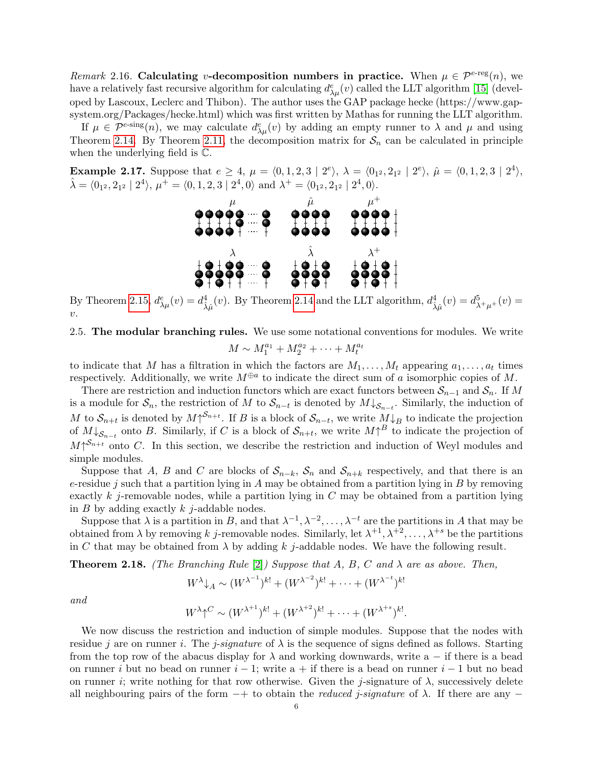<span id="page-5-0"></span>Remark 2.16. Calculating v-decomposition numbers in practice. When  $\mu \in \mathcal{P}^{e-reg}(n)$ , we have a relatively fast recursive algorithm for calculating  $d_{\lambda\mu}^e(v)$  called the LLT algorithm [\[15\]](#page-26-1) (developed by Lascoux, Leclerc and Thibon). The author uses the GAP package hecke (https://www.gapsystem.org/Packages/hecke.html) which was first written by Mathas for running the LLT algorithm.

If  $\mu \in \mathcal{P}^{e\text{-sing}}(n)$ , we may calculate  $d_{\lambda\mu}^e(v)$  by adding an empty runner to  $\lambda$  and  $\mu$  and using Theorem [2.14.](#page-4-2) By Theorem [2.11,](#page-4-0) the decomposition matrix for  $S_n$  can be calculated in principle when the underlying field is C.

<span id="page-5-2"></span>**Example 2.17.** Suppose that  $e \ge 4$ ,  $\mu = \langle 0, 1, 2, 3 | 2^e \rangle$ ,  $\lambda = \langle 0_{1^2}, 2_{1^2} | 2^e \rangle$ ,  $\hat{\mu} = \langle 0, 1, 2, 3 | 2^4 \rangle$ ,  $\hat{\lambda} = \langle 0_{1^2}, 2_{1^2} \mid 2^4 \rangle, \, \mu^+ = \langle 0, 1, 2, 3 \mid 2^4, 0 \rangle \text{ and } \lambda^+ = \langle 0_{1^2}, 2_{1^2} \mid 2^4, 0 \rangle.$ 



By Theorem [2.15,](#page-4-3)  $d_{\lambda\mu}^e(v) = d_{\hat{\lambda}\hat{\mu}}^4(v)$ . By Theorem [2.14](#page-4-2) and the LLT algorithm,  $d_{\hat{\lambda}\hat{\mu}}^4(v) = d_{\lambda^+\mu^+}^5(v) =$  $\upsilon$ .

# 2.5. The modular branching rules. We use some notational conventions for modules. We write

$$
M \sim M_1^{a_1} + M_2^{a_2} + \cdots + M_t^{a_t}
$$

to indicate that M has a filtration in which the factors are  $M_1, \ldots, M_t$  appearing  $a_1, \ldots, a_t$  times respectively. Additionally, we write  $M^{\oplus a}$  to indicate the direct sum of a isomorphic copies of M.

There are restriction and induction functors which are exact functors between  $S_{n-1}$  and  $S_n$ . If M is a module for  $S_n$ , the restriction of M to  $S_{n-t}$  is denoted by  $M\downarrow_{S_{n-t}}$ . Similarly, the induction of M to  $S_{n+t}$  is denoted by  $M\uparrow^{S_{n+t}}$ . If B is a block of  $S_{n-t}$ , we write  $M\downarrow_B$  to indicate the projection of  $M\downarrow_{\mathcal{S}_{n-t}}$  onto B. Similarly, if C is a block of  $\mathcal{S}_{n+t}$ , we write  $M\uparrow^B$  to indicate the projection of  $M\uparrow^{S_{n+t}}$  onto C. In this section, we describe the restriction and induction of Weyl modules and simple modules.

Suppose that A, B and C are blocks of  $S_{n-k}$ ,  $S_n$  and  $S_{n+k}$  respectively, and that there is an e-residue j such that a partition lying in A may be obtained from a partition lying in  $B$  by removing exactly k j-removable nodes, while a partition lying in  $C$  may be obtained from a partition lying in  $B$  by adding exactly  $k$  j-addable nodes.

Suppose that  $\lambda$  is a partition in B, and that  $\lambda^{-1}, \lambda^{-2}, \ldots, \lambda^{-t}$  are the partitions in A that may be obtained from  $\lambda$  by removing k j-removable nodes. Similarly, let  $\lambda^{+1}, \lambda^{+2}, \ldots, \lambda^{+s}$  be the partitions in C that may be obtained from  $\lambda$  by adding k j-addable nodes. We have the following result.

<span id="page-5-1"></span>**Theorem 2.18.** (The Branching Rule [\[2\]](#page-25-5)) Suppose that A, B, C and  $\lambda$  are as above. Then,

$$
W^{\lambda} \downarrow_A \sim (W^{\lambda^{-1}})^{k!} + (W^{\lambda^{-2}})^{k!} + \cdots + (W^{\lambda^{-t}})^{k!}
$$

and

$$
W^{\lambda} \uparrow^C \sim (W^{\lambda^{+1}})^{k!} + (W^{\lambda^{+2}})^{k!} + \cdots + (W^{\lambda^{+s}})^{k!}.
$$

We now discuss the restriction and induction of simple modules. Suppose that the nodes with residue j are on runner i. The j-signature of  $\lambda$  is the sequence of signs defined as follows. Starting from the top row of the abacus display for  $\lambda$  and working downwards, write a − if there is a bead on runner i but no bead on runner  $i - 1$ ; write a + if there is a bead on runner  $i - 1$  but no bead on runner i; write nothing for that row otherwise. Given the j-signature of  $\lambda$ , successively delete all neighbouring pairs of the form  $-+$  to obtain the *reduced j-signature* of  $\lambda$ . If there are any  $-$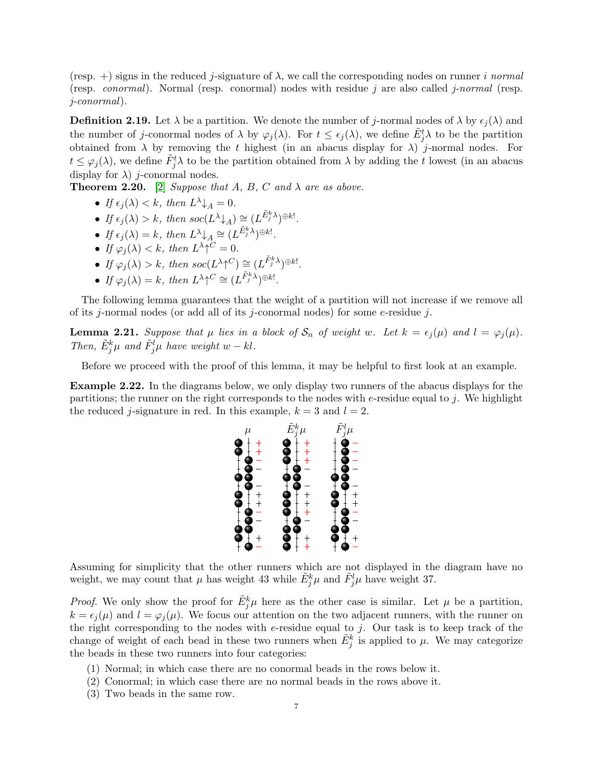(resp.  $+$ ) signs in the reduced *j*-signature of  $\lambda$ , we call the corresponding nodes on runner *i normal* (resp. *conormal*). Normal (resp. conormal) nodes with residue j are also called j-normal (resp. j-conormal).

**Definition 2.19.** Let  $\lambda$  be a partition. We denote the number of j-normal nodes of  $\lambda$  by  $\epsilon_i(\lambda)$  and the number of j-conormal nodes of  $\lambda$  by  $\varphi_j(\lambda)$ . For  $t \leq \epsilon_j(\lambda)$ , we define  $\tilde{E}^t_j\lambda$  to be the partition obtained from  $\lambda$  by removing the t highest (in an abacus display for  $\lambda$ ) j-normal nodes. For  $t \le \varphi_j(\lambda)$ , we define  $\tilde{F}_j^t \lambda$  to be the partition obtained from  $\lambda$  by adding the t lowest (in an abacus display for  $\lambda$ ) *j*-conormal nodes.

<span id="page-6-0"></span>**Theorem 2.20.** [\[2\]](#page-25-5) Suppose that A, B, C and  $\lambda$  are as above.

- If  $\epsilon_j(\lambda) < k$ , then  $L^{\lambda} \downarrow_A = 0$ .
- If  $\epsilon_j(\lambda) > k$ , then  $\operatorname{soc}(L^{\lambda} \downarrow_A) \cong (L^{\tilde{E}^k_j \lambda})^{\oplus k!}$ .
- If  $\epsilon_j(\lambda) = k$ , then  $L^{\lambda} \downarrow_A \cong (L^{\tilde{E}^k_j \lambda})^{\oplus k!}$ .
- If  $\varphi_j(\lambda) < k$ , then  $L^{\lambda} \uparrow^C = 0$ .
- If  $\varphi_j(\lambda) > k$ , then  $soc(L^{\lambda} \uparrow^C) \cong (L^{\tilde{F}_j^k \lambda})^{\oplus k!}$ .
- If  $\varphi_j(\lambda) = k$ , then  $L^{\lambda} \uparrow^C \cong (L^{\tilde{F}_j^k \lambda})^{\oplus k!}$ .

The following lemma guarantees that the weight of a partition will not increase if we remove all of its j-normal nodes (or add all of its j-conormal nodes) for some e-residue j.

<span id="page-6-1"></span>**Lemma 2.21.** Suppose that  $\mu$  lies in a block of  $S_n$  of weight w. Let  $k = \epsilon_j(\mu)$  and  $l = \varphi_j(\mu)$ . Then,  $\tilde{E}^k_j \mu$  and  $\tilde{F}^l_j \mu$  have weight  $w - kl$ .

Before we proceed with the proof of this lemma, it may be helpful to first look at an example.

Example 2.22. In the diagrams below, we only display two runners of the abacus displays for the partitions; the runner on the right corresponds to the nodes with  $e$ -residue equal to j. We highlight the reduced *j*-signature in red. In this example,  $k = 3$  and  $l = 2$ .



Assuming for simplicity that the other runners which are not displayed in the diagram have no weight, we may count that  $\mu$  has weight 43 while  $\tilde{E}^k_j \mu$  and  $\tilde{F}^l_j \mu$  have weight 37.

*Proof.* We only show the proof for  $\tilde{E}^k_j\mu$  here as the other case is similar. Let  $\mu$  be a partition,  $k = \epsilon_i (\mu)$  and  $l = \varphi_i (\mu)$ . We focus our attention on the two adjacent runners, with the runner on the right corresponding to the nodes with  $e$ -residue equal to  $j$ . Our task is to keep track of the change of weight of each bead in these two runners when  $\tilde{E}^k_j$  is applied to  $\mu$ . We may categorize the beads in these two runners into four categories:

- (1) Normal; in which case there are no conormal beads in the rows below it.
- (2) Conormal; in which case there are no normal beads in the rows above it.
- (3) Two beads in the same row.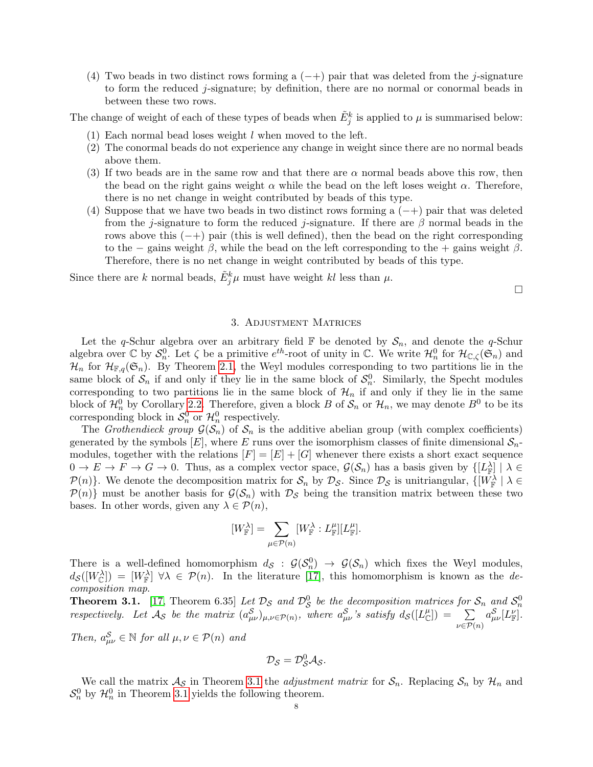(4) Two beads in two distinct rows forming a  $(-+)$  pair that was deleted from the j-signature to form the reduced j-signature; by definition, there are no normal or conormal beads in between these two rows.

The change of weight of each of these types of beads when  $\tilde{E}^k_j$  is applied to  $\mu$  is summarised below:

- $(1)$  Each normal bead loses weight l when moved to the left.
- (2) The conormal beads do not experience any change in weight since there are no normal beads above them.
- (3) If two beads are in the same row and that there are  $\alpha$  normal beads above this row, then the bead on the right gains weight  $\alpha$  while the bead on the left loses weight  $\alpha$ . Therefore, there is no net change in weight contributed by beads of this type.
- (4) Suppose that we have two beads in two distinct rows forming a  $(-+)$  pair that was deleted from the j-signature to form the reduced j-signature. If there are  $\beta$  normal beads in the rows above this  $(-+)$  pair (this is well defined), then the bead on the right corresponding to the − gains weight  $\beta$ , while the bead on the left corresponding to the + gains weight  $\beta$ . Therefore, there is no net change in weight contributed by beads of this type.

Since there are k normal beads,  $\tilde{E}^k_j \mu$  must have weight kl less than  $\mu$ .

 $\Box$ 

## 3. Adjustment Matrices

<span id="page-7-0"></span>Let the q-Schur algebra over an arbitrary field  $\mathbb F$  be denoted by  $\mathcal S_n$ , and denote the q-Schur algebra over  $\mathbb C$  by  $\mathcal{S}_n^0$ . Let  $\zeta$  be a primitive  $e^{th}$ -root of unity in  $\mathbb C$ . We write  $\mathcal{H}_n^0$  for  $\mathcal{H}_{\mathbb C,\zeta}(\mathfrak{S}_n)$  and  $\mathcal{H}_n$  for  $\mathcal{H}_{\mathbb{F},q}(\mathfrak{S}_n)$ . By Theorem [2.1,](#page-2-1) the Weyl modules corresponding to two partitions lie in the same block of  $S_n$  if and only if they lie in the same block of  $S_n^0$ . Similarly, the Specht modules corresponding to two partitions lie in the same block of  $\mathcal{H}_n$  if and only if they lie in the same block of  $\mathcal{H}_n^0$  by Corollary [2.2.](#page-2-2) Therefore, given a block B of  $\mathcal{S}_n$  or  $\mathcal{H}_n$ , we may denote  $B^0$  to be its corresponding block in  $\mathcal{S}_n^0$  or  $\mathcal{H}_n^0$  respectively.

The Grothendieck group  $\mathcal{G}(\mathcal{S}_n)$  of  $\mathcal{S}_n$  is the additive abelian group (with complex coefficients) generated by the symbols  $[E]$ , where E runs over the isomorphism classes of finite dimensional  $S_n$ modules, together with the relations  $[F] = [E] + [G]$  whenever there exists a short exact sequence  $0 \to E \to F \to G \to 0$ . Thus, as a complex vector space,  $\mathcal{G}(\mathcal{S}_n)$  has a basis given by  $\{[L_{\mathbb{F}}^{\lambda}] \mid \lambda \in$  $\mathcal{P}(n)$ . We denote the decomposition matrix for  $\mathcal{S}_n$  by  $\mathcal{D}_{\mathcal{S}}$ . Since  $\mathcal{D}_{\mathcal{S}}$  is unitriangular,  $\{[W_{\mathbb{F}}^{\lambda}] \lambda \in$  $\mathcal{P}(n)$  must be another basis for  $\mathcal{G}(\mathcal{S}_n)$  with  $\mathcal{D}_{\mathcal{S}}$  being the transition matrix between these two bases. In other words, given any  $\lambda \in \mathcal{P}(n)$ ,

$$
[W_{\mathbb{F}}^{\lambda}] = \sum_{\mu \in \mathcal{P}(n)} [W_{\mathbb{F}}^{\lambda} : L_{\mathbb{F}}^{\mu}] [L_{\mathbb{F}}^{\mu}].
$$

There is a well-defined homomorphism  $d_S : \mathcal{G}(\mathcal{S}_n^0) \to \mathcal{G}(\mathcal{S}_n)$  which fixes the Weyl modules,  $d_{\mathcal{S}}([W_{\mathbb{C}}^{\lambda}]) = [W_{\mathbb{F}}^{\lambda}] \ \forall \lambda \in \mathcal{P}(n)$ . In the literature [\[17\]](#page-26-0), this homomorphism is known as the decomposition map.

<span id="page-7-1"></span>**Theorem 3.1.** [\[17,](#page-26-0) Theorem 6.35] Let  $\mathcal{D}_{\mathcal{S}}$  and  $\mathcal{D}_{\mathcal{S}}^0$  be the decomposition matrices for  $\mathcal{S}_n$  and  $\mathcal{S}_n^0$ respectively. Let  $\mathcal{A}_{\mathcal{S}}$  be the matrix  $(a_{\mu\nu}^{\mathcal{S}})_{\mu,\nu \in \mathcal{P}(n)}$ , where  $a_{\mu\nu}^{\mathcal{S}}$ 's satisfy  $d_{\mathcal{S}}([L^{\mu}_{\mathbb{C}}]) = \sum_{\nu}$  $\nu \in \mathcal{P}(n)$  $a^{\cal S}_{\mu\nu}[L^{\nu}_{\mathbb F}].$ 

Then,  $a_{\mu\nu}^{\mathcal{S}} \in \mathbb{N}$  for all  $\mu, \nu \in \mathcal{P}(n)$  and

$$
\mathcal{D}_{\mathcal{S}}=\mathcal{D}_{\mathcal{S}}^0\mathcal{A}_{\mathcal{S}}.
$$

We call the matrix  $\mathcal{A}_{\mathcal{S}}$  in Theorem [3.1](#page-7-1) the *adjustment matrix* for  $\mathcal{S}_n$ . Replacing  $\mathcal{S}_n$  by  $\mathcal{H}_n$  and  $S_n^0$  by  $\mathcal{H}_n^0$  in Theorem [3.1](#page-7-1) yields the following theorem.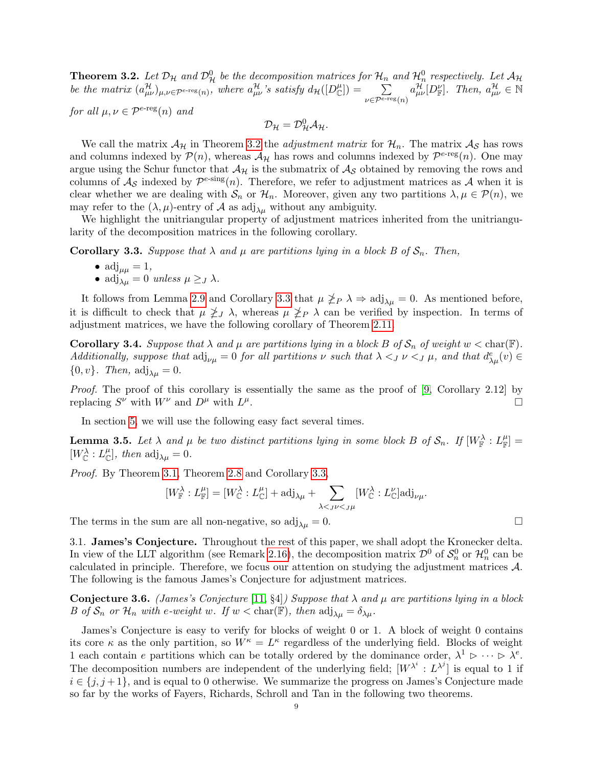<span id="page-8-0"></span>**Theorem 3.2.** Let  $\mathcal{D}_{\mathcal{H}}$  and  $\mathcal{D}_{\mathcal{H}}^0$  be the decomposition matrices for  $\mathcal{H}_n$  and  $\mathcal{H}_n^0$  respectively. Let  $\mathcal{A}_{\mathcal{H}}$ be the matrix  $(a_{\mu\nu}^{\mathcal{H}})_{\mu,\nu \in \mathcal{P}^{\epsilon\text{-reg}}(n)}$ , where  $a_{\mu\nu}^{\mathcal{H}}$ 's satisfy  $d_{\mathcal{H}}([D^{\mu}_{\mathbb{C}}]) = \sum$  $\nu \in \mathcal{P}^{e\text{-reg}}(n)$  $a_{\mu\nu}^{\mathcal{H}}[D_{\mathbb{F}}^{\nu}].$  Then,  $a_{\mu\nu}^{\mathcal{H}} \in \mathbb{N}$ 

for all  $\mu, \nu \in \mathcal{P}^{\epsilon\text{-reg}}(n)$  and

 $\mathcal{D}_{\mathcal{H}}=\mathcal{D}_{\mathcal{H}}^{0}\mathcal{A}_{\mathcal{H}}.$ 

We call the matrix  $\mathcal{A}_{\mathcal{H}}$  in Theorem [3.2](#page-8-0) the *adjustment matrix* for  $\mathcal{H}_n$ . The matrix  $\mathcal{A}_{\mathcal{S}}$  has rows and columns indexed by  $\mathcal{P}(n)$ , whereas  $\mathcal{A}_{\mathcal{H}}$  has rows and columns indexed by  $\mathcal{P}^{e\text{-reg}}(n)$ . One may argue using the Schur functor that  $\mathcal{A}_{\mathcal{H}}$  is the submatrix of  $\mathcal{A}_{\mathcal{S}}$  obtained by removing the rows and columns of  $\mathcal{A}_{\mathcal{S}}$  indexed by  $\mathcal{P}^{e\text{-sing}}(n)$ . Therefore, we refer to adjustment matrices as  $\mathcal{A}$  when it is clear whether we are dealing with  $S_n$  or  $\mathcal{H}_n$ . Moreover, given any two partitions  $\lambda, \mu \in \mathcal{P}(n)$ , we may refer to the  $(\lambda, \mu)$ -entry of A as adj<sub> $\lambda \mu$ </sub> without any ambiguity.

We highlight the unitriangular property of adjustment matrices inherited from the unitriangularity of the decomposition matrices in the following corollary.

<span id="page-8-1"></span>**Corollary 3.3.** Suppose that  $\lambda$  and  $\mu$  are partitions lying in a block B of  $\mathcal{S}_n$ . Then,

\n- adj<sub>$$
\mu\mu
$$</sub> = 1,
\n- adj <sub>$\lambda\mu$</sub>  = 0 unless  $\mu \geq J \lambda$ .
\n

It follows from Lemma [2.9](#page-3-1) and Corollary [3.3](#page-8-1) that  $\mu \ngeq_P \lambda \Rightarrow \text{adj}_{\lambda\mu} = 0$ . As mentioned before, it is difficult to check that  $\mu \ngeq J$   $\lambda$ , whereas  $\mu \ngeq_P \lambda$  can be verified by inspection. In terms of adjustment matrices, we have the following corollary of Theorem [2.11.](#page-4-0)

<span id="page-8-2"></span>**Corollary 3.4.** Suppose that  $\lambda$  and  $\mu$  are partitions lying in a block B of  $\mathcal{S}_n$  of weight  $w < \text{char}(\mathbb{F})$ . Additionally, suppose that  $\text{adj}_{\nu\mu} = 0$  for all partitions  $\nu$  such that  $\lambda <_{J} \nu <_{J} \mu$ , and that  $d_{\lambda\mu}^e(v) \in$  $\{0, v\}$ . Then,  $\text{adj}_{\lambda\mu} = 0$ .

Proof. The proof of this corollary is essentially the same as the proof of [\[9,](#page-26-4) Corollary 2.12] by replacing  $S^{\nu}$  with  $W^{\nu}$  and  $D^{\mu}$  with  $L^{\mu}$ .

In section [5,](#page-16-0) we will use the following easy fact several times.

<span id="page-8-3"></span>**Lemma 3.5.** Let  $\lambda$  and  $\mu$  be two distinct partitions lying in some block B of  $\mathcal{S}_n$ . If  $[W_{\mathbb{F}}^{\lambda}: L_{\mathbb{F}}^{\mu}]$  $[W_{\mathbb{C}}^{\lambda}: L_{\mathbb{C}}^{\mu}],$  then  $\text{adj}_{\lambda\mu} = 0.$ 

Proof. By Theorem [3.1,](#page-7-1) Theorem [2.8](#page-3-2) and Corollary [3.3,](#page-8-1)

$$
[W_{\mathbb{F}}^{\lambda}:L_{\mathbb{F}}^{\mu}]=[W_{\mathbb{C}}^{\lambda}:L_{\mathbb{C}}^{\mu}]+\textnormal{adj}_{\lambda\mu}+\sum_{\lambda<_{J}\nu<_{J}\mu}[W_{\mathbb{C}}^{\lambda}:L_{\mathbb{C}}^{\nu}]\textnormal{adj}_{\nu\mu}.
$$

The terms in the sum are all non-negative, so  $\text{adj}_{\lambda\mu} = 0$ .

3.1. James's Conjecture. Throughout the rest of this paper, we shall adopt the Kronecker delta. In view of the LLT algorithm (see Remark [2.16\)](#page-5-0), the decomposition matrix  $\mathcal{D}^0$  of  $\mathcal{S}_n^0$  or  $\mathcal{H}_n^0$  can be calculated in principle. Therefore, we focus our attention on studying the adjustment matrices A. The following is the famous James's Conjecture for adjustment matrices.

**Conjecture 3.6.** (James's Conjecture [\[11,](#page-26-2) §4]) Suppose that  $\lambda$  and  $\mu$  are partitions lying in a block B of  $S_n$  or  $\mathcal{H}_n$  with e-weight w. If  $w < \text{char}(\mathbb{F})$ , then  $\text{adj}_{\lambda\mu} = \delta_{\lambda\mu}$ .

James's Conjecture is easy to verify for blocks of weight 0 or 1. A block of weight 0 contains its core  $\kappa$  as the only partition, so  $W^{\kappa} = L^{\kappa}$  regardless of the underlying field. Blocks of weight 1 each contain e partitions which can be totally ordered by the dominance order,  $\lambda^1 \triangleright \cdots \triangleright \lambda^e$ . The decomposition numbers are independent of the underlying field;  $[W^{\lambda^i}: L^{\lambda^j}]$  is equal to 1 if  $i \in \{j, j+1\}$ , and is equal to 0 otherwise. We summarize the progress on James's Conjecture made so far by the works of Fayers, Richards, Schroll and Tan in the following two theorems.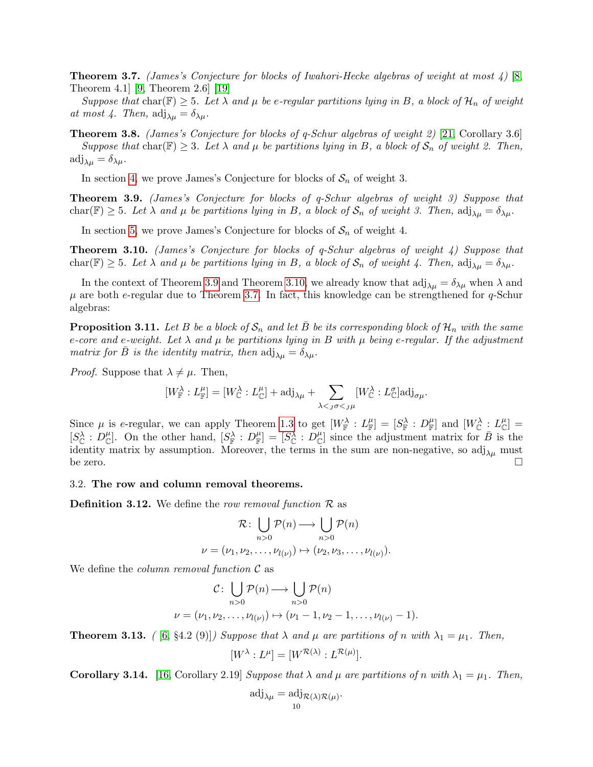<span id="page-9-2"></span>**Theorem 3.7.** (James's Conjecture for blocks of Iwahori-Hecke algebras of weight at most 4) [\[8,](#page-25-3) Theorem 4.1] [\[9,](#page-26-4) Theorem 2.6] [\[19\]](#page-26-3)

Suppose that char( $F$ )  $\geq$  5. Let  $\lambda$  and  $\mu$  be e-regular partitions lying in B, a block of  $\mathcal{H}_n$  of weight at most 4. Then,  $\text{adj}_{\lambda\mu} = \delta_{\lambda\mu}$ .

<span id="page-9-6"></span>**Theorem 3.8.** (James's Conjecture for blocks of q-Schur algebras of weight 2) [\[21,](#page-26-6) Corollary 3.6] Suppose that char( $F \geq 3$ . Let  $\lambda$  and  $\mu$  be partitions lying in B, a block of  $S_n$  of weight 2. Then,  $\mathrm{adj}_{\lambda\mu} = \delta_{\lambda\mu}.$ 

In section [4,](#page-14-0) we prove James's Conjecture for blocks of  $S_n$  of weight 3.

<span id="page-9-0"></span>Theorem 3.9. (James's Conjecture for blocks of q-Schur algebras of weight 3) Suppose that char(F)  $\geq$  5. Let  $\lambda$  and  $\mu$  be partitions lying in B, a block of  $S_n$  of weight 3. Then,  $\text{adj}_{\lambda\mu} = \delta_{\lambda\mu}$ .

In section [5,](#page-16-0) we prove James's Conjecture for blocks of  $S_n$  of weight 4.

<span id="page-9-1"></span>Theorem 3.10. (James's Conjecture for blocks of q-Schur algebras of weight 4) Suppose that char(F)  $\geq$  5. Let  $\lambda$  and  $\mu$  be partitions lying in B, a block of  $S_n$  of weight 4. Then,  $\text{adj}_{\lambda\mu} = \delta_{\lambda\mu}$ .

In the context of Theorem [3.9](#page-9-0) and Theorem [3.10,](#page-9-1) we already know that  $\text{adj}_{\lambda\mu} = \delta_{\lambda\mu}$  when  $\lambda$  and  $\mu$  are both e-regular due to Theorem [3.7.](#page-9-2) In fact, this knowledge can be strengthened for  $q$ -Schur algebras:

<span id="page-9-5"></span>**Proposition 3.11.** Let B be a block of  $S_n$  and let B be its corresponding block of  $\mathcal{H}_n$  with the same e-core and e-weight. Let  $\lambda$  and  $\mu$  be partitions lying in B with  $\mu$  being e-regular. If the adjustment matrix for B is the identity matrix, then  $\text{adj}_{\lambda\mu} = \delta_{\lambda\mu}$ .

*Proof.* Suppose that  $\lambda \neq \mu$ . Then,

$$
[W_{\mathbb{F}}^{\lambda}:L_{\mathbb{F}}^{\mu}]=[W_{\mathbb{C}}^{\lambda}:L_{\mathbb{C}}^{\mu}]+\textnormal{adj}_{\lambda\mu}+\sum_{\lambda<_{J}\sigma<_{J}\mu}[W_{\mathbb{C}}^{\lambda}:L_{\mathbb{C}}^{\sigma}]\textnormal{adj}_{\sigma\mu}.
$$

Since  $\mu$  is e-regular, we can apply Theorem [1.3](#page-1-1) to get  $[W_{\mathbb{F}}^{\lambda}: L_{\mathbb{F}}^{\mu}] = [S_{\mathbb{F}}^{\lambda}: D_{\mathbb{F}}^{\mu}]$  and  $[W_{\mathbb{C}}^{\lambda}: L_{\mathbb{C}}^{\mu}] =$  $[S^{\lambda}_{\mathbb{C}} : D^{\mu}_{\mathbb{C}}]$ . On the other hand,  $[S^{\lambda}_{\mathbb{F}} : D^{\mu}_{\mathbb{F}}] = [S^{\lambda}_{\mathbb{C}} : D^{\mu}_{\mathbb{C}}]$  since the adjustment matrix for  $\overline{B}$  is the identity matrix by assumption. Moreover, the terms in the sum are non-negative, so  $\mathrm{adj}_{\lambda\mu}$  must be zero.  $\square$ 

#### 3.2. The row and column removal theorems.

**Definition 3.12.** We define the row removal function  $\mathcal{R}$  as

$$
\mathcal{R} : \bigcup_{n>0} \mathcal{P}(n) \longrightarrow \bigcup_{n>0} \mathcal{P}(n)
$$

$$
\nu = (\nu_1, \nu_2, \dots, \nu_{l(\nu)}) \mapsto (\nu_2, \nu_3, \dots, \nu_{l(\nu)}).
$$

We define the *column removal function*  $\mathcal C$  as

$$
C: \bigcup_{n>0} \mathcal{P}(n) \longrightarrow \bigcup_{n>0} \mathcal{P}(n)
$$

$$
\nu = (\nu_1, \nu_2, \dots, \nu_{l(\nu)}) \mapsto (\nu_1 - 1, \nu_2 - 1, \dots, \nu_{l(\nu)} - 1).
$$

<span id="page-9-4"></span>**Theorem 3.13.** ( [\[6,](#page-25-6) §4.2 (9)]) Suppose that  $\lambda$  and  $\mu$  are partitions of n with  $\lambda_1 = \mu_1$ . Then,

$$
[W^{\lambda}:L^{\mu}]=[W^{\mathcal{R}(\lambda)}:L^{\mathcal{R}(\mu)}].
$$

<span id="page-9-3"></span>**Corollary 3.14.** [\[16,](#page-26-5) Corollary 2.19] Suppose that  $\lambda$  and  $\mu$  are partitions of n with  $\lambda_1 = \mu_1$ . Then,

$$
\mathrm{adj}_{\lambda\mu}=\mathrm{adj}_{\mathcal{R}(\lambda)\mathcal{R}(\mu)}.
$$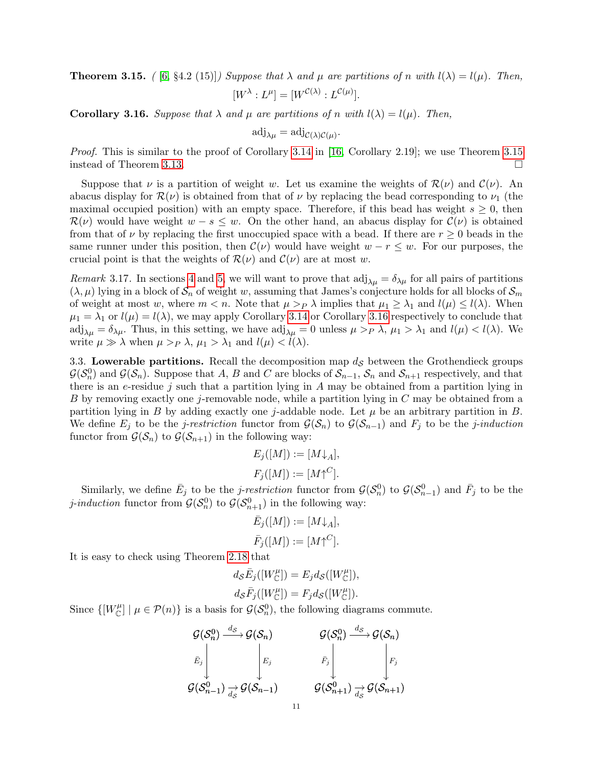<span id="page-10-0"></span>**Theorem 3.15.** ( [\[6,](#page-25-6) §4.2 (15)]) Suppose that  $\lambda$  and  $\mu$  are partitions of n with  $l(\lambda) = l(\mu)$ . Then,  $[W^{\lambda}:L^{\mu}]=[W^{\mathcal{C}(\lambda)}:L^{\mathcal{C}(\mu)}].$ 

<span id="page-10-1"></span>**Corollary 3.16.** Suppose that  $\lambda$  and  $\mu$  are partitions of n with  $l(\lambda) = l(\mu)$ . Then,

$$
\mathrm{adj}_{\lambda\mu}=\mathrm{adj}_{\mathcal{C}(\lambda)\mathcal{C}(\mu)}.
$$

*Proof.* This is similar to the proof of Corollary [3.14](#page-9-3) in [\[16,](#page-26-5) Corollary 2.19]; we use Theorem [3.15](#page-10-0) instead of Theorem [3.13.](#page-9-4)

Suppose that  $\nu$  is a partition of weight w. Let us examine the weights of  $\mathcal{R}(\nu)$  and  $\mathcal{C}(\nu)$ . An abacus display for  $\mathcal{R}(\nu)$  is obtained from that of  $\nu$  by replacing the bead corresponding to  $\nu_1$  (the maximal occupied position) with an empty space. Therefore, if this bead has weight  $s \geq 0$ , then  $\mathcal{R}(\nu)$  would have weight  $w - s \leq w$ . On the other hand, an abacus display for  $\mathcal{C}(\nu)$  is obtained from that of  $\nu$  by replacing the first unoccupied space with a bead. If there are  $r \geq 0$  beads in the same runner under this position, then  $\mathcal{C}(\nu)$  would have weight  $w - r \leq w$ . For our purposes, the crucial point is that the weights of  $\mathcal{R}(\nu)$  and  $\mathcal{C}(\nu)$  are at most w.

<span id="page-10-2"></span>Remark 3.17. In sections [4](#page-14-0) and [5,](#page-16-0) we will want to prove that  $\text{adj}_{\lambda\mu} = \delta_{\lambda\mu}$  for all pairs of partitions  $(\lambda, \mu)$  lying in a block of  $S_n$  of weight w, assuming that James's conjecture holds for all blocks of  $S_m$ of weight at most w, where  $m < n$ . Note that  $\mu >_P \lambda$  implies that  $\mu_1 \geq \lambda_1$  and  $l(\mu) \leq l(\lambda)$ . When  $\mu_1 = \lambda_1$  or  $l(\mu) = l(\lambda)$ , we may apply Corollary [3.14](#page-9-3) or Corollary [3.16](#page-10-1) respectively to conclude that  $\text{adj}_{\lambda\mu} = \delta_{\lambda\mu}$ . Thus, in this setting, we have  $\text{adj}_{\lambda\mu} = 0$  unless  $\mu >_P \lambda$ ,  $\mu_1 > \lambda_1$  and  $l(\mu) < l(\lambda)$ . We write  $\mu \gg \lambda$  when  $\mu >_P \lambda$ ,  $\mu_1 > \lambda_1$  and  $l(\mu) < l(\lambda)$ .

3.3. Lowerable partitions. Recall the decomposition map  $d<sub>S</sub>$  between the Grothendieck groups  $\mathcal{G}(\mathcal{S}_n^0)$  and  $\mathcal{G}(\mathcal{S}_n)$ . Suppose that A, B and C are blocks of  $\mathcal{S}_{n-1}$ ,  $\mathcal{S}_n$  and  $\mathcal{S}_{n+1}$  respectively, and that there is an e-residue j such that a partition lying in  $A$  may be obtained from a partition lying in B by removing exactly one j-removable node, while a partition lying in C may be obtained from a partition lying in B by adding exactly one j-addable node. Let  $\mu$  be an arbitrary partition in B. We define  $E_j$  to be the j-restriction functor from  $\mathcal{G}(\mathcal{S}_n)$  to  $\mathcal{G}(\mathcal{S}_{n-1})$  and  $F_j$  to be the j-induction functor from  $\mathcal{G}(\mathcal{S}_n)$  to  $\mathcal{G}(\mathcal{S}_{n+1})$  in the following way:

$$
E_j([M]) := [M \downarrow_A],
$$
  

$$
F_j([M]) := [M \uparrow^C].
$$

Similarly, we define  $\bar{E}_j$  to be the *j-restriction* functor from  $\mathcal{G}(\mathcal{S}_n^0)$  to  $\mathcal{G}(\mathcal{S}_{n-1}^0)$  and  $\bar{F}_j$  to be the *j*-induction functor from  $\mathcal{G}(\mathcal{S}_n^0)$  to  $\mathcal{G}(\mathcal{S}_{n+1}^0)$  in the following way:

$$
\bar{E}_j([M]):=[M\downarrow_A],
$$
  

$$
\bar{F}_j([M]):=[M\uparrow^C].
$$

It is easy to check using Theorem [2.18](#page-5-1) that

$$
d_{\mathcal{S}}\bar{E}_j([W^{\mu}_{\mathbb{C}}]) = E_j d_{\mathcal{S}}([W^{\mu}_{\mathbb{C}}]),
$$
  

$$
d_{\mathcal{S}}\bar{F}_j([W^{\mu}_{\mathbb{C}}]) = F_j d_{\mathcal{S}}([W^{\mu}_{\mathbb{C}}]).
$$

Since  $\{[W_{\mathbb{C}}^{\mu}] \mid \mu \in \mathcal{P}(n)\}\$ is a basis for  $\mathcal{G}(\mathcal{S}_n^0)$ , the following diagrams commute.

$$
\begin{array}{ccc} {\mathcal{G}}({\mathcal{S}}_n^0) \stackrel{d_S}{\longrightarrow} {\mathcal{G}}({\mathcal{S}}_n) & {\mathcal{G}}({\mathcal{S}}_n^0) \stackrel{d_S}{\longrightarrow} {\mathcal{G}}({\mathcal{S}}_n) \\ \bar{E}_j & \bar{F}_j & \bar{F}_j \end{array} \bigg|_{F_j} \\ {\mathcal{G}}({\mathcal{S}}_{n-1}^0) \stackrel{\rightarrow}{\underset{d_S}{\rightarrow}} {\mathcal{G}}({\mathcal{S}}_{n-1}^0) & {\mathcal{G}}({\mathcal{S}}_{n+1}^0) \stackrel{\rightarrow}{\underset{d_S}{\rightarrow}} {\mathcal{G}}({\mathcal{S}}_{n+1}^0) \end{array}
$$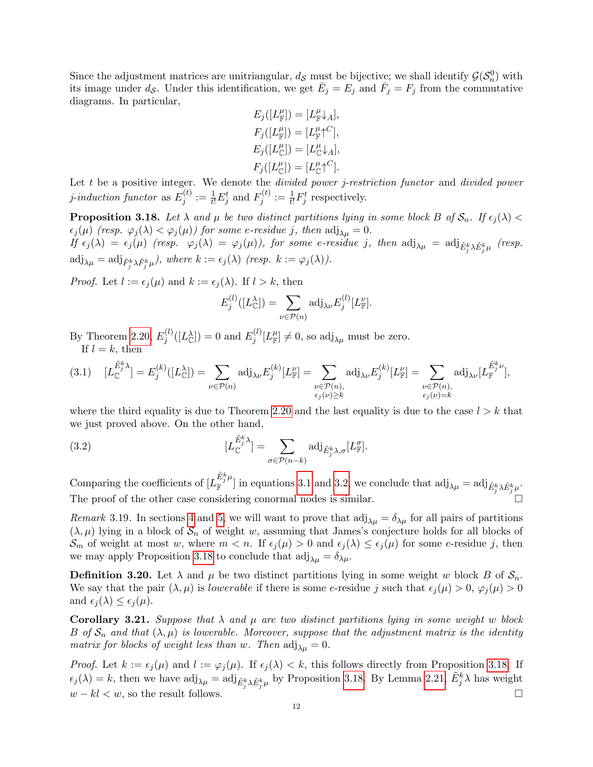Since the adjustment matrices are unitriangular,  $d_{\mathcal{S}}$  must be bijective; we shall identify  $\mathcal{G}(\mathcal{S}_n^0)$  with its image under  $d_{\mathcal{S}}$ . Under this identification, we get  $\bar{E}_j = E_j$  and  $\bar{F}_j = F_j$  from the commutative diagrams. In particular,

$$
E_j([L_{\mathbb{F}}^{\mu}]) = [L_{\mathbb{F}}^{\mu} \downarrow_A],
$$
  
\n
$$
F_j([L_{\mathbb{F}}^{\mu}]) = [L_{\mathbb{F}}^{\mu} \uparrow^{C}],
$$
  
\n
$$
E_j([L_{\mathbb{C}}^{\mu}]) = [L_{\mathbb{C}}^{\mu} \downarrow_A],
$$
  
\n
$$
F_j([L_{\mathbb{C}}^{\mu}]) = [L_{\mathbb{C}}^{\mu} \uparrow^{C}].
$$

Let  $t$  be a positive integer. We denote the *divided power j-restriction functor* and *divided power j*-induction functor as  $E_i^{(t)}$  $j_i^{(t)} := \frac{1}{t!} E_j^t$  and  $F_j^{(t)}$  $j_i^{(t)} := \frac{1}{t!} F_j^t$  respectively.

<span id="page-11-2"></span>**Proposition 3.18.** Let  $\lambda$  and  $\mu$  be two distinct partitions lying in some block B of  $S_n$ . If  $\epsilon_i(\lambda)$  <  $\epsilon_j(\mu)$  (resp.  $\varphi_j(\lambda) < \varphi_j(\mu)$ ) for some e-residue j, then  $\text{adj}_{\lambda\mu} = 0$ .  $\begin{array}{rcl} \textit{If~}\epsilon_j (\lambda) \; = \; \epsilon_j (\mu) \; \; \textit{(resp.} \;\;\; \varphi_j (\lambda) \; = \; \varphi_j (\mu) \textit{)}, \; \textit{for some} \; \textit{e-residue} \; \; j, \; \textit{then} \; \; \text{adj}_{\lambda \mu} \; = \; \text{adj}_{\tilde{E}^k_j \lambda \tilde{E}^k_j \mu} \; \; \textit{(resp.} \end{array}$  $\mathrm{adj}_{\lambda\mu} = \mathrm{adj}_{\tilde{F}_j^k \lambda \tilde{F}_j^k \mu}), \text{ where } k := \epsilon_j(\lambda) \text{ (resp. } k := \varphi_j(\lambda)).$ 

*Proof.* Let  $l := \epsilon_i(\mu)$  and  $k := \epsilon_i(\lambda)$ . If  $l > k$ , then

<span id="page-11-1"></span>
$$
E_j^{(l)}([L^{\lambda}_{\mathbb{C}}]) = \sum_{\nu \in \mathcal{P}(n)} \text{adj}_{\lambda \nu} E_j^{(l)}[L^{\nu}_{\mathbb{F}}].
$$

By Theorem [2.20,](#page-6-0)  $E_i^{(l)}$  $j^{(l)}([L_{\mathbb{C}}^{\lambda}])=0$  and  $E_j^{(l)}$  $j^{(l)}[L_{\mathbb{F}}^{\mu}] \neq 0$ , so adj<sub> $\lambda \mu$ </sub> must be zero. If  $l = k$ , then

<span id="page-11-0"></span>
$$
(3.1) \quad [L_{\mathbb{C}}^{\tilde{E}^k_j \lambda}] = E_j^{(k)}([L_{\mathbb{C}}^{\lambda}]) = \sum_{\nu \in \mathcal{P}(n)} \text{adj}_{\lambda \nu} E_j^{(k)}[L_{\mathbb{F}}^{\nu}] = \sum_{\substack{\nu \in \mathcal{P}(n), \\ \epsilon_j(\nu) \ge k}} \text{adj}_{\lambda \nu} E_j^{(k)}[L_{\mathbb{F}}^{\nu}] = \sum_{\substack{\nu \in \mathcal{P}(n), \\ \epsilon_j(\nu) = k}} \text{adj}_{\lambda \nu} [L_{\mathbb{F}}^{\tilde{E}^k_j \nu}],
$$

where the third equality is due to Theorem [2.20](#page-6-0) and the last equality is due to the case  $l > k$  that we just proved above. On the other hand,

(3.2) 
$$
[L_{\mathbb{C}}^{\tilde{E}_{j}^{k}}] = \sum_{\sigma \in \mathcal{P}(n-k)} \text{adj}_{\tilde{E}_{j}^{k},\lambda,\sigma}[L_{\mathbb{F}}^{\sigma}].
$$

Comparing the coefficients of  $[L_{\mathbb{F}}^{\tilde{E}^k_j \mu}]$  $\mathbb{E}[\mathbb{F}^{\mu}]$  in equations [3.1](#page-11-0) and [3.2,](#page-11-1) we conclude that  $\text{adj}_{\lambda\mu} = \text{adj}_{\tilde{E}_{j}^{k}\lambda \tilde{E}_{j}^{k}\mu}$ . The proof of the other case considering conormal nodes is similar.

<span id="page-11-4"></span>Remark 3.19. In sections [4](#page-14-0) and [5,](#page-16-0) we will want to prove that  $\text{adj}_{\lambda\mu} = \delta_{\lambda\mu}$  for all pairs of partitions  $(\lambda, \mu)$  lying in a block of  $S_n$  of weight w, assuming that James's conjecture holds for all blocks of  $\mathcal{S}_m$  of weight at most w, where  $m < n$ . If  $\epsilon_j(\mu) > 0$  and  $\epsilon_j(\lambda) \leq \epsilon_j(\mu)$  for some e-residue j, then we may apply Proposition [3.18](#page-11-2) to conclude that  $\text{adj}_{\lambda\mu} = \delta_{\lambda\mu}$ .

<span id="page-11-3"></span>**Definition 3.20.** Let  $\lambda$  and  $\mu$  be two distinct partitions lying in some weight w block B of  $S_n$ . We say that the pair  $(\lambda, \mu)$  is lowerable if there is some e-residue j such that  $\epsilon_i(\mu) > 0$ ,  $\varphi_i(\mu) > 0$ and  $\epsilon_j(\lambda) \leq \epsilon_j(\mu)$ .

<span id="page-11-5"></span>Corollary 3.21. Suppose that  $\lambda$  and  $\mu$  are two distinct partitions lying in some weight w block B of  $S_n$  and that  $(\lambda, \mu)$  is lowerable. Moreover, suppose that the adjustment matrix is the identity matrix for blocks of weight less than w. Then  $\text{adj}_{\lambda\mu} = 0$ .

*Proof.* Let  $k := \epsilon_j(\mu)$  and  $l := \varphi_j(\mu)$ . If  $\epsilon_j(\lambda) < k$ , this follows directly from Proposition [3.18.](#page-11-2) If  $\epsilon_j(\lambda) = k$ , then we have  $\text{adj}_{\lambda\mu} = \text{adj}_{\tilde{E}_j^k \lambda \tilde{E}_j^k \mu}$  by Proposition [3.18.](#page-11-2) By Lemma [2.21,](#page-6-1)  $\tilde{E}_j^k \lambda$  has weight  $w - kl < w$ , so the result follows.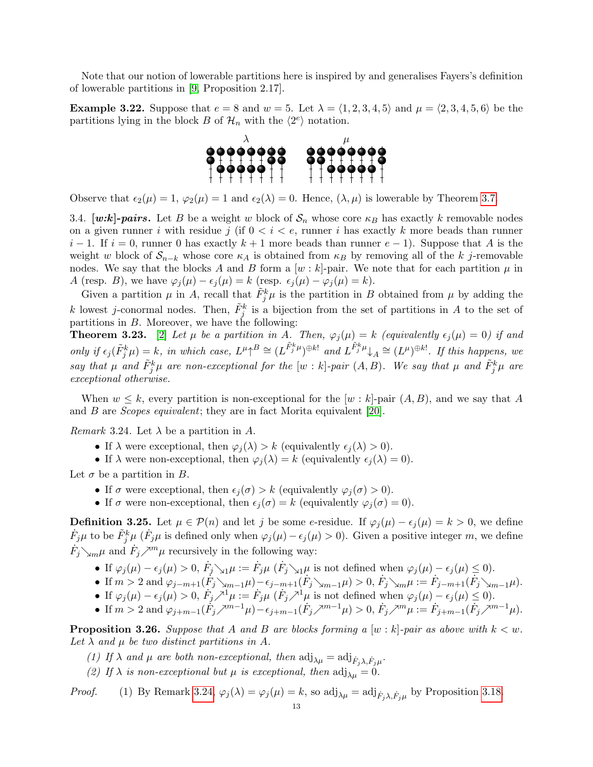Note that our notion of lowerable partitions here is inspired by and generalises Fayers's definition of lowerable partitions in [\[9,](#page-26-4) Proposition 2.17].

**Example 3.22.** Suppose that  $e = 8$  and  $w = 5$ . Let  $\lambda = \langle 1, 2, 3, 4, 5 \rangle$  and  $\mu = \langle 2, 3, 4, 5, 6 \rangle$  be the partitions lying in the block B of  $\mathcal{H}_n$  with the  $\langle 2^e \rangle$  notation.



Observe that  $\epsilon_2(\mu) = 1$ ,  $\varphi_2(\mu) = 1$  and  $\epsilon_2(\lambda) = 0$ . Hence,  $(\lambda, \mu)$  is lowerable by Theorem [3.7.](#page-9-2)

3.4. [w:k]-pairs. Let B be a weight w block of  $S_n$  whose core  $\kappa_B$  has exactly k removable nodes on a given runner i with residue j (if  $0 < i < e$ , runner i has exactly k more beads than runner  $i-1$ . If  $i=0$ , runner 0 has exactly  $k+1$  more beads than runner  $e-1$ ). Suppose that A is the weight w block of  $S_{n-k}$  whose core  $\kappa_A$  is obtained from  $\kappa_B$  by removing all of the k j-removable nodes. We say that the blocks A and B form a  $[w : k]$ -pair. We note that for each partition  $\mu$  in A (resp. B), we have  $\varphi_j(\mu) - \epsilon_j(\mu) = k$  (resp.  $\epsilon_j(\mu) - \varphi_j(\mu) = k$ ).

Given a partition  $\mu$  in A, recall that  $\tilde{F}_j^k \mu$  is the partition in B obtained from  $\mu$  by adding the k lowest j-conormal nodes. Then,  $\tilde{F}_j^k$  is a bijection from the set of partitions in A to the set of partitions in B. Moreover, we have the following:

**Theorem 3.23.** [\[2\]](#page-25-5) Let  $\mu$  be a partition in A. Then,  $\varphi_i(\mu) = k$  (equivalently  $\epsilon_i(\mu) = 0$ ) if and only if  $\epsilon_j(\tilde{F}_j^k\mu) = k$ , in which case,  $L^{\mu} \uparrow^B \cong (L^{\tilde{F}_j^k\mu})^{\oplus k!}$  and  $L^{\tilde{F}_j^k\mu} \downarrow_A \cong (L^{\mu})^{\oplus k!}$ . If this happens, we say that  $\mu$  and  $\tilde{F}^k_j\mu$  are non-exceptional for the  $[w:k]$ -pair  $(A, B)$ . We say that  $\mu$  and  $\tilde{F}^k_j\mu$  are exceptional otherwise.

When  $w \leq k$ , every partition is non-exceptional for the  $[w : k]$ -pair  $(A, B)$ , and we say that A and B are Scopes equivalent; they are in fact Morita equivalent [\[20\]](#page-26-15).

<span id="page-12-0"></span>*Remark* 3.24. Let  $\lambda$  be a partition in A.

- If  $\lambda$  were exceptional, then  $\varphi_i(\lambda) > k$  (equivalently  $\epsilon_i(\lambda) > 0$ ).
- If  $\lambda$  were non-exceptional, then  $\varphi_i(\lambda) = k$  (equivalently  $\epsilon_i(\lambda) = 0$ ).

Let  $\sigma$  be a partition in B.

- If  $\sigma$  were exceptional, then  $\epsilon_i(\sigma) > k$  (equivalently  $\varphi_i(\sigma) > 0$ ).
- If  $\sigma$  were non-exceptional, then  $\epsilon_j(\sigma) = k$  (equivalently  $\varphi_i(\sigma) = 0$ ).

<span id="page-12-2"></span>**Definition 3.25.** Let  $\mu \in \mathcal{P}(n)$  and let j be some e-residue. If  $\varphi_i(\mu) - \epsilon_i(\mu) = k > 0$ , we define  $\dot{F}_{j}\mu$  to be  $\tilde{F}_{j}^{k}\mu$  ( $\dot{F}_{j}\mu$  is defined only when  $\varphi_{j}(\mu) - \epsilon_{j}(\mu) > 0$ ). Given a positive integer m, we define  $\dot{F}_j \searrow_m \mu$  and  $\dot{F}_j \nearrow^m \mu$  recursively in the following way:

- If  $\varphi_j(\mu) \epsilon_j(\mu) > 0$ ,  $\dot{F}_j \searrow_1 \mu := \dot{F}_j \mu$   $(\dot{F}_j \searrow_1 \mu$  is not defined when  $\varphi_j(\mu) \epsilon_j(\mu) \le 0$ .
- If  $m > 2$  and  $\varphi_{j-m+1}(\dot{F}_j \searrow_{m-1} \mu) \epsilon_{j-m+1}(\dot{F}_j \searrow_{m-1} \mu) > 0$ ,  $\dot{F}_j \searrow_m \mu := \dot{F}_j m+1(\dot{F}_j \searrow_{m-1} \mu)$ .
- If  $\varphi_j(\mu) \epsilon_j(\mu) > 0$ ,  $\dot{F}_j \nearrow^1 \mu := \dot{F}_j \mu \, (\dot{F}_j \nearrow^1 \mu \text{ is not defined when } \varphi_j(\mu) \epsilon_j(\mu) \leq 0$ .
- If  $m > 2$  and  $\varphi_{j+m-1}(\dot{F}_j \nearrow^{m-1} \mu) \epsilon_{j+m-1}(\dot{F}_j \nearrow^{m-1} \mu) > 0$ ,  $\dot{F}_j \nearrow^m \mu := \dot{F}_{j+m-1}(\dot{F}_j \nearrow^{m-1} \mu)$ .

<span id="page-12-1"></span>**Proposition 3.26.** Suppose that A and B are blocks forming a  $[w : k]$ -pair as above with  $k < w$ . Let  $\lambda$  and  $\mu$  be two distinct partitions in A.

- (1) If  $\lambda$  and  $\mu$  are both non-exceptional, then  $\text{adj}_{\lambda\mu} = \text{adj}_{\dot{F}_{j}\lambda, \dot{F}_{j}\mu}$ .
- (2) If  $\lambda$  is non-exceptional but  $\mu$  is exceptional, then  $\text{adj}_{\lambda\mu} = 0$ .

*Proof.* (1) By Remark [3.24,](#page-12-0)  $\varphi_j(\lambda) = \varphi_j(\mu) = k$ , so  $\text{adj}_{\lambda\mu} = \text{adj}_{\dot{F}_j\lambda, \dot{F}_j\mu}$  by Proposition [3.18.](#page-11-2)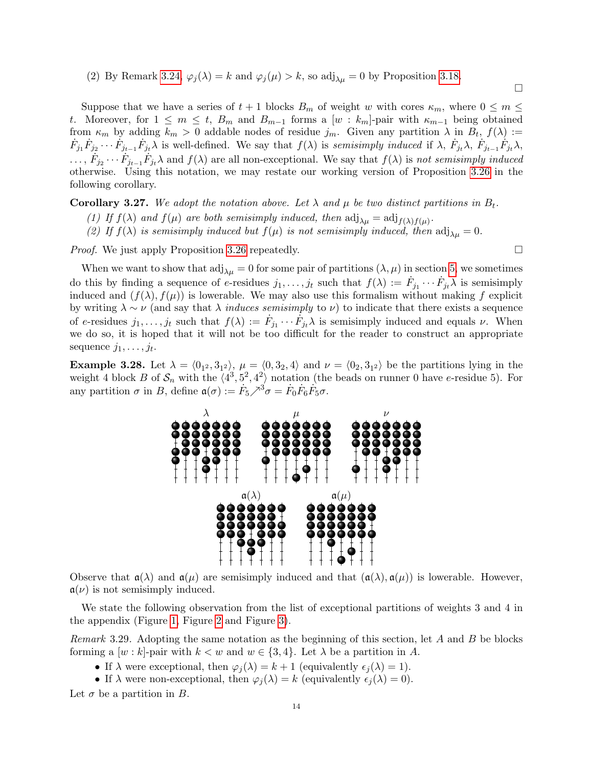(2) By Remark [3.24,](#page-12-0)  $\varphi_j(\lambda) = k$  and  $\varphi_j(\mu) > k$ , so adj<sub> $\lambda \mu$ </sub> = 0 by Proposition [3.18.](#page-11-2)

 $\Box$ 

Suppose that we have a series of  $t + 1$  blocks  $B_m$  of weight w with cores  $\kappa_m$ , where  $0 \leq m \leq$ t. Moreover, for  $1 \leq m \leq t$ ,  $B_m$  and  $B_{m-1}$  forms a  $[w : k_m]$ -pair with  $\kappa_{m-1}$  being obtained from  $\kappa_m$  by adding  $k_m > 0$  addable nodes of residue  $j_m$ . Given any partition  $\lambda$  in  $B_t$ ,  $f(\lambda) :=$  $\dot{F}_{j_1}\dot{F}_{j_2}\cdots\dot{F}_{j_{t-1}}\dot{F}_{j_t}\lambda$  is well-defined. We say that  $f(\lambda)$  is semisimply induced if  $\lambda$ ,  $\dot{F}_{j_t}\lambda$ ,  $\dot{F}_{j_{t-1}}\dot{F}_{j_t}\lambda$ ,  $\ldots, \dot{F}_{j_2} \cdots \dot{F}_{j_{t-1}} \dot{F}_{j_t} \lambda$  and  $f(\lambda)$  are all non-exceptional. We say that  $f(\lambda)$  is not semisimply induced otherwise. Using this notation, we may restate our working version of Proposition [3.26](#page-12-1) in the following corollary.

<span id="page-13-1"></span>**Corollary 3.27.** We adopt the notation above. Let  $\lambda$  and  $\mu$  be two distinct partitions in  $B_t$ .

- (1) If  $f(\lambda)$  and  $f(\mu)$  are both semisimply induced, then  $\text{adj}_{\lambda\mu} = \text{adj}_{f(\lambda)f(\mu)}$ .
- (2) If  $f(\lambda)$  is semisimply induced but  $f(\mu)$  is not semisimply induced, then  $\text{adj}_{\lambda\mu} = 0$ .

*Proof.* We just apply Proposition [3.26](#page-12-1) repeatedly.  $\square$ 

When we want to show that  $\text{adj}_{\lambda\mu} = 0$  for some pair of partitions  $(\lambda, \mu)$  in section [5,](#page-16-0) we sometimes do this by finding a sequence of e-residues  $j_1, \ldots, j_t$  such that  $f(\lambda) := \dot{F}_{j_1} \cdots \dot{F}_{j_t} \lambda$  is semisimply induced and  $(f(\lambda), f(\mu))$  is lowerable. We may also use this formalism without making f explicit by writing  $\lambda \sim \nu$  (and say that  $\lambda$  *induces semisimply to v*) to indicate that there exists a sequence of e-residues  $j_1,\ldots,j_t$  such that  $f(\lambda) := \dot{F}_{j_1}\cdots\dot{F}_{j_t}\lambda$  is semisimply induced and equals  $\nu$ . When we do so, it is hoped that it will not be too difficult for the reader to construct an appropriate sequence  $j_1, \ldots, j_t$ .

**Example 3.28.** Let  $\lambda = \langle 0_{1^2}, 3_{1^2} \rangle$ ,  $\mu = \langle 0, 3_2, 4 \rangle$  and  $\nu = \langle 0_2, 3_{1^2} \rangle$  be the partitions lying in the weight 4 block B of  $\mathcal{S}_n$  with the  $\langle 4^3, 5^2, 4^2 \rangle$  notation (the beads on runner 0 have e-residue 5). For any partition  $\sigma$  in B, define  $\mathfrak{a}(\sigma) := \dot{F}_5 \nearrow^3 \sigma = \dot{F}_0 \dot{F}_6 \dot{F}_5 \sigma$ .



Observe that  $\mathfrak{a}(\lambda)$  and  $\mathfrak{a}(\mu)$  are semisimply induced and that  $(\mathfrak{a}(\lambda), \mathfrak{a}(\mu))$  is lowerable. However,  $a(\nu)$  is not semisimply induced.

We state the following observation from the list of exceptional partitions of weights 3 and 4 in the appendix (Figure [1,](#page-26-16) Figure [2](#page-26-17) and Figure [3\)](#page-27-0).

<span id="page-13-0"></span>Remark 3.29. Adopting the same notation as the beginning of this section, let  $A$  and  $B$  be blocks forming a  $[w : k]$ -pair with  $k < w$  and  $w \in \{3, 4\}$ . Let  $\lambda$  be a partition in A.

- If  $\lambda$  were exceptional, then  $\varphi_i(\lambda) = k + 1$  (equivalently  $\epsilon_i(\lambda) = 1$ ).
- If  $\lambda$  were non-exceptional, then  $\varphi_i(\lambda) = k$  (equivalently  $\epsilon_i(\lambda) = 0$ ).

Let  $\sigma$  be a partition in B.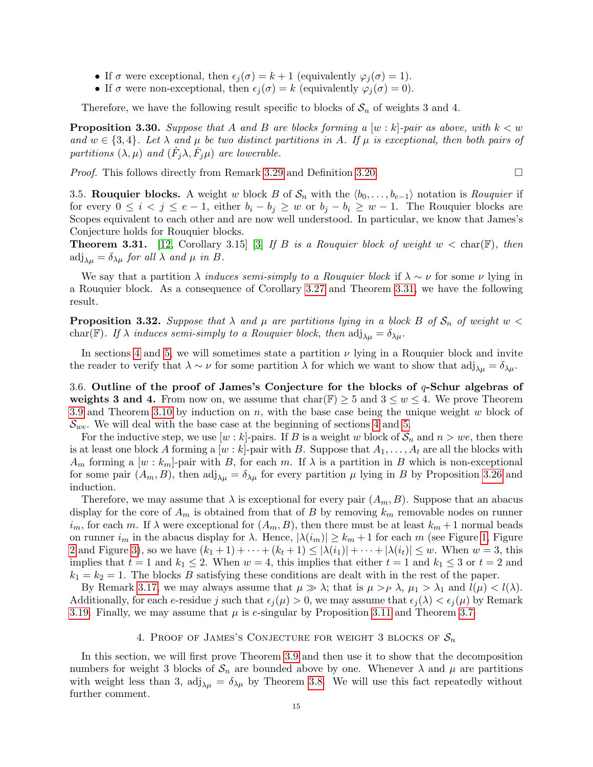- If  $\sigma$  were exceptional, then  $\epsilon_i(\sigma) = k + 1$  (equivalently  $\varphi_i(\sigma) = 1$ ).
- If  $\sigma$  were non-exceptional, then  $\epsilon_j (\sigma) = k$  (equivalently  $\varphi_j (\sigma) = 0$ ).

Therefore, we have the following result specific to blocks of  $S_n$  of weights 3 and 4.

<span id="page-14-3"></span>**Proposition 3.30.** Suppose that A and B are blocks forming a  $[w : k]$ -pair as above, with  $k < w$ and  $w \in \{3, 4\}$ . Let  $\lambda$  and  $\mu$  be two distinct partitions in A. If  $\mu$  is exceptional, then both pairs of partitions  $(\lambda, \mu)$  and  $(\dot{F}_j \lambda, \dot{F}_j \mu)$  are lowerable.

Proof. This follows directly from Remark [3.29](#page-13-0) and Definition [3.20.](#page-11-3)

3.5. Rouquier blocks. A weight w block B of  $S_n$  with the  $\langle b_0, \ldots, b_{e-1} \rangle$  notation is Rouquier if for every  $0 \le i \le j \le e-1$ , either  $b_i - b_j \ge w$  or  $b_j - b_i \ge w-1$ . The Rouquier blocks are Scopes equivalent to each other and are now well understood. In particular, we know that James's Conjecture holds for Rouquier blocks.

<span id="page-14-1"></span>**Theorem 3.31.** [\[12,](#page-26-18) Corollary 3.15] [\[3\]](#page-25-7) If B is a Rouquier block of weight  $w < \text{char}(\mathbb{F})$ , then  $\text{adj}_{\lambda\mu} = \delta_{\lambda\mu}$  for all  $\lambda$  and  $\mu$  in B.

We say that a partition  $\lambda$  *induces semi-simply to a Rouquier block* if  $\lambda \sim \nu$  for some  $\nu$  lying in a Rouquier block. As a consequence of Corollary [3.27](#page-13-1) and Theorem [3.31,](#page-14-1) we have the following result.

<span id="page-14-2"></span>**Proposition 3.32.** Suppose that  $\lambda$  and  $\mu$  are partitions lying in a block B of  $S_n$  of weight  $w <$ char(F). If  $\lambda$  induces semi-simply to a Rouquier block, then  $\text{adj}_{\lambda\mu} = \delta_{\lambda\mu}$ .

In sections [4](#page-14-0) and [5,](#page-16-0) we will sometimes state a partition  $\nu$  lying in a Rouquier block and invite the reader to verify that  $\lambda \sim \nu$  for some partition  $\lambda$  for which we want to show that  $\text{adj}_{\lambda\mu} = \delta_{\lambda\mu}$ .

<span id="page-14-4"></span>3.6. Outline of the proof of James's Conjecture for the blocks of  $q$ -Schur algebras of weights 3 and 4. From now on, we assume that  $char(\mathbb{F}) \geq 5$  and  $3 \leq w \leq 4$ . We prove Theorem [3.9](#page-9-0) and Theorem [3.10](#page-9-1) by induction on  $n$ , with the base case being the unique weight w block of  $\mathcal{S}_{we}$ . We will deal with the base case at the beginning of sections [4](#page-14-0) and [5.](#page-16-0)

For the inductive step, we use  $[w : k]$ -pairs. If B is a weight w block of  $S_n$  and  $n > we$ , then there is at least one block A forming a  $[w : k]$ -pair with B. Suppose that  $A_1, \ldots, A_t$  are all the blocks with  $A_m$  forming a  $[w : k_m]$ -pair with B, for each m. If  $\lambda$  is a partition in B which is non-exceptional for some pair  $(A_m, B)$ , then adj<sub> $\lambda \mu = \delta_{\lambda \mu}$  for every partition  $\mu$  lying in B by Proposition [3.26](#page-12-1) and</sub> induction.

Therefore, we may assume that  $\lambda$  is exceptional for every pair  $(A_m, B)$ . Suppose that an abacus display for the core of  $A_m$  is obtained from that of B by removing  $k_m$  removable nodes on runner  $i_m$ , for each m. If  $\lambda$  were exceptional for  $(A_m, B)$ , then there must be at least  $k_m + 1$  normal beads on runner  $i_m$  in the abacus display for  $\lambda$ . Hence,  $|\lambda(i_m)| \geq k_m + 1$  for each m (see Figure [1,](#page-26-16) Figure [2](#page-26-17) and Figure [3\)](#page-27-0), so we have  $(k_1 + 1) + \cdots + (k_t + 1) \leq |\lambda(i_1)| + \cdots + |\lambda(i_t)| \leq w$ . When  $w = 3$ , this implies that  $t = 1$  and  $k_1 \leq 2$ . When  $w = 4$ , this implies that either  $t = 1$  and  $k_1 \leq 3$  or  $t = 2$  and  $k_1 = k_2 = 1$ . The blocks B satisfying these conditions are dealt with in the rest of the paper.

By Remark [3.17,](#page-10-2) we may always assume that  $\mu \gg \lambda$ ; that is  $\mu >_P \lambda$ ,  $\mu_1 > \lambda_1$  and  $l(\mu) < l(\lambda)$ . Additionally, for each e-residue j such that  $\epsilon_i (\mu) > 0$ , we may assume that  $\epsilon_i (\lambda) < \epsilon_i (\mu)$  by Remark [3.19.](#page-11-4) Finally, we may assume that  $\mu$  is e-singular by Proposition [3.11](#page-9-5) and Theorem [3.7.](#page-9-2)

#### 4. PROOF OF JAMES'S CONJECTURE FOR WEIGHT 3 BLOCKS OF  $S_n$

<span id="page-14-0"></span>In this section, we will first prove Theorem [3.9](#page-9-0) and then use it to show that the decomposition numbers for weight 3 blocks of  $S_n$  are bounded above by one. Whenever  $\lambda$  and  $\mu$  are partitions with weight less than 3,  $\text{adj}_{\lambda\mu} = \delta_{\lambda\mu}$  by Theorem [3.8.](#page-9-6) We will use this fact repeatedly without further comment.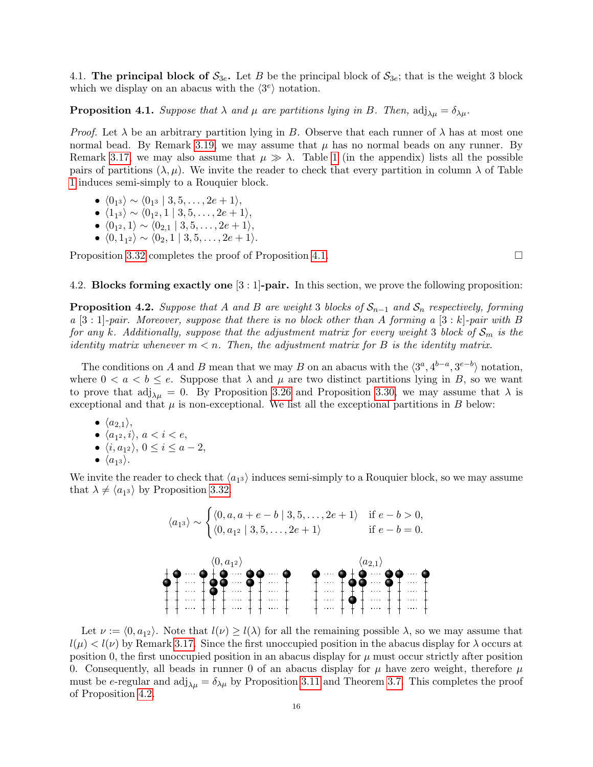<span id="page-15-2"></span>4.1. The principal block of  $S_{3e}$ . Let B be the principal block of  $S_{3e}$ ; that is the weight 3 block which we display on an abacus with the  $\langle 3^e \rangle$  notation.

<span id="page-15-0"></span>**Proposition 4.1.** Suppose that  $\lambda$  and  $\mu$  are partitions lying in B. Then,  $\text{adj}_{\lambda\mu} = \delta_{\lambda\mu}$ .

*Proof.* Let  $\lambda$  be an arbitrary partition lying in B. Observe that each runner of  $\lambda$  has at most one normal bead. By Remark [3.19,](#page-11-4) we may assume that  $\mu$  has no normal beads on any runner. By Remark [3.17,](#page-10-2) we may also assume that  $\mu \gg \lambda$ . Table [1](#page-27-1) (in the appendix) lists all the possible pairs of partitions  $(\lambda, \mu)$ . We invite the reader to check that every partition in column  $\lambda$  of Table [1](#page-27-1) induces semi-simply to a Rouquier block.

- $\langle 0_{1^3} \rangle \sim \langle 0_{1^3} | 3, 5, \ldots, 2e + 1 \rangle$ ,
- $\langle 1_{1^3} \rangle \sim \langle 0_{1^2}, 1 | 3, 5, \ldots, 2e + 1 \rangle,$
- $\bullet \langle 0_{1^2}, 1 \rangle \sim \langle 0_{2,1} | 3, 5, \ldots, 2e + 1 \rangle,$
- $\langle 0, 1_{1^2} \rangle \sim \langle 0_2, 1 | 3, 5, \ldots, 2e + 1 \rangle.$

Proposition [3.32](#page-14-2) completes the proof of Proposition [4.1.](#page-15-0)

4.2. **Blocks forming exactly one**  $[3:1]$ **-pair.** In this section, we prove the following proposition:

<span id="page-15-1"></span>**Proposition 4.2.** Suppose that A and B are weight 3 blocks of  $S_{n-1}$  and  $S_n$  respectively, forming  $a [3:1]$ -pair. Moreover, suppose that there is no block other than A forming  $a [3:k]$ -pair with B for any k. Additionally, suppose that the adjustment matrix for every weight 3 block of  $S_m$  is the identity matrix whenever  $m < n$ . Then, the adjustment matrix for B is the identity matrix.

The conditions on A and B mean that we may B on an abacus with the  $\langle 3^a, 4^{b-a}, 3^{e-b} \rangle$  notation, where  $0 < a < b \le e$ . Suppose that  $\lambda$  and  $\mu$  are two distinct partitions lying in B, so we want to prove that  $\text{adj}_{\lambda\mu} = 0$ . By Proposition [3.26](#page-12-1) and Proposition [3.30,](#page-14-3) we may assume that  $\lambda$  is exceptional and that  $\mu$  is non-exceptional. We list all the exceptional partitions in B below:

- $\langle a_{2,1} \rangle$ ,
- $\langle a_{1^2}, i \rangle$ ,  $a < i < e$ ,
- $\langle i, a_{1^2} \rangle$ ,  $0 \le i \le a 2$ ,
- $\bullet\ \langle a_1$  $_3$   $\rangle$  .

We invite the reader to check that  $\langle a_{13} \rangle$  induces semi-simply to a Rouquier block, so we may assume that  $\lambda \neq \langle a_{13} \rangle$  by Proposition [3.32.](#page-14-2)



Let  $\nu := \langle 0, a_{12} \rangle$ . Note that  $l(\nu) \geq l(\lambda)$  for all the remaining possible  $\lambda$ , so we may assume that  $l(\mu) < l(\nu)$  by Remark [3.17.](#page-10-2) Since the first unoccupied position in the abacus display for  $\lambda$  occurs at position 0, the first unoccupied position in an abacus display for  $\mu$  must occur strictly after position 0. Consequently, all beads in runner 0 of an abacus display for  $\mu$  have zero weight, therefore  $\mu$ must be e-regular and  $\text{adj}_{\lambda\mu} = \delta_{\lambda\mu}$  by Proposition [3.11](#page-9-5) and Theorem [3.7.](#page-9-2) This completes the proof of Proposition [4.2.](#page-15-1)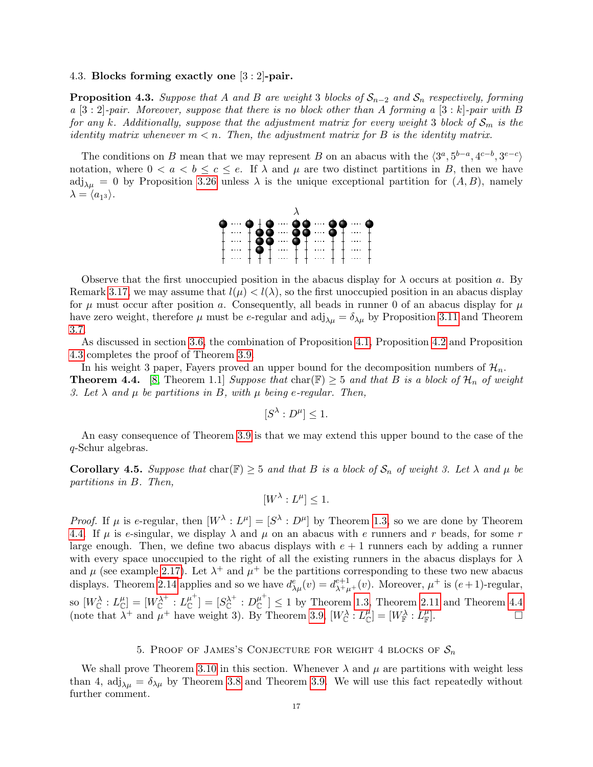#### 4.3. Blocks forming exactly one [3 : 2]-pair.

<span id="page-16-1"></span>**Proposition 4.3.** Suppose that A and B are weight 3 blocks of  $S_{n-2}$  and  $S_n$  respectively, forming  $a \ [3:2]$ -pair. Moreover, suppose that there is no block other than A forming a  $[3:k]$ -pair with B for any k. Additionally, suppose that the adjustment matrix for every weight 3 block of  $S_m$  is the identity matrix whenever  $m < n$ . Then, the adjustment matrix for B is the identity matrix.

The conditions on B mean that we may represent B on an abacus with the  $\langle 3^a, 5^{b-a}, 4^{c-b}, 3^{e-c} \rangle$ notation, where  $0 < a < b \leq c \leq e$ . If  $\lambda$  and  $\mu$  are two distinct partitions in B, then we have  $\text{adj}_{\lambda\mu} = 0$  by Proposition [3.26](#page-12-1) unless  $\lambda$  is the unique exceptional partition for  $(A, B)$ , namely  $\lambda = \langle a_{13} \rangle.$ 



Observe that the first unoccupied position in the abacus display for  $\lambda$  occurs at position a. By Remark [3.17,](#page-10-2) we may assume that  $l(\mu) < l(\lambda)$ , so the first unoccupied position in an abacus display for  $\mu$  must occur after position a. Consequently, all beads in runner 0 of an abacus display for  $\mu$ have zero weight, therefore  $\mu$  must be e-regular and adj<sub> $\lambda \mu = \delta_{\lambda \mu}$  by Proposition [3.11](#page-9-5) and Theorem</sub> [3.7.](#page-9-2)

As discussed in section [3.6,](#page-14-4) the combination of Proposition [4.1,](#page-15-0) Proposition [4.2](#page-15-1) and Proposition [4.3](#page-16-1) completes the proof of Theorem [3.9.](#page-9-0)

<span id="page-16-2"></span>In his weight 3 paper, Fayers proved an upper bound for the decomposition numbers of  $\mathcal{H}_n$ . **Theorem 4.4.** [\[8,](#page-25-3) Theorem 1.1] Suppose that char(F)  $\geq$  5 and that B is a block of  $\mathcal{H}_n$  of weight 3. Let  $\lambda$  and  $\mu$  be partitions in B, with  $\mu$  being e-regular. Then,

$$
[S^{\lambda}:D^{\mu}]\leq 1.
$$

An easy consequence of Theorem [3.9](#page-9-0) is that we may extend this upper bound to the case of the q-Schur algebras.

**Corollary 4.5.** Suppose that char( $\mathbb{F}$ )  $\geq$  5 and that B is a block of  $S_n$  of weight 3. Let  $\lambda$  and  $\mu$  be partitions in B. Then,

$$
[W^{\lambda}:L^{\mu}]\leq 1.
$$

*Proof.* If  $\mu$  is e-regular, then  $[W^{\lambda}: L^{\mu}] = [S^{\lambda}: D^{\mu}]$  by Theorem [1.3,](#page-1-1) so we are done by Theorem [4.4.](#page-16-2) If  $\mu$  is e-singular, we display  $\lambda$  and  $\mu$  on an abacus with e runners and r beads, for some r large enough. Then, we define two abacus displays with  $e + 1$  runners each by adding a runner with every space unoccupied to the right of all the existing runners in the abacus displays for  $\lambda$ and  $\mu$  (see example [2.17\)](#page-5-2). Let  $\lambda^+$  and  $\mu^+$  be the partitions corresponding to these two new abacus displays. Theorem [2.14](#page-4-2) applies and so we have  $d_{\lambda\mu}^e(v) = d_{\lambda^+\mu^+}^{e+1}(v)$ . Moreover,  $\mu^+$  is  $(e+1)$ -regular, so  $[W_{\mathbb{C}}^{\lambda}:L_{\mathbb{C}}^{\mu}] = [W_{\mathbb{C}}^{\lambda^{+}}:L_{\mathbb{C}}^{\mu^{+}}]$  $\mathcal{L}^{\mu^+}_{\mathbb{C}}]= [S^{\lambda^+}_{\mathbb{C}}:D^{\mu^+}_{\mathbb{C}}]$  $\left[\begin{array}{c} \mu \\ C \end{array}\right] \leq 1$  by Theorem [1.3,](#page-1-1) Theorem [2.11](#page-4-0) and Theorem [4.4](#page-16-2) (note that  $\lambda^+$  and  $\mu^+$  have weight 3). By Theorem [3.9,](#page-9-0)  $[W_{\mathbb{C}}^{\lambda}: L_{\mathbb{C}}^{\mu}] = [W_{\mathbb{F}}^{\lambda}: L_{\mathbb{F}}^{\mu}]$  $\Box$ 

## 5. PROOF OF JAMES'S CONJECTURE FOR WEIGHT 4 BLOCKS OF  $S_n$

<span id="page-16-0"></span>We shall prove Theorem [3.10](#page-9-1) in this section. Whenever  $\lambda$  and  $\mu$  are partitions with weight less than 4, adj<sub> $\lambda\mu = \delta_{\lambda\mu}$  by Theorem [3.8](#page-9-6) and Theorem [3.9.](#page-9-0) We will use this fact repeatedly without</sub> further comment.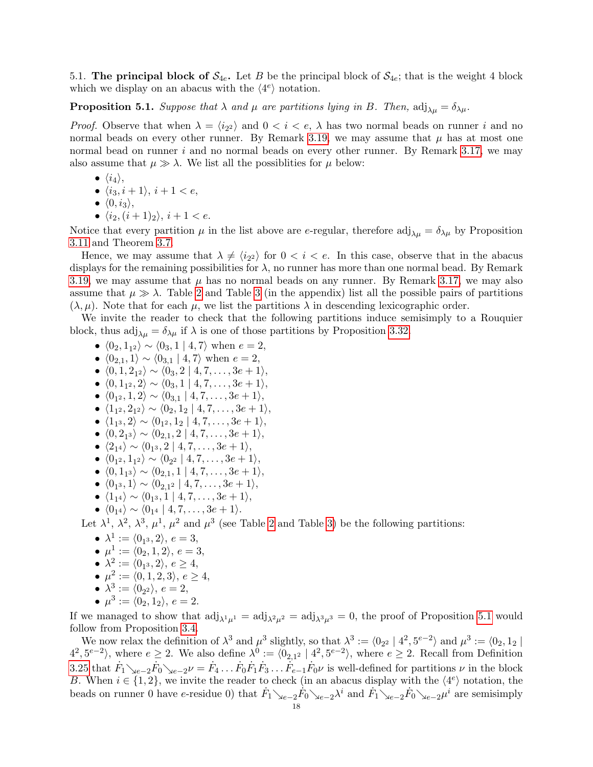<span id="page-17-1"></span>5.1. The principal block of  $S_{4e}$ . Let B be the principal block of  $S_{4e}$ ; that is the weight 4 block which we display on an abacus with the  $\langle 4^e \rangle$  notation.

<span id="page-17-0"></span>**Proposition 5.1.** Suppose that  $\lambda$  and  $\mu$  are partitions lying in B. Then,  $\text{adj}_{\lambda\mu} = \delta_{\lambda\mu}$ .

*Proof.* Observe that when  $\lambda = \langle i_{2} \rangle$  and  $0 < i < e$ ,  $\lambda$  has two normal beads on runner i and no normal beads on every other runner. By Remark [3.19,](#page-11-4) we may assume that  $\mu$  has at most one normal bead on runner i and no normal beads on every other runner. By Remark [3.17,](#page-10-2) we may also assume that  $\mu \gg \lambda$ . We list all the possiblities for  $\mu$  below:

- $\bullet$   $\langle i_4 \rangle$ ,
- $\langle i_3, i + 1 \rangle$ ,  $i + 1 < e$ ,
- $\bullet$   $\langle 0, i_3 \rangle$ ,
- $\langle i_2,(i+1)_2\rangle$ ,  $i+1 < e$ .

Notice that every partition  $\mu$  in the list above are e-regular, therefore adj<sub> $\lambda \mu = \delta_{\lambda \mu}$  by Proposition</sub> [3.11](#page-9-5) and Theorem [3.7.](#page-9-2)

Hence, we may assume that  $\lambda \neq \langle i_{2} \rangle$  for  $0 < i < e$ . In this case, observe that in the abacus displays for the remaining possibilities for  $\lambda$ , no runner has more than one normal bead. By Remark [3.19,](#page-11-4) we may assume that  $\mu$  has no normal beads on any runner. By Remark [3.17,](#page-10-2) we may also assume that  $\mu \gg \lambda$ . Table [2](#page-29-0) and Table [3](#page-30-0) (in the appendix) list all the possible pairs of partitions  $(\lambda, \mu)$ . Note that for each  $\mu$ , we list the partitions  $\lambda$  in descending lexicographic order.

We invite the reader to check that the following partitions induce semisimply to a Rouquier block, thus  $\text{adj}_{\lambda\mu} = \delta_{\lambda\mu}$  if  $\lambda$  is one of those partitions by Proposition [3.32.](#page-14-2)

- $\langle 0_2, 1_{1^2} \rangle \sim \langle 0_3, 1 | 4, 7 \rangle$  when  $e = 2$ ,
- $\langle 0_{2,1}, 1 \rangle \sim \langle 0_{3,1} | 4, 7 \rangle$  when  $e = 2$ ,
- $\bullet \langle 0, 1, 2_{1^2} \rangle \sim \langle 0_3, 2 \mid 4, 7, \ldots, 3e + 1 \rangle,$
- $\langle 0, 1_{1^2}, 2 \rangle \sim \langle 0_3, 1 | 4, 7, \ldots, 3e + 1 \rangle$ ,
- $\langle 0_{1^2}, 1, 2 \rangle \sim \langle 0_{3,1} | 4, 7, \ldots, 3e + 1 \rangle$ ,
- $\bullet$   $\langle 1_{1^2}, 2_{1^2} \rangle \sim \langle 0_2, 1_2 | 4, 7, \ldots, 3e + 1 \rangle,$
- $\bullet \langle 1_{1^3}, 2 \rangle \sim \langle 0_{1^2}, 1_2 | 4, 7, \ldots, 3e + 1 \rangle,$
- $\bullet \langle 0, 2_{1^3} \rangle \sim \langle 0_{2,1}, 2 \mid 4, 7, \ldots, 3e + 1 \rangle,$
- $\bullet \ \langle 2_{14} \rangle \sim \langle 0_{13}, 2 \mid 4, 7, \ldots, 3e + 1 \rangle,$
- $\bullet \langle 0_{1^2}, 1_{1^2} \rangle \sim \langle 0_{2^2} | 4, 7, \ldots, 3e + 1 \rangle,$
- $\bullet \langle 0, 1_{1^3} \rangle \sim \langle 0_{2,1}, 1 \mid 4, 7, \ldots, 3e + 1 \rangle,$
- $\bullet \langle 0_{1^3}, 1 \rangle \sim \langle 0_{2,1^2} | 4, 7, \ldots, 3e + 1 \rangle,$
- $\bullet \langle 1_{14} \rangle \sim \langle 0_{13}, 1 | 4, 7, \ldots, 3e + 1 \rangle,$
- $\bullet \langle 0_{14} \rangle \sim \langle 0_{14} | 4, 7, \ldots, 3e + 1 \rangle.$

Let  $\lambda^1$ ,  $\lambda^2$ ,  $\lambda^3$ ,  $\mu^1$ ,  $\mu^2$  and  $\mu^3$  (see Table [2](#page-29-0) and Table [3\)](#page-30-0) be the following partitions:

- $\lambda^1 := \langle 0_{1^3}, 2 \rangle, e = 3,$
- $\mu^1 := \langle 0_2, 1, 2 \rangle, e = 3,$
- $\lambda^2 := \langle 0_{1^3}, 2 \rangle, e \ge 4,$
- $\mu^2 := \langle 0, 1, 2, 3 \rangle, e \ge 4,$
- $\lambda^3 := \langle 0_{2^2} \rangle, e = 2,$
- $\mu^3 := \langle 0_2, 1_2 \rangle, e = 2.$

If we managed to show that  $\text{adj}_{\lambda^1\mu^1} = \text{adj}_{\lambda^2\mu^2} = \text{adj}_{\lambda^3\mu^3} = 0$ , the proof of Proposition [5.1](#page-17-0) would follow from Proposition [3.4.](#page-8-2)

We now relax the definition of  $\lambda^3$  and  $\mu^3$  slightly, so that  $\lambda^3 := \langle 0_{2^2} \mid 4^2, 5^{e-2} \rangle$  and  $\mu^3 := \langle 0_2, 1_2 \mid$  $\langle 4^2, 5^{e-2} \rangle$ , where  $e \geq 2$ . We also define  $\lambda^0 := \langle 0_{2,1^2} \mid 4^2, 5^{e-2} \rangle$ , where  $e \geq 2$ . Recall from Definition [3.25](#page-12-2) that  $\dot{F}_1 \searrow_{e-2} \dot{F}_0 \searrow_{e-2} \nu = \dot{F}_4 \dots \dot{F}_0 \dot{F}_1 \dot{F}_3 \dots \dot{F}_{e-1} \dot{F}_0 \nu$  is well-defined for partitions  $\nu$  in the block B. When  $i \in \{1,2\}$ , we invite the reader to check (in an abacus display with the  $\langle 4^e \rangle$  notation, the beads on runner 0 have e-residue 0) that  $\dot{F}_1 \searrow_{e-2} \dot{F}_0 \searrow_{e-2} \lambda^i$  and  $\dot{F}_1 \searrow_{e-2} \dot{F}_0 \searrow_{e-2} \mu^i$  are semisimply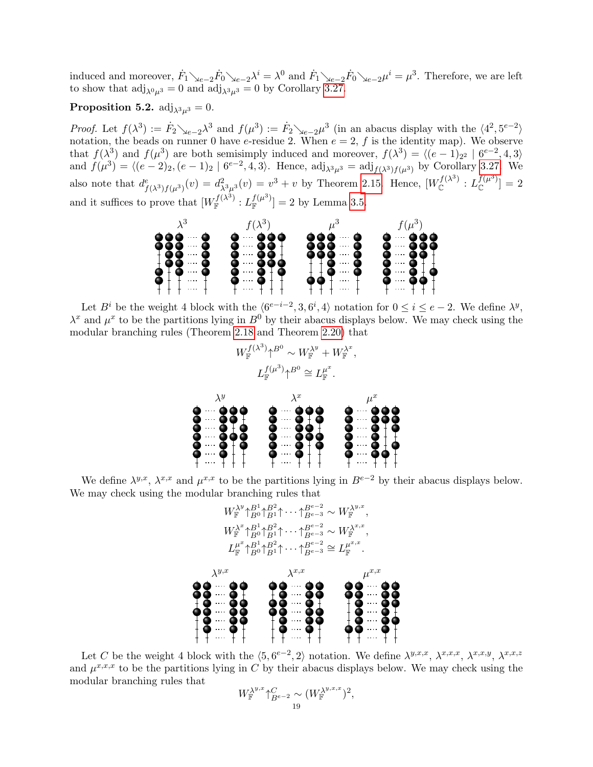induced and moreover,  $\dot{F}_1 \searrow_{e-2} \dot{F}_0 \searrow_{e-2} \lambda^i = \lambda^0$  and  $\dot{F}_1 \searrow_{e-2} \dot{F}_0 \searrow_{e-2} \mu^i = \mu^3$ . Therefore, we are left to show that  $\text{adj}_{\lambda^0\mu^3} = 0$  and  $\text{adj}_{\lambda^3\mu^3} = 0$  by Corollary [3.27.](#page-13-1)

## <span id="page-18-0"></span>**Proposition 5.2.** adj<sub> $\lambda^3 u^3 = 0$ .</sub>

Proof. Let  $f(\lambda^3) := \dot{F}_2 \searrow_{e-2} \lambda^3$  and  $f(\mu^3) := \dot{F}_2 \searrow_{e-2} \mu^3$  (in an abacus display with the  $\langle 4^2, 5^{e-2} \rangle$ notation, the beads on runner 0 have e-residue 2. When  $e = 2$ , f is the identity map). We observe that  $f(\lambda^3)$  and  $f(\mu^3)$  are both semisimply induced and moreover,  $f(\lambda^3) = \langle (e-1)_{2^2} | 6^{e-2}, 4, 3 \rangle$ and  $f(\mu^{3}) = \langle (e-2)_{2}, (e-1)_{2} | 6^{e-2}, 4, 3 \rangle$ . Hence, adj<sub> $\lambda^{3} \mu^{3} = \text{adj}_{f(\lambda^{3}) f(\mu^{3})}$  by Corollary [3.27.](#page-13-1) We</sub> also note that  $d_{f(\lambda^3)f(\mu^3)}^e(v) = d_{\lambda^3\mu^3}^2(v) = v^3 + v$  by Theorem [2.15.](#page-4-3) Hence,  $[W_{\mathbb{C}}^{f(\lambda^3)} : L_{\mathbb{C}}^{f(\mu^3)}] = 2$ and it suffices to prove that  $[W_{\mathbb{F}}^{f(\lambda^3)} : L_{\mathbb{F}}^{f(\mu^3)}] = 2$  by Lemma [3.5.](#page-8-3)



Let  $B^i$  be the weight 4 block with the  $\langle 6^{e-i-2}, 3, 6^i, 4 \rangle$  notation for  $0 \le i \le e-2$ . We define  $\lambda^y$ ,  $\lambda^x$  and  $\mu^x$  to be the partitions lying in  $B^0$  by their abacus displays below. We may check using the modular branching rules (Theorem [2.18](#page-5-1) and Theorem [2.20\)](#page-6-0) that

$$
W_{\mathbb{F}}^{f(\lambda^3)}\uparrow^{B^0}\sim W_{\mathbb{F}}^{\lambda^y}+W_{\mathbb{F}}^{\lambda^x},
$$
\n
$$
L_{\mathbb{F}}^{f(\mu^3)}\uparrow^{B^0}\cong L_{\mathbb{F}}^{\mu^x}.
$$
\n
$$
\lambda^y
$$
\n
$$
\lambda^y
$$
\n
$$
\lambda^y
$$
\n
$$
\lambda^x
$$
\n
$$
\lambda^y
$$
\n
$$
\lambda^y
$$
\n
$$
\lambda^x
$$
\n
$$
\lambda^y
$$
\n
$$
\lambda^y
$$
\n
$$
\lambda^x
$$
\n
$$
\lambda^y
$$
\n
$$
\lambda^y
$$
\n
$$
\lambda^y
$$
\n
$$
\lambda^y
$$
\n
$$
\lambda^y
$$
\n
$$
\lambda^y
$$
\n
$$
\lambda^y
$$
\n
$$
\lambda^y
$$
\n
$$
\lambda^y
$$
\n
$$
\lambda^y
$$
\n
$$
\lambda^y
$$
\n
$$
\lambda^y
$$
\n
$$
\lambda^y
$$
\n
$$
\lambda^y
$$
\n
$$
\lambda^y
$$
\n
$$
\lambda^y
$$
\n
$$
\lambda^y
$$
\n
$$
\lambda^y
$$
\n
$$
\lambda^y
$$
\n
$$
\lambda^y
$$
\n
$$
\lambda^y
$$
\n
$$
\lambda^y
$$
\n
$$
\lambda^y
$$
\n
$$
\lambda^y
$$
\n
$$
\lambda^y
$$
\n
$$
\lambda^y
$$
\n
$$
\lambda^y
$$
\n
$$
\lambda^y
$$
\n
$$
\lambda^y
$$
\n
$$
\lambda^y
$$
\n
$$
\lambda^y
$$
\n
$$
\lambda^y
$$
\n
$$
\lambda^y
$$
\n
$$
\lambda^y
$$
\n
$$
\lambda^y
$$
\n
$$
\lambda^y
$$
\n
$$
\lambda^y
$$
\n
$$
\lambda^y
$$
\n
$$
\lambda^y
$$
\n
$$
\lambda^y
$$
\n $$ 

We define  $\lambda^{y,x}$ ,  $\lambda^{x,x}$  and  $\mu^{x,x}$  to be the partitions lying in  $B^{e-2}$  by their abacus displays below. We may check using the modular branching rules that



Let C be the weight 4 block with the  $\langle 5, 6^{e-2}, 2 \rangle$  notation. We define  $\lambda^{y,x,x}$ ,  $\lambda^{x,x,x}$ ,  $\lambda^{x,x,y}$ ,  $\lambda^{x,x,z}$ and  $\mu^{x,x,x}$  to be the partitions lying in C by their abacus displays below. We may check using the modular branching rules that

$$
W_{\mathbb{F}}^{\lambda^{y,x}} \uparrow_{B^{e-2}}^C \sim (W_{\mathbb{F}}^{\lambda^{y,x,x}})^2,
$$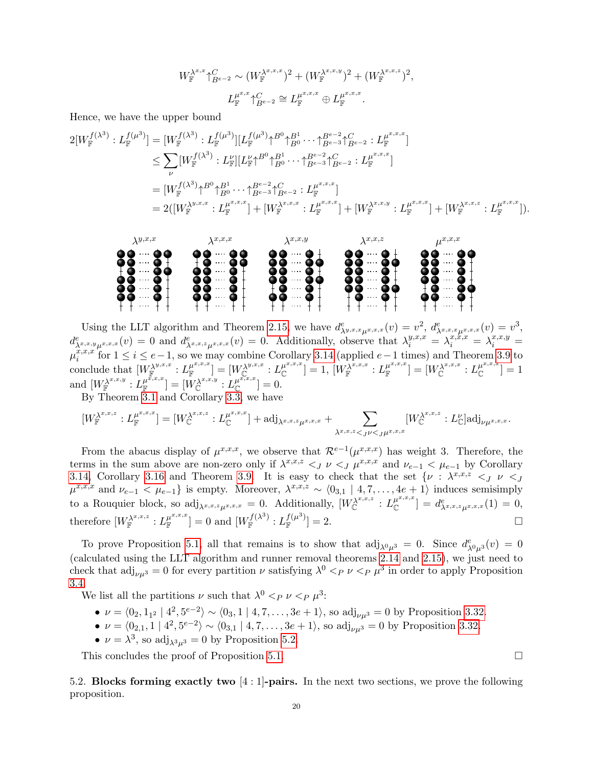$$
W_{\mathbb{F}}^{\lambda^{x,x}} \uparrow_{B^{e-2}}^{C} \sim (W_{\mathbb{F}}^{\lambda^{x,x,x}})^{2} + (W_{\mathbb{F}}^{\lambda^{x,x,y}})^{2} + (W_{\mathbb{F}}^{\lambda^{x,x,z}})^{2},
$$
  

$$
L_{\mathbb{F}}^{\mu^{x,x}} \uparrow_{B^{e-2}}^{C} \cong L_{\mathbb{F}}^{\mu^{x,x,x}} \oplus L_{\mathbb{F}}^{\mu^{x,x,x}}.
$$

Hence, we have the upper bound

$$
2[W_{\mathbb{F}}^{f(\lambda^{3})}:L_{\mathbb{F}}^{f(\mu^{3})}] = [W_{\mathbb{F}}^{f(\lambda^{3})}:L_{\mathbb{F}}^{f(\mu^{3})}][L_{\mathbb{F}}^{f(\mu^{3})} \uparrow^{B^{0}} \uparrow^{B^{1}}_{B^{0}} \cdots \uparrow^{B^{e-2}}_{B^{e-3}} \uparrow^{C}_{B^{e-2}}:L_{\mathbb{F}}^{\mu^{x,x,x}}]
$$
  
\n
$$
\leq \sum_{\nu} [W_{\mathbb{F}}^{f(\lambda^{3})}:L_{\mathbb{F}}^{\nu}][L_{\mathbb{F}}^{\nu} \uparrow^{B^{0}} \uparrow^{B^{1}}_{B^{0}} \cdots \uparrow^{B^{e-2}}_{B^{e-3}} \uparrow^{C}_{B^{e-2}}:L_{\mathbb{F}}^{\mu^{x,x,x}}]
$$
  
\n
$$
= [W_{\mathbb{F}}^{f(\lambda^{3})} \uparrow^{B^{0}} \uparrow^{B^{1}}_{B^{0}} \cdots \uparrow^{B^{e-2}}_{B^{e-3}} \uparrow^{C}_{B^{e-2}}:L_{\mathbb{F}}^{\mu^{x,x,x}}]
$$
  
\n
$$
= 2([W_{\mathbb{F}}^{\lambda^{y,x,x}}:L_{\mathbb{F}}^{\mu^{x,x,x}}] + [W_{\mathbb{F}}^{\lambda^{x,x,x}}:L_{\mathbb{F}}^{\mu^{x,x,x}}] + [W_{\mathbb{F}}^{\lambda^{x,x,y}}:L_{\mathbb{F}}^{\mu^{x,x,x}}] + [W_{\mathbb{F}}^{\lambda^{x,x,x}}:L_{\mathbb{F}}^{\mu^{x,x,x}}].
$$



Using the LLT algorithm and Theorem [2.15,](#page-4-3) we have  $d_{\lambda^{y,x,x}\mu^{x,x,x}}^e(v) = v^2$ ,  $d_{\lambda^{x,x,x}\mu^{x,x,x}}^e(v) = v^3$ ,  $d^e_{\lambda^{x,x,y}\mu^{x,x,x}}(v) = 0$  and  $d^e_{\lambda^{x,x,z}\mu^{x,x,x}}(v) = 0$ . Additionally, observe that  $\lambda_i^{y,x,x} = \lambda_i^{x,x,x} = \lambda_i^{x,x,y} = \lambda_i^{x,x,y}$  $\mu_i^{\hat{x},x,x}$  $\sum_{i=1}^{x,x,x}$  for  $1 \leq i \leq e-1$ , so we may combine Corollary [3.14](#page-9-3) (applied  $e-1$  times) and Theorem [3.9](#page-9-0) to  $\text{conclude that } [W_{\mathbb{F}}^{\lambda^{y,x,x}}: L_{\mathbb{F}}^{\mu^{x,x,x}}]$  $[\mu^{x,x,x}] = [W_\mathbb{C}^{\lambda^{y,x,x}}: L_\mathbb{C}^{\mu^{x,x,x}}]$  $[\mu^{x,x,x}_{\mathbb C}]=1,\,[W_{\mathbb F}^{\lambda^{x,x,x}}:L_{\mathbb F}^{\mu^{x,x,x}}]$  $[\mu^{x,x,x}] = [W^{\lambda^{x,x,x}}_\mathbb{C} : L^{\mu^{x,x,x}}_\mathbb{C}]$  $\binom{\mu^{\omega,\omega,\omega}}{\mathbb{C}}=1$ and  $[W_{\mathbb{F}}^{\lambda^{x,x,y}}: L_{\mathbb{F}}^{\mu^{\tilde{x},x,x}}$  $[\mu^{\tilde{x},x,x}] = [\stackrel{\circ}{W}_{\mathbb C}^{\lambda^{x,x,y}}: L_{\mathbb C}^{\mu^{\widetilde{x},x,x}}$  $\int_{\mathbb{C}}^{\mu^{-1}-1}$  = 0. By Theorem [3.1](#page-7-1) and Corollary [3.3,](#page-8-1) we have

$$
[W_{\mathbb{F}}^{\lambda^{x,x,z}}:L_{\mathbb{F}}^{\mu^{x,x,x}}]=[W_{\mathbb{C}}^{\lambda^{x,x,z}}:L_{\mathbb{C}}^{\mu^{x,x,x}}]+{\rm adj}_{\lambda^{x,x,z}\mu^{x,x,x}}+\sum_{\lambda^{x,x,z}<_{J}\nu
$$

From the abacus display of  $\mu^{x,x,x}$ , we observe that  $\mathcal{R}^{e-1}(\mu^{x,x,x})$  has weight 3. Therefore, the terms in the sum above are non-zero only if  $\lambda^{x,x,z} \leq J$   $\nu \leq J$   $\mu^{x,x,x}$  and  $\nu_{e-1} \leq \mu_{e-1}$  by Corollary [3.14,](#page-9-3) Corollary [3.16](#page-10-1) and Theorem [3.9.](#page-9-0) It is easy to check that the set  $\{\nu : \lambda^{x,x,z} \leq J \ \nu \leq J\}$  $\mu^{x,x,x}$  and  $\nu_{e-1} < \mu_{e-1}$  is empty. Moreover,  $\lambda^{x,x,z} \sim \langle 0_{3,1} | 4, 7, \ldots, 4e+1 \rangle$  induces semisimply to a Rouquier block, so  $\mathrm{adj}_{\lambda^{x,x,z}\mu^{x,x,x}} = 0$ . Additionally,  $[W_{\mathbb{C}}^{\lambda^{x,x,z}} : L_{\mathbb{C}}^{\mu^{x,x,x}}]$  $\left[\begin{smallmatrix} \mu^{x,x,x} \ \mathbb C \end{smallmatrix}\right] = \left[ \begin{smallmatrix} d_{\lambda^{x,x,z}z}^e \ \lambda^{x,x,z} \mu^{x,x,x} \end{smallmatrix} \right] = 0,$ therefore  $[W_{\mathbb{F}}^{\lambda^{x,x,z}}: L_{\mathbb{F}}^{\mu^{x,x,x}}]$  $\left[ \begin{smallmatrix} \mu^{x,x,x} \ \mathbb{F} \end{smallmatrix} \right] = 0 \text{ and } \left[ W_{\mathbb{F}}^{f(\lambda^3)} : L_{\mathbb{F}}^{f(\mu^3)} \right] = 2.$ 

To prove Proposition [5.1,](#page-17-0) all that remains is to show that  $\text{adj}_{\lambda^0\mu^3} = 0$ . Since  $d^e_{\lambda^0\mu^3}(v) = 0$ (calculated using the LLT algorithm and runner removal theorems [2.14](#page-4-2) and [2.15\)](#page-4-3), we just need to check that  $\text{adj}_{\nu\mu^3} = 0$  for every partition  $\nu$  satisfying  $\lambda^0 <_{P} \nu <_{P} \mu^3$  in order to apply Proposition [3.4.](#page-8-2)

We list all the partitions  $\nu$  such that  $\lambda^0 <_P \nu <_P \mu^3$ :

- $\nu = \langle 0_2, 1_{1^2} \mid 4^2, 5^{e-2} \rangle \sim \langle 0_3, 1 \mid 4, 7, \ldots, 3e + 1 \rangle$ , so adj<sub> $\nu \mu^3 = 0$ </sub> by Proposition [3.32.](#page-14-2)
- $\nu = \langle 0_{2,1}, 1 \mid 4^2, 5^{e-2} \rangle \sim \langle 0_{3,1} \mid 4, 7, \ldots, 3e+1 \rangle$ , so  $\text{adj}_{\nu\mu^3} = 0$  by Proposition [3.32.](#page-14-2)
- $\nu = \lambda^3$ , so adj $_{\lambda^3 \mu^3} = 0$  by Proposition [5.2.](#page-18-0)

This concludes the proof of Proposition [5.1.](#page-17-0)

5.2. Blocks forming exactly two  $[4:1]$ -pairs. In the next two sections, we prove the following proposition.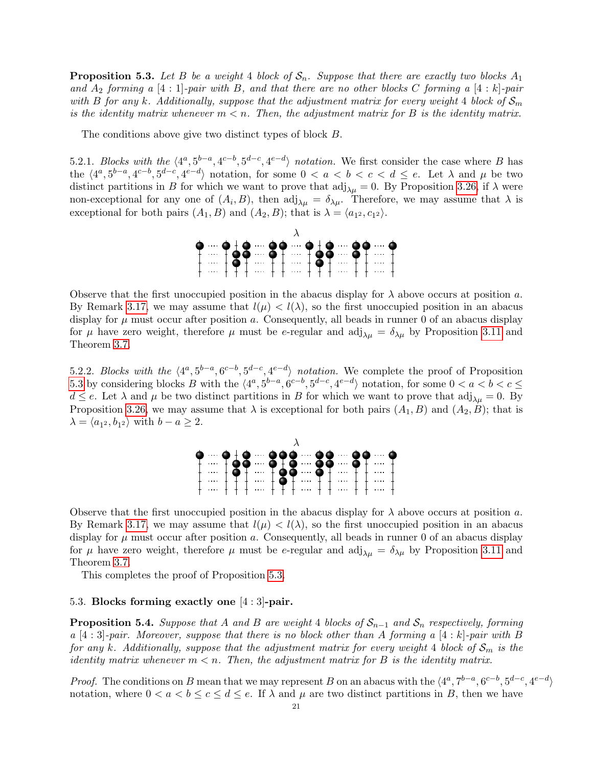<span id="page-20-0"></span>**Proposition 5.3.** Let B be a weight 4 block of  $S_n$ . Suppose that there are exactly two blocks  $A_1$ and  $A_2$  forming a [4 : 1]-pair with B, and that there are no other blocks C forming a [4 : k]-pair with B for any k. Additionally, suppose that the adjustment matrix for every weight 4 block of  $S_m$ is the identity matrix whenever  $m < n$ . Then, the adjustment matrix for B is the identity matrix.

The conditions above give two distinct types of block B.

5.2.1. Blocks with the  $\langle 4^a, 5^{b-a}, 4^{c-b}, 5^{d-c}, 4^{e-d} \rangle$  notation. We first consider the case where B has the  $\langle 4^a, 5^{b-a}, 4^{c-b}, 5^{d-c}, 4^{e-d} \rangle$  notation, for some  $0 < a < b < c < d \le e$ . Let  $\lambda$  and  $\mu$  be two distinct partitions in B for which we want to prove that  $\text{adj}_{\lambda\mu} = 0$ . By Proposition [3.26,](#page-12-1) if  $\lambda$  were non-exceptional for any one of  $(A_i, B)$ , then  $\text{adj}_{\lambda\mu} = \delta_{\lambda\mu}$ . Therefore, we may assume that  $\lambda$  is exceptional for both pairs  $(A_1, B)$  and  $(A_2, B)$ ; that is  $\lambda = \langle a_{12}, c_{12} \rangle$ .



Observe that the first unoccupied position in the abacus display for  $\lambda$  above occurs at position a. By Remark [3.17,](#page-10-2) we may assume that  $l(\mu) < l(\lambda)$ , so the first unoccupied position in an abacus display for  $\mu$  must occur after position a. Consequently, all beads in runner 0 of an abacus display for  $\mu$  have zero weight, therefore  $\mu$  must be e-regular and adj<sub> $\lambda \mu = \delta_{\lambda \mu}$  by Proposition [3.11](#page-9-5) and</sub> Theorem [3.7.](#page-9-2)

5.2.2. Blocks with the  $\langle 4^a, 5^{b-a}, 6^{c-b}, 5^{d-c}, 4^{e-d} \rangle$  notation. We complete the proof of Proposition [5.3](#page-20-0) by considering blocks B with the  $\langle 4^a, 5^{b-a}, 6^{c-b}, 5^{d-c}, 4^{e-d} \rangle$  notation, for some  $0 < a < b < c \le$  $d \leq e$ . Let  $\lambda$  and  $\mu$  be two distinct partitions in B for which we want to prove that  $\text{adj}_{\lambda\mu} = 0$ . By Proposition [3.26,](#page-12-1) we may assume that  $\lambda$  is exceptional for both pairs  $(A_1, B)$  and  $(A_2, B)$ ; that is  $\lambda = \langle a_{1^2}, b_{1^2} \rangle$  with  $b - a \geq 2$ .



Observe that the first unoccupied position in the abacus display for  $\lambda$  above occurs at position a. By Remark [3.17,](#page-10-2) we may assume that  $l(\mu) < l(\lambda)$ , so the first unoccupied position in an abacus display for  $\mu$  must occur after position a. Consequently, all beads in runner 0 of an abacus display for  $\mu$  have zero weight, therefore  $\mu$  must be e-regular and adj<sub> $\lambda \mu = \delta_{\lambda \mu}$  by Proposition [3.11](#page-9-5) and</sub> Theorem [3.7.](#page-9-2)

This completes the proof of Proposition [5.3.](#page-20-0)

## 5.3. Blocks forming exactly one [4 : 3]-pair.

<span id="page-20-1"></span>**Proposition 5.4.** Suppose that A and B are weight 4 blocks of  $S_{n-1}$  and  $S_n$  respectively, forming a [4 : 3]-pair. Moreover, suppose that there is no block other than A forming a [4 : k]-pair with B for any k. Additionally, suppose that the adjustment matrix for every weight 4 block of  $S_m$  is the identity matrix whenever  $m < n$ . Then, the adjustment matrix for B is the identity matrix.

*Proof.* The conditions on B mean that we may represent B on an abacus with the  $\langle 4^a, 7^{b-a}, 6^{c-b}, 5^{d-c}, 4^{e-d} \rangle$ notation, where  $0 < a < b \le c \le d \le e$ . If  $\lambda$  and  $\mu$  are two distinct partitions in B, then we have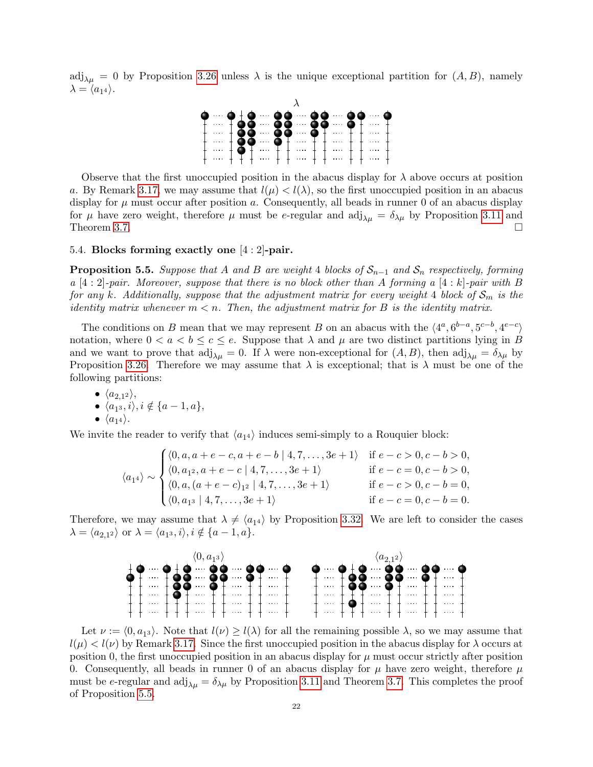$adj_{\lambda\mu} = 0$  by Proposition [3.26](#page-12-1) unless  $\lambda$  is the unique exceptional partition for  $(A, B)$ , namely  $\lambda = \langle a_{14} \rangle.$ 



Observe that the first unoccupied position in the abacus display for  $\lambda$  above occurs at position a. By Remark [3.17,](#page-10-2) we may assume that  $l(\mu) < l(\lambda)$ , so the first unoccupied position in an abacus display for  $\mu$  must occur after position a. Consequently, all beads in runner 0 of an abacus display for  $\mu$  have zero weight, therefore  $\mu$  must be e-regular and adj<sub> $\lambda \mu = \delta_{\lambda \mu}$  by Proposition [3.11](#page-9-5) and</sub> Theorem [3.7.](#page-9-2)  $\Box$ 

#### 5.4. Blocks forming exactly one [4 : 2]-pair.

<span id="page-21-0"></span>**Proposition 5.5.** Suppose that A and B are weight 4 blocks of  $S_{n-1}$  and  $S_n$  respectively, forming a [4 : 2]-pair. Moreover, suppose that there is no block other than A forming a [4 : k]-pair with B for any k. Additionally, suppose that the adjustment matrix for every weight 4 block of  $S_m$  is the identity matrix whenever  $m < n$ . Then, the adjustment matrix for B is the identity matrix.

The conditions on B mean that we may represent B on an abacus with the  $\langle 4^a, 6^{b-a}, 5^{c-b}, 4^{e-c} \rangle$ notation, where  $0 < a < b \leq c \leq e$ . Suppose that  $\lambda$  and  $\mu$  are two distinct partitions lying in B and we want to prove that  $\text{adj}_{\lambda\mu} = 0$ . If  $\lambda$  were non-exceptional for  $(A, B)$ , then  $\text{adj}_{\lambda\mu} = \delta_{\lambda\mu}$  by Proposition [3.26.](#page-12-1) Therefore we may assume that  $\lambda$  is exceptional; that is  $\lambda$  must be one of the following partitions:

\n- $$
\langle a_{2,1^2} \rangle
$$
\n- $\langle a_{1^3}, i \rangle$ ,  $i \notin \{a-1, a\}$
\n- $\langle a_{1^4} \rangle$
\n

We invite the reader to verify that  $\langle a_{14} \rangle$  induces semi-simply to a Rouquier block:

$$
\langle a_{14} \rangle \sim \begin{cases} \langle 0, a, a+e-c, a+e-b \mid 4, 7, \dots, 3e+1 \rangle & \text{if } e-c > 0, c-b > 0, \\ \langle 0, a_{12}, a+e-c \mid 4, 7, \dots, 3e+1 \rangle & \text{if } e-c = 0, c-b > 0, \\ \langle 0, a, (a+e-c)_{12} \mid 4, 7, \dots, 3e+1 \rangle & \text{if } e-c > 0, c-b = 0, \\ \langle 0, a_{13} \mid 4, 7, \dots, 3e+1 \rangle & \text{if } e-c = 0, c-b = 0. \end{cases}
$$

Therefore, we may assume that  $\lambda \neq \langle a_{14} \rangle$  by Proposition [3.32.](#page-14-2) We are left to consider the cases  $\lambda = \langle a_{2,1^2} \rangle$  or  $\lambda = \langle a_{1^3}, i \rangle, i \notin \{a - 1, a\}.$ 



Let  $\nu := \langle 0, a_{13} \rangle$ . Note that  $l(\nu) \geq l(\lambda)$  for all the remaining possible  $\lambda$ , so we may assume that  $l(\mu) < l(\nu)$  by Remark [3.17.](#page-10-2) Since the first unoccupied position in the abacus display for  $\lambda$  occurs at position 0, the first unoccupied position in an abacus display for  $\mu$  must occur strictly after position 0. Consequently, all beads in runner 0 of an abacus display for  $\mu$  have zero weight, therefore  $\mu$ must be e-regular and  $\text{adj}_{\lambda\mu} = \delta_{\lambda\mu}$  by Proposition [3.11](#page-9-5) and Theorem [3.7.](#page-9-2) This completes the proof of Proposition [5.5.](#page-21-0)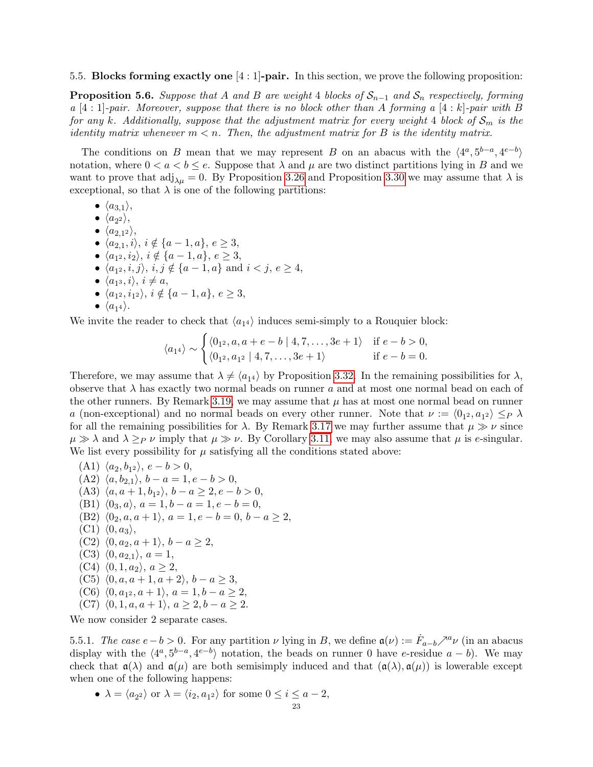#### 5.5. Blocks forming exactly one [4 : 1]-pair. In this section, we prove the following proposition:

<span id="page-22-0"></span>**Proposition 5.6.** Suppose that A and B are weight 4 blocks of  $S_{n-1}$  and  $S_n$  respectively, forming  $a \ [4:1]$ -pair. Moreover, suppose that there is no block other than A forming  $a \ [4:k]$ -pair with B for any k. Additionally, suppose that the adjustment matrix for every weight 4 block of  $S_m$  is the identity matrix whenever  $m < n$ . Then, the adjustment matrix for B is the identity matrix.

The conditions on B mean that we may represent B on an abacus with the  $\langle 4^a, 5^{b-a}, 4^{e-b} \rangle$ notation, where  $0 < a < b \le e$ . Suppose that  $\lambda$  and  $\mu$  are two distinct partitions lying in B and we want to prove that  $\text{adj}_{\lambda\mu} = 0$ . By Proposition [3.26](#page-12-1) and Proposition [3.30](#page-14-3) we may assume that  $\lambda$  is exceptional, so that  $\lambda$  is one of the following partitions:

- $\bullet$   $\langle a_{3,1} \rangle$ ,
- $\bullet$   $\langle a_{2^2} \rangle,$
- $\bullet$   $\langle a_{2,1^2} \rangle,$
- $\langle a_{2,1}, i \rangle$ ,  $i \notin \{a-1, a\}, e \geq 3$ ,
- $\langle a_{1^2}, i_2 \rangle$ ,  $i \notin \{a 1, a\}, e \geq 3$ ,
- $\langle a_{1^2}, i, j \rangle$ ,  $i, j \notin \{a 1, a\}$  and  $i < j, e \geq 4$ ,
- $\langle a_{1^3}, i \rangle$ ,  $i \neq a$ ,
- $\langle a_{1^2}, i_{1^2} \rangle$ ,  $i \notin \{a-1, a\}, e \geq 3$ ,

$$
\bullet \ \langle a_{1^4}\rangle.
$$

We invite the reader to check that  $\langle a_{14} \rangle$  induces semi-simply to a Rouquier block:

$$
\langle a_{14} \rangle \sim \begin{cases} \langle 0_{1^2}, a, a+e-b \mid 4, 7, \dots, 3e+1 \rangle & \text{if } e-b > 0, \\ \langle 0_{1^2}, a_{1^2} \mid 4, 7, \dots, 3e+1 \rangle & \text{if } e-b = 0. \end{cases}
$$

Therefore, we may assume that  $\lambda \neq \langle a_{14} \rangle$  by Proposition [3.32.](#page-14-2) In the remaining possibilities for  $\lambda$ , observe that  $\lambda$  has exactly two normal beads on runner a and at most one normal bead on each of the other runners. By Remark [3.19,](#page-11-4) we may assume that  $\mu$  has at most one normal bead on runner a (non-exceptional) and no normal beads on every other runner. Note that  $\nu := \langle 0_{1^2}, a_{1^2} \rangle \leq_P \lambda$ for all the remaining possibilities for  $\lambda$ . By Remark [3.17](#page-10-2) we may further assume that  $\mu \gg \nu$  since  $\mu \gg \lambda$  and  $\lambda \geq_P \nu$  imply that  $\mu \gg \nu$ . By Corollary [3.11,](#page-9-5) we may also assume that  $\mu$  is e-singular. We list every possibility for  $\mu$  satisfying all the conditions stated above:

- (A1)  $\langle a_2, b_{1^2} \rangle, e b > 0,$ (A2)  $\langle a, b_{2,1} \rangle, b - a = 1, e - b > 0,$ (A3)  $\langle a, a+1, b_{1} \rangle, b-a \geq 2, e-b > 0,$ (B1)  $\langle 0_3, a \rangle$ ,  $a = 1, b - a = 1, e - b = 0$ , (B2)  $\langle 0_2, a, a + 1 \rangle$ ,  $a = 1, e - b = 0, b - a \geq 2$ ,  $(C1)$   $\langle 0, a_3 \rangle$ , (C2)  $\langle 0, a_2, a + 1 \rangle, b - a \geq 2,$  $(C3)$   $\langle 0, a_{2,1} \rangle$ ,  $a = 1$ ,  $(C4)$   $\langle 0, 1, a_2 \rangle$ ,  $a \geq 2$ , (C5)  $\langle 0, a, a+1, a+2 \rangle, b-a \geq 3,$
- (C6)  $\langle 0, a_{1^2}, a+1 \rangle, a = 1, b a \geq 2,$
- (C7)  $\langle 0, 1, a, a + 1 \rangle, a \geq 2, b a \geq 2.$

We now consider 2 separate cases.

5.5.1. The case  $e - b > 0$ . For any partition  $\nu$  lying in B, we define  $\mathfrak{a}(\nu) := \dot{F}_{a-b} \nearrow^a \nu$  (in an abacus display with the  $\langle 4^a, 5^{b-a}, 4^{e-b} \rangle$  notation, the beads on runner 0 have e-residue  $a - b$ ). We may check that  $\mathfrak{a}(\lambda)$  and  $\mathfrak{a}(\mu)$  are both semisimply induced and that  $(\mathfrak{a}(\lambda), \mathfrak{a}(\mu))$  is lowerable except when one of the following happens:

• 
$$
\lambda = \langle a_{2^2} \rangle
$$
 or  $\lambda = \langle i_2, a_{1^2} \rangle$  for some  $0 \le i \le a - 2$ ,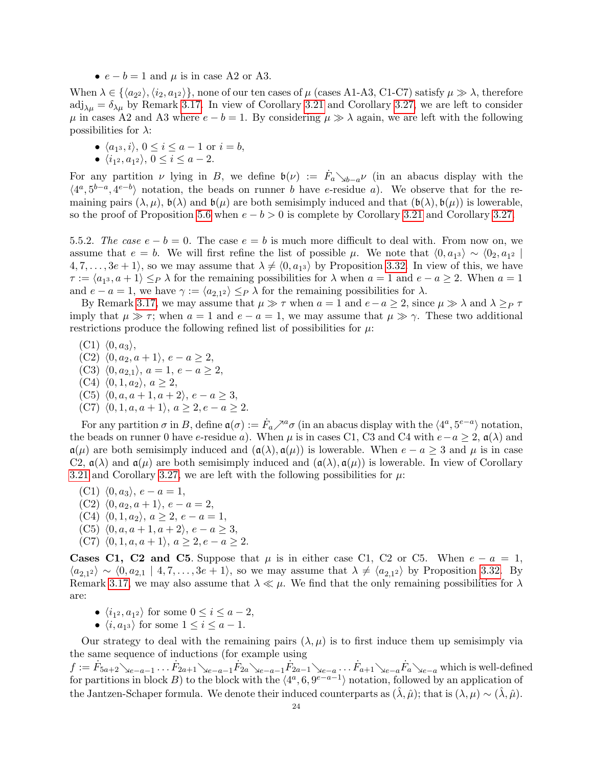•  $e - b = 1$  and  $\mu$  is in case A2 or A3.

When  $\lambda \in \{\langle a_{2^2}\rangle, \langle i_2, a_{1^2}\rangle\}$ , none of our ten cases of  $\mu$  (cases A1-A3, C1-C7) satisfy  $\mu \gg \lambda$ , therefore  $\text{adj}_{\lambda\mu} = \delta_{\lambda\mu}$  by Remark [3.17.](#page-10-2) In view of Corollary [3.21](#page-11-5) and Corollary [3.27,](#page-13-1) we are left to consider  $\mu$  in cases A2 and A3 where  $e - b = 1$ . By considering  $\mu \gg \lambda$  again, we are left with the following possibilities for  $\lambda$ :

- $\langle a_{1^3}, i \rangle$ ,  $0 \leq i \leq a-1$  or  $i = b$ ,
- $\langle i_{1^2}, a_{1^2}\rangle$ ,  $0 \le i \le a-2$ .

For any partition  $\nu$  lying in B, we define  $\mathfrak{b}(\nu) := \dot{F}_a \searrow_{b-a} \nu$  (in an abacus display with the  $\langle 4^a, 5^{b-a}, 4^{e-b} \rangle$  notation, the beads on runner b have e-residue a). We observe that for the remaining pairs  $(\lambda, \mu)$ ,  $\mathfrak{b}(\lambda)$  and  $\mathfrak{b}(\mu)$  are both semisimply induced and that  $(\mathfrak{b}(\lambda), \mathfrak{b}(\mu))$  is lowerable, so the proof of Proposition [5.6](#page-22-0) when  $e - b > 0$  is complete by Corollary [3.21](#page-11-5) and Corollary [3.27.](#page-13-1)

5.5.2. The case  $e - b = 0$ . The case  $e = b$  is much more difficult to deal with. From now on, we assume that  $e = b$ . We will first refine the list of possible  $\mu$ . We note that  $\langle 0, a_{13} \rangle \sim \langle 0_2, a_{12} \rangle$  $4, 7, \ldots, 3e+1$ , so we may assume that  $\lambda \neq \langle 0, a_{13} \rangle$  by Proposition [3.32.](#page-14-2) In view of this, we have  $\tau := \langle a_{1^3}, a + 1 \rangle \leq_P \lambda$  for the remaining possibilities for  $\lambda$  when  $a = 1$  and  $e - a \geq 2$ . When  $a = 1$ and  $e - a = 1$ , we have  $\gamma := \langle a_{2,1} \rangle \leq_P \lambda$  for the remaining possibilities for  $\lambda$ .

By Remark [3.17,](#page-10-2) we may assume that  $\mu \gg \tau$  when  $a = 1$  and  $e - a \geq 2$ , since  $\mu \gg \lambda$  and  $\lambda \geq p \tau$ imply that  $\mu \gg \tau$ ; when  $a = 1$  and  $e - a = 1$ , we may assume that  $\mu \gg \gamma$ . These two additional restrictions produce the following refined list of possibilities for  $\mu$ :

 $(C1)$   $\langle 0, a_3 \rangle$ , (C2)  $\langle 0, a_2, a + 1 \rangle$ ,  $e - a \geq 2$ , (C3)  $\langle 0, a_{2,1} \rangle, a = 1, e - a \geq 2,$ (C4)  $\langle 0, 1, a_2 \rangle, a \geq 2$ , (C5)  $\langle 0, a, a + 1, a + 2 \rangle, e - a \geq 3,$ (C7)  $\langle 0, 1, a, a + 1 \rangle, a \geq 2, e - a \geq 2.$ 

For any partition  $\sigma$  in B, define  $\mathfrak{a}(\sigma) := \dot{F}_a \nearrow^a \sigma$  (in an abacus display with the  $\langle 4^a, 5^{e-a} \rangle$  notation, the beads on runner 0 have e-residue a). When  $\mu$  is in cases C1, C3 and C4 with  $e-a \geq 2$ ,  $\mathfrak{a}(\lambda)$  and  $\mathfrak{a}(\mu)$  are both semisimply induced and  $(\mathfrak{a}(\lambda), \mathfrak{a}(\mu))$  is lowerable. When  $e - a \geq 3$  and  $\mu$  is in case C2,  $\mathfrak{a}(\lambda)$  and  $\mathfrak{a}(\mu)$  are both semisimply induced and  $(\mathfrak{a}(\lambda), \mathfrak{a}(\mu))$  is lowerable. In view of Corollary [3.21](#page-11-5) and Corollary [3.27,](#page-13-1) we are left with the following possibilities for  $\mu$ :

- (C1)  $\langle 0, a_3 \rangle$ ,  $e a = 1$ ,
- (C2)  $\langle 0, a_2, a + 1 \rangle$ ,  $e a = 2$ ,
- (C4)  $\langle 0, 1, a_2 \rangle, a \geq 2, e a = 1,$ (C5)  $\langle 0, a, a+1, a+2 \rangle$ ,  $e - a \geq 3$ ,
- (C7)  $\langle 0, 1, a, a + 1 \rangle, a \geq 2, e a > 2.$

<span id="page-23-0"></span>**Cases C1, C2 and C5.** Suppose that  $\mu$  is in either case C1, C2 or C5. When  $e - a = 1$ ,  $\langle a_{2,1^2} \rangle \sim \langle 0, a_{2,1} \mid 4, 7, \ldots, 3e+1 \rangle$ , so we may assume that  $\lambda \neq \langle a_{2,1^2} \rangle$  by Proposition [3.32.](#page-14-2) By Remark [3.17,](#page-10-2) we may also assume that  $\lambda \ll \mu$ . We find that the only remaining possibilities for  $\lambda$ are:

- $\langle i_{1^2}, a_{1^2} \rangle$  for some  $0 \le i \le a-2$ ,
- $\langle i, a_{1^3} \rangle$  for some  $1 \leq i \leq a 1$ .

Our strategy to deal with the remaining pairs  $(\lambda, \mu)$  is to first induce them up semisimply via the same sequence of inductions (for example using

 $f := \dot{F}_{5a+2} \searrow_{e-a-1} \ldots \dot{F}_{2a+1} \searrow_{e-a-1} \dot{F}_{2a} \searrow_{e-a-1} \dot{F}_{2a-1} \searrow_{e-a} \ldots \dot{F}_{a+1} \searrow_{e-a} \dot{F}_{a} \searrow_{e-a}$  which is well-defined for partitions in block B) to the block with the  $\langle 4^a, 6, 9^{e-a-1} \rangle$  notation, followed by an application of the Jantzen-Schaper formula. We denote their induced counterparts as  $(\hat{\lambda}, \hat{\mu})$ ; that is  $(\lambda, \mu) \sim (\hat{\lambda}, \hat{\mu})$ .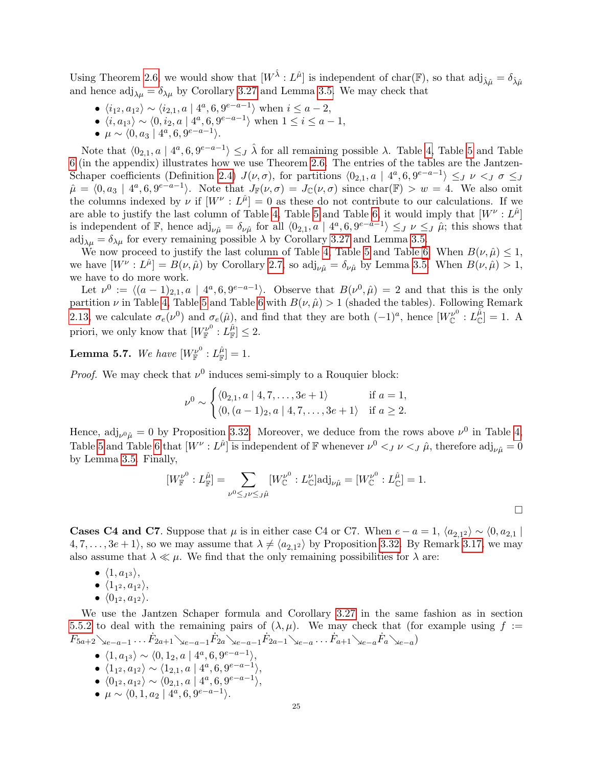Using Theorem [2.6,](#page-3-0) we would show that  $[W^{\hat{\lambda}}: L^{\hat{\mu}}]$  is independent of char(F), so that  $\text{adj}_{\hat{\lambda}\hat{\mu}} = \delta_{\hat{\lambda}\hat{\mu}}$ and hence  $\text{adj}_{\lambda\mu} = \delta_{\lambda\mu}$  by Corollary [3.27](#page-13-1) and Lemma [3.5.](#page-8-3) We may check that

- $\langle i_{1^2}, a_{1^2} \rangle \sim \langle i_{2,1}, a \mid 4^a, 6, 9^{e-a-1} \rangle$  when  $i \le a-2$ ,
- $\langle i, a_{1} \rangle \sim \langle 0, i_{2}, a \mid 4^{a}, 6, 9^{e-a-1} \rangle$  when  $1 \leq i \leq a-1$ ,
- $\mu \sim \langle 0, a_3 \mid 4^a, 6, 9^{e-a-1} \rangle.$

Note that  $\langle 0_{2,1}, a \mid 4^a, 6, 9^{e-a-1} \rangle \leq J$  *λ* for all remaining possible *λ*. Table [4,](#page-30-1) Table [5](#page-31-0) and Table [6](#page-31-1) (in the appendix) illustrates how we use Theorem [2.6.](#page-3-0) The entries of the tables are the Jantzen-Schaper coefficients (Definition [2.4\)](#page-2-3)  $J(\nu, \sigma)$ , for partitions  $\langle 0_{2,1}, a \mid 4^a, 6, 9^{e-a-1} \rangle \leq_J \nu \leq_J \sigma \leq_J$  $\hat{\mu} = \langle 0, a_3 | 4^a, 6, 9^{e-a-1} \rangle$ . Note that  $J_{\mathbb{F}}(\nu, \sigma) = J_{\mathbb{C}}(\nu, \sigma)$  since char( $\mathbb{F}$ ) >  $w = 4$ . We also omit the columns indexed by  $\nu$  if  $[W^{\nu}: L^{\hat{\mu}}] = 0$  as these do not contribute to our calculations. If we are able to justify the last column of Table [4,](#page-30-1) Table [5](#page-31-0) and Table [6,](#page-31-1) it would imply that  $[W^{\nu}: L^{\hat{\mu}}]$ is independent of  $\mathbb{F}$ , hence  $\text{adj}_{\nu\hat{\mu}} = \delta_{\nu\hat{\mu}}$  for all  $\langle 0_{2,1}, a \mid 4^a, 6, 9^{e-a-1} \rangle \leq_J \nu \leq_J \hat{\mu}$ ; this shows that  $\text{adj}_{\lambda\mu} = \delta_{\lambda\mu}$  for every remaining possible  $\lambda$  by Corollary [3.27](#page-13-1) and Lemma [3.5.](#page-8-3)

We now proceed to justify the last column of Table [4,](#page-30-1) Table [5](#page-31-0) and Table [6.](#page-31-1) When  $B(\nu, \hat{\mu}) \leq 1$ , we have  $[W^{\nu}: L^{\hat{\mu}}] = B(\nu, \hat{\mu})$  by Corollary [2.7,](#page-3-3) so  $\text{adj}_{\nu \hat{\mu}} = \delta_{\nu \hat{\mu}}$  by Lemma [3.5.](#page-8-3) When  $B(\nu, \hat{\mu}) > 1$ , we have to do more work.

Let  $\nu^0 := \langle (a-1)_{2,1}, a \mid 4^a, 6, 9^{e-a-1} \rangle$ . Observe that  $B(\nu^0, \hat{\mu}) = 2$  and that this is the only partition  $\nu$  in Table [4,](#page-30-1) Table [5](#page-31-0) and Table [6](#page-31-1) with  $B(\nu, \hat{\mu}) > 1$  (shaded the tables). Following Remark [2.13,](#page-4-4) we calculate  $\sigma_e(\nu^0)$  and  $\sigma_e(\hat{\mu})$ , and find that they are both  $(-1)^a$ , hence  $[W_{\mathbb{C}}^{\nu^0} : L_{\mathbb{C}}^{\hat{\mu}}] = 1$ . A priori, we only know that  $[W_{\mathbb{F}}^{\nu^0} : L^{\hat{\mu}}_{\mathbb{F}}] \leq 2$ .

 ${\rm \bf Lemma \ 5.7.} \ \ We \ have \ \left[W_{\mathbb F}^{\nu^0} : L_{\mathbb F}^{\hat{\mu}} \right] = 1.$ 

*Proof.* We may check that  $\nu^0$  induces semi-simply to a Rouquier block:

$$
\nu^{0} \sim \begin{cases} \langle 0_{2,1}, a \mid 4, 7, \dots, 3e + 1 \rangle & \text{if } a = 1, \\ \langle 0, (a-1)_{2}, a \mid 4, 7, \dots, 3e + 1 \rangle & \text{if } a \geq 2. \end{cases}
$$

Hence,  $\text{adj}_{\nu^0\hat{\mu}} = 0$  by Proposition [3.32.](#page-14-2) Moreover, we deduce from the rows above  $\nu^0$  in Table [4,](#page-30-1) Table [5](#page-31-0) and Table [6](#page-31-1) that  $[W^{\nu}: L^{\hat{\mu}}]$  is independent of F whenever  $\nu^0 <_{J} \nu <_{J} \hat{\mu}$ , therefore  $\text{adj}_{\nu \hat{\mu}} = 0$ by Lemma [3.5.](#page-8-3) Finally,

$$
[W_{\mathbb{F}}^{\nu^0}: L_{\mathbb{F}}^{\hat{\mu}}] = \sum_{\nu^0 \leq J^{\nu} \leq J\hat{\mu}} [W_{\mathbb{C}}^{\nu^0}: L_{\mathbb{C}}^{\nu}] \text{adj}_{\nu\hat{\mu}} = [W_{\mathbb{C}}^{\nu^0}: L_{\mathbb{C}}^{\hat{\mu}}] = 1.
$$

<span id="page-24-0"></span>**Cases C4 and C7.** Suppose that  $\mu$  is in either case C4 or C7. When  $e - a = 1$ ,  $\langle a_{2,1}^2 \rangle \sim \langle 0, a_{2,1}^2 \rangle$  $\{4, 7, \ldots, 3e + 1\}$ , so we may assume that  $\lambda \neq \langle a_{2,1^2} \rangle$  by Proposition [3.32.](#page-14-2) By Remark [3.17,](#page-10-2) we may also assume that  $\lambda \ll \mu$ . We find that the only remaining possibilities for  $\lambda$  are:

- $\bullet$   $\langle 1, a_{1^3} \rangle,$
- $\bullet$   $\langle 1_{1^2}, a_{1^2} \rangle,$
- $\bullet \langle 0_{1^2}, a_{1^2} \rangle.$

We use the Jantzen Schaper formula and Corollary [3.27](#page-13-1) in the same fashion as in section [5.5.2](#page-23-0) to deal with the remaining pairs of  $(\lambda, \mu)$ . We may check that (for example using  $f :=$  $\dot{F}_{5a+2}\searrow_{e-a-1}\ldots\dot{F}_{2a+1}\searrow_{e-a-1}\dot{F}_{2a}\searrow_{e-a-1}\dot{F}_{2a-1}\searrow_{e-a}\ldots\dot{F}_{a+1}\searrow_{e-a}\dot{F}_{a}\searrow_{e-a})$ 

- $\langle 1, a_{1^3} \rangle \sim \langle 0, 1_2, a \mid 4^a, 6, 9^{e-a-1} \rangle,$ •  $\langle 1_{1^2}, a_{1^2} \rangle \sim \langle 1_{2,1}, a \mid 4^a, 6, 9^{e-a-1} \rangle,$ •  $\langle 0_{1^2}, a_{1^2} \rangle \sim \langle 0_{2,1}, a \mid 4^a, 6, 9^{e-a-1} \rangle,$
- $\mu \sim \langle 0, 1, a_2 \mid 4^a, 6, 9^{e-a-1} \rangle.$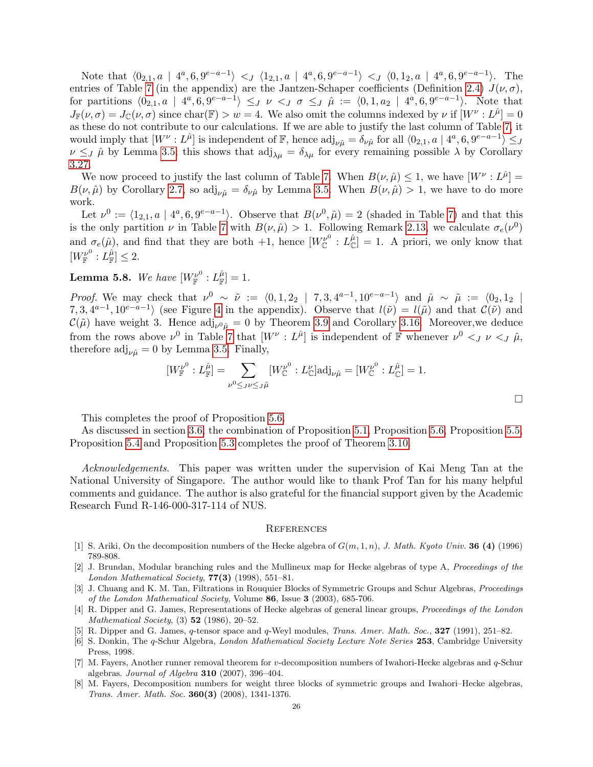Note that  $\langle 0_{2,1}, a \mid 4^a, 6, 9^{e-a-1} \rangle <_{J} \langle 1_{2,1}, a \mid 4^a, 6, 9^{e-a-1} \rangle <_{J} \langle 0, 1_2, a \mid 4^a, 6, 9^{e-a-1} \rangle$ . The entries of Table [7](#page-32-0) (in the appendix) are the Jantzen-Schaper coefficients (Definition [2.4\)](#page-2-3)  $J(\nu, \sigma)$ , for partitions  $\langle 0_{2,1}, a \mid 4^a, 6, 9^{e-a-1} \rangle \leq_J \nu \langle J \sigma \leq_J \hat{\mu} \rangle = \langle 0, 1, a_2 \mid 4^a, 6, 9^{e-a-1} \rangle$ . Note that  $J_{\mathbb{F}}(\nu,\sigma) = J_{\mathbb{C}}(\nu,\sigma)$  since char( $\mathbb{F}) > w = 4$ . We also omit the columns indexed by  $\nu$  if  $[W^{\nu}: L^{\hat{\mu}}] = 0$ as these do not contribute to our calculations. If we are able to justify the last column of Table [7,](#page-32-0) it would imply that  $[W^{\nu}: L^{\hat{\mu}}]$  is independent of  $\mathbb{F}$ , hence  $\text{adj}_{\nu \hat{\mu}} = \delta_{\nu \hat{\mu}}$  for all  $\langle 0_{2,1}, a \mid 4^a, 6, 9^{e-a-1} \rangle \leq J$  $\nu \leq J$   $\hat{\mu}$  by Lemma [3.5;](#page-8-3) this shows that  $\text{adj}_{\lambda\mu} = \delta_{\lambda\mu}$  for every remaining possible  $\lambda$  by Corollary [3.27.](#page-13-1)

We now proceed to justify the last column of Table [7.](#page-32-0) When  $B(\nu, \hat{\mu}) \leq 1$ , we have  $[W^{\nu}: L^{\hat{\mu}}] =$  $B(\nu, \hat{\mu})$  by Corollary [2.7,](#page-3-3) so adj<sub> $\nu \hat{\mu} = \delta_{\nu \hat{\mu}}$  by Lemma [3.5.](#page-8-3) When  $B(\nu, \hat{\mu}) > 1$ , we have to do more</sub> work.

Let  $\nu^0 := \langle 1_{2,1}, a \mid 4^a, 6, 9^{e-a-1} \rangle$ . Observe that  $B(\nu^0, \hat{\mu}) = 2$  (shaded in Table [7\)](#page-32-0) and that this is the only partition  $\nu$  in Table [7](#page-32-0) with  $B(\nu,\hat{\mu}) > 1$ . Following Remark [2.13,](#page-4-4) we calculate  $\sigma_e(\nu^0)$ and  $\sigma_e(\hat{\mu})$ , and find that they are both +1, hence  $[W_{\mathbb{C}}^{\nu^0} : L_{\mathbb{C}}^{\hat{\mu}}] = 1$ . A priori, we only know that  $[W_{\mathbb{F}}^{\nu^0} : L_{\mathbb{F}}^{\hat{\mu}}] \leq 2.$ 

# ${\rm \bf Lemma \ 5.8.} \ \ We \ have \ \left[W_{\mathbb F}^{\nu^0} : L_{\mathbb F}^{\hat{\mu}} \right]=1.$

*Proof.* We may check that  $\nu^0 \sim \tilde{\nu} := \langle 0, 1, 2_2 | 7, 3, 4^{a-1}, 10^{e-a-1} \rangle$  and  $\hat{\mu} \sim \tilde{\mu} := \langle 0_2, 1_2 |$ 7, 3,  $4^{a-1}$ ,  $10^{e-a-1}$  (see Figure [4](#page-28-0) in the appendix). Observe that  $l(\tilde{\nu}) = l(\tilde{\mu})$  and that  $\mathcal{C}(\tilde{\nu})$  and  $\mathcal{C}(\tilde{\mu})$  have weight 3. Hence  $\text{adj}_{\nu^0\hat{\mu}} = 0$  by Theorem [3.9](#page-9-0) and Corollary [3.16.](#page-10-1) Moreover, we deduce from the rows above  $\nu^0$  in Table [7](#page-32-0) that  $[W^\nu : L^{\hat{\mu}}]$  is independent of F whenever  $\nu^0 \lt_J \nu \lt_J \hat{\mu}$ , therefore  $\text{adj}_{\nu\hat{\mu}} = 0$  by Lemma [3.5.](#page-8-3) Finally,

$$
[W_{\mathbb{F}}^{\nu^0}:L_{\mathbb{F}}^{\hat{\mu}}] = \sum_{\nu^0 \leq J^{\nu} \leq J\hat{\mu}} [W_{\mathbb{C}}^{\nu^0}:L_{\mathbb{C}}^{\nu}] \text{adj}_{\nu\hat{\mu}} = [W_{\mathbb{C}}^{\nu^0}:L_{\mathbb{C}}^{\hat{\mu}}] = 1.
$$

This completes the proof of Proposition [5.6.](#page-22-0)

As discussed in section [3.6,](#page-14-4) the combination of Proposition [5.1,](#page-17-0) Proposition [5.6,](#page-22-0) Proposition [5.5,](#page-21-0) Proposition [5.4](#page-20-1) and Proposition [5.3](#page-20-0) completes the proof of Theorem [3.10.](#page-9-1)

Acknowledgements. This paper was written under the supervision of Kai Meng Tan at the National University of Singapore. The author would like to thank Prof Tan for his many helpful comments and guidance. The author is also grateful for the financial support given by the Academic Research Fund R-146-000-317-114 of NUS.

#### **REFERENCES**

- <span id="page-25-2"></span>[1] S. Ariki, On the decomposition numbers of the Hecke algebra of  $G(m, 1, n)$ , J. Math. Kyoto Univ. **36 (4)** (1996) 789-808.
- <span id="page-25-5"></span>[2] J. Brundan, Modular branching rules and the Mullineux map for Hecke algebras of type A, Proceedings of the London Mathematical Society,  $77(3)$  (1998), 551-81.
- <span id="page-25-7"></span>[3] J. Chuang and K. M. Tan, Filtrations in Rouquier Blocks of Symmetric Groups and Schur Algebras, Proceedings of the London Mathematical Society, Volume 86, Issue 3 (2003), 685-706.
- <span id="page-25-1"></span>[4] R. Dipper and G. James, Representations of Hecke algebras of general linear groups, Proceedings of the London *Mathematical Society*,  $(3)$  **52**  $(1986)$ ,  $20-52$ .
- <span id="page-25-0"></span>[5] R. Dipper and G. James, q-tensor space and q-Weyl modules, Trans. Amer. Math. Soc., 327 (1991), 251–82.
- <span id="page-25-6"></span>[6] S. Donkin, The q-Schur Algebra, London Mathematical Society Lecture Note Series 253, Cambridge University Press, 1998.
- <span id="page-25-4"></span>[7] M. Fayers, Another runner removal theorem for v-decomposition numbers of Iwahori-Hecke algebras and q-Schur algebras. Journal of Algebra 310 (2007), 396–404.
- <span id="page-25-3"></span>[8] M. Fayers, Decomposition numbers for weight three blocks of symmetric groups and Iwahori–Hecke algebras, Trans. Amer. Math. Soc. 360(3) (2008), 1341-1376.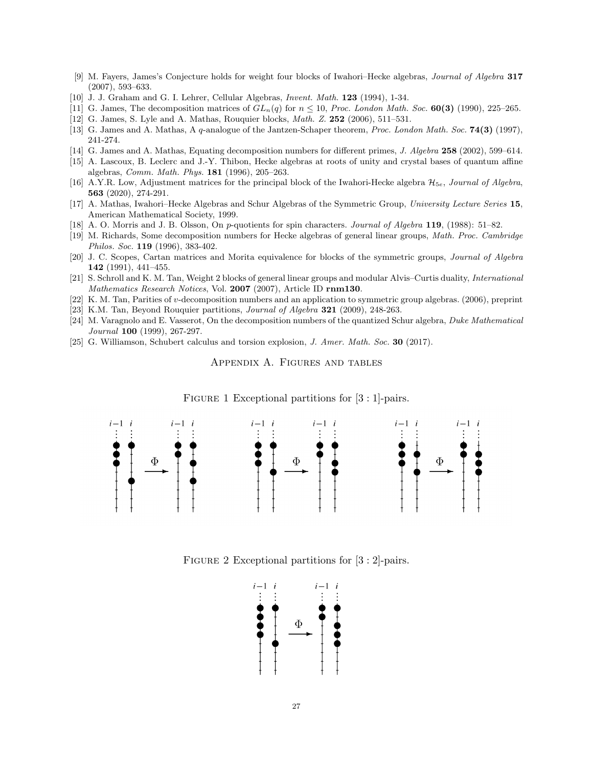- <span id="page-26-4"></span>[9] M. Fayers, James's Conjecture holds for weight four blocks of Iwahori–Hecke algebras, Journal of Algebra 317 (2007), 593–633.
- <span id="page-26-9"></span>[10] J. J. Graham and G. I. Lehrer, Cellular Algebras, Invent. Math. 123 (1994), 1-34.
- <span id="page-26-2"></span>[11] G. James, The decomposition matrices of  $GL_n(q)$  for  $n \le 10$ , Proc. London Math. Soc. **60(3)** (1990), 225–265.
- <span id="page-26-18"></span>[12] G. James, S. Lyle and A. Mathas, Rouquier blocks, Math. Z. 252 (2006), 511–531.
- <span id="page-26-10"></span>[13] G. James and A. Mathas, A q-analogue of the Jantzen-Schaper theorem, Proc. London Math. Soc. 74(3) (1997), 241-274.
- <span id="page-26-14"></span>[14] G. James and A. Mathas, Equating decomposition numbers for different primes, J. Algebra 258 (2002), 599–614.
- <span id="page-26-1"></span>[15] A. Lascoux, B. Leclerc and J.-Y. Thibon, Hecke algebras at roots of unity and crystal bases of quantum affine algebras, Comm. Math. Phys. 181 (1996), 205–263.
- <span id="page-26-5"></span>[16] A.Y.R. Low, Adjustment matrices for the principal block of the Iwahori-Hecke algebra  $\mathcal{H}_{5e}$ , Journal of Algebra, 563 (2020), 274-291.
- <span id="page-26-0"></span>[17] A. Mathas, Iwahori–Hecke Algebras and Schur Algebras of the Symmetric Group, University Lecture Series 15, American Mathematical Society, 1999.
- <span id="page-26-8"></span>[18] A. O. Morris and J. B. Olsson, On p-quotients for spin characters. Journal of Algebra 119, (1988): 51–82.
- <span id="page-26-3"></span>[19] M. Richards, Some decomposition numbers for Hecke algebras of general linear groups, Math. Proc. Cambridge Philos. Soc. 119 (1996), 383-402.
- <span id="page-26-15"></span>[20] J. C. Scopes, Cartan matrices and Morita equivalence for blocks of the symmetric groups, Journal of Algebra 142 (1991), 441–455.
- <span id="page-26-6"></span>[21] S. Schroll and K. M. Tan, Weight 2 blocks of general linear groups and modular Alvis–Curtis duality, International Mathematics Research Notices, Vol. 2007 (2007), Article ID rnm130.
- <span id="page-26-13"></span>[22] K. M. Tan, Parities of v-decomposition numbers and an application to symmetric group algebras. (2006), preprint
- <span id="page-26-11"></span>[23] K.M. Tan, Beyond Rouquier partitions, Journal of Algebra 321 (2009), 248-263.
- <span id="page-26-12"></span>[24] M. Varagnolo and E. Vasserot, On the decomposition numbers of the quantized Schur algebra, Duke Mathematical Journal 100 (1999), 267-297.
- <span id="page-26-16"></span><span id="page-26-7"></span>[25] G. Williamson, Schubert calculus and torsion explosion, J. Amer. Math. Soc. 30 (2017).

Appendix A. Figures and tables



FIGURE 1 Exceptional partitions for  $[3:1]$ -pairs.

<span id="page-26-17"></span>FIGURE 2 Exceptional partitions for [3 : 2]-pairs.

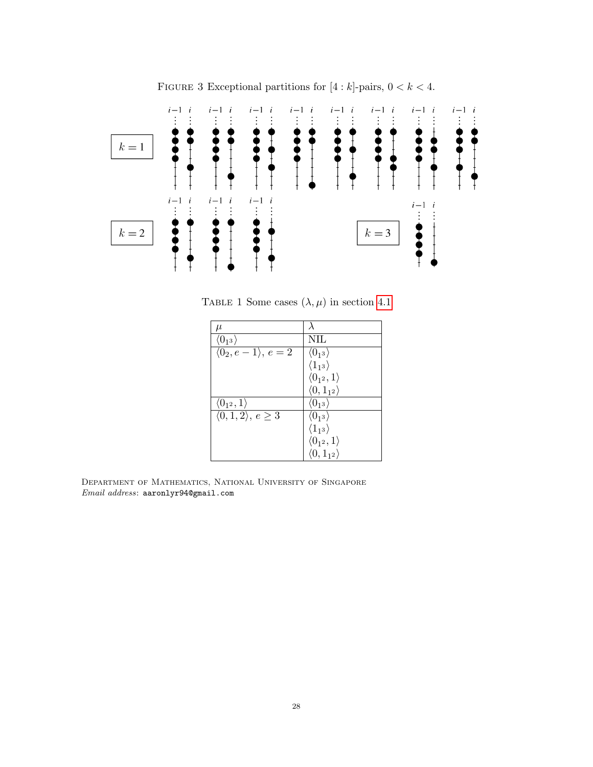<span id="page-27-0"></span>

FIGURE 3 Exceptional partitions for  $[4:k]$ -pairs,  $0 < k < 4$ .

<span id="page-27-1"></span>TABLE 1 Some cases  $(\lambda, \mu)$  in section [4.1](#page-15-2)

| $\mu$                            |                             |
|----------------------------------|-----------------------------|
| $\langle 0_{13} \rangle$         | NIL                         |
| $\langle 0_2, e-1 \rangle, e=2$  | $\langle 0_{13} \rangle$    |
|                                  | $\langle 1_{13} \rangle$    |
|                                  | $\langle 0_{1^2},1\rangle$  |
|                                  | $\langle 0, 1_{12} \rangle$ |
| $\langle 0_{1^2},1\rangle$       | $\langle 0_{13} \rangle$    |
| $\langle 0,1,2\rangle, e \geq 3$ | $\langle 0_{1^3}\rangle$    |
|                                  | $\langle 1_{13} \rangle$    |
|                                  | $\langle 0_{1^2},1\rangle$  |
|                                  | $\langle 0, 1_{12} \rangle$ |

Department of Mathematics, National University of Singapore Email address: aaronlyr94@gmail.com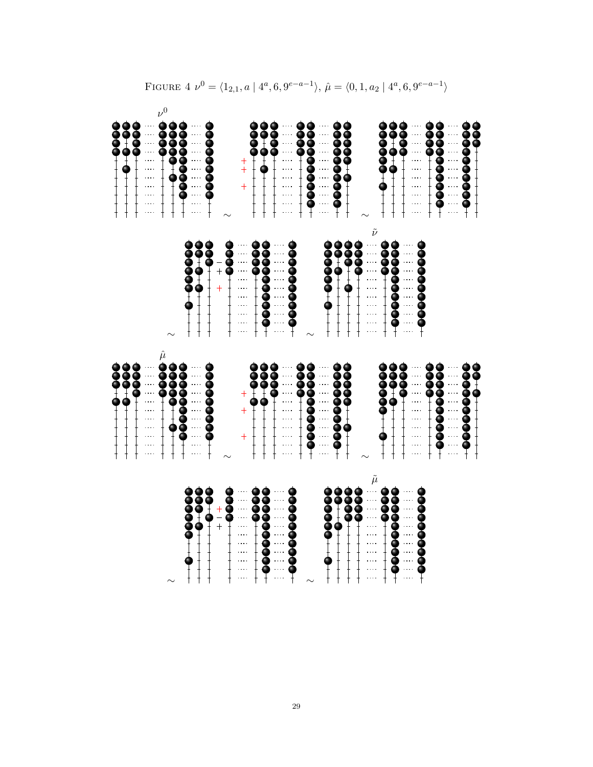<span id="page-28-0"></span>

|                                                                                                                                                                                      | $\frac{1}{1}$                                                                                                                                                                                                    |                                                                                                                                                                                                                                                                                                                                                                                               |                                                                                                                                                                                                                                                                                                                     |
|--------------------------------------------------------------------------------------------------------------------------------------------------------------------------------------|------------------------------------------------------------------------------------------------------------------------------------------------------------------------------------------------------------------|-----------------------------------------------------------------------------------------------------------------------------------------------------------------------------------------------------------------------------------------------------------------------------------------------------------------------------------------------------------------------------------------------|---------------------------------------------------------------------------------------------------------------------------------------------------------------------------------------------------------------------------------------------------------------------------------------------------------------------|
|                                                                                                                                                                                      | $+$ $+$ $+$ $+$ $+$ $+$                                                                                                                                                                                          |                                                                                                                                                                                                                                                                                                                                                                                               |                                                                                                                                                                                                                                                                                                                     |
|                                                                                                                                                                                      | $\begin{array}{c} \begin{array}{c} \begin{array}{c} \begin{array}{c} \end{array} \\ \begin{array}{c} \end{array} \\ \begin{array}{c} \end{array} \end{array} \end{array} \end{array}$                            |                                                                                                                                                                                                                                                                                                                                                                                               | $\frac{1}{1}$                                                                                                                                                                                                                                                                                                       |
|                                                                                                                                                                                      | $\ldots$<br>$\frac{1}{1}$                                                                                                                                                                                        |                                                                                                                                                                                                                                                                                                                                                                                               | $\mathbb{Z}_2^5$                                                                                                                                                                                                                                                                                                    |
|                                                                                                                                                                                      | $\hat{\mu}$<br>8                                                                                                                                                                                                 |                                                                                                                                                                                                                                                                                                                                                                                               | $\nu^0$                                                                                                                                                                                                                                                                                                             |
|                                                                                                                                                                                      | $\begin{array}{c} \begin{array}{c} \text{1} \\ \text{2} \\ \text{3} \\ \text{4} \end{array} \end{array}$                                                                                                         | $\sim$                                                                                                                                                                                                                                                                                                                                                                                        | $\frac{1}{1}$                                                                                                                                                                                                                                                                                                       |
|                                                                                                                                                                                      | Š<br>$\begin{matrix} \bullet \\ \uparrow \end{matrix}$                                                                                                                                                           |                                                                                                                                                                                                                                                                                                                                                                                               | $\frac{1}{1}$                                                                                                                                                                                                                                                                                                       |
| $\frac{1}{2}$                                                                                                                                                                        | $\begin{array}{c} \begin{array}{c} \begin{array}{c} \begin{array}{c} \end{array} \end{array} & \begin{array}{c} \end{array} & \begin{array}{c} \end{array} \end{array} \end{array} \end{array} \end{array}$      | $\bullet$ + $\bullet$ + $\bullet$ + $\bullet$ + $\bullet$ + $\bullet$ + $\bullet$ + $\bullet$ + $\bullet$ + $\bullet$ + $\bullet$ + $\bullet$ + $\bullet$ + $\bullet$ + $\bullet$ + $\bullet$ + $\bullet$ + $\bullet$ + $\bullet$ + $\bullet$ + $\bullet$ + $\bullet$ + $\bullet$ + $\bullet$ + $\bullet$ + $\bullet$ + $\bullet$ + $\bullet$ + $\bullet$ + $\bullet$ + $\bullet$ + $\bullet$ | $\begin{array}{c} \begin{array}{c} \begin{array}{c} \begin{array}{c} \end{array} \end{array} & \begin{array}{c} \end{array} & \begin{array}{c} \end{array} \end{array} \end{array} \end{array}$                                                                                                                     |
|                                                                                                                                                                                      |                                                                                                                                                                                                                  |                                                                                                                                                                                                                                                                                                                                                                                               | $\frac{1}{1}$                                                                                                                                                                                                                                                                                                       |
| $\frac{+}{-}$                                                                                                                                                                        |                                                                                                                                                                                                                  | $-$<br>$\ddot{}$                                                                                                                                                                                                                                                                                                                                                                              |                                                                                                                                                                                                                                                                                                                     |
| <b>SOOO++</b>                                                                                                                                                                        |                                                                                                                                                                                                                  | \$<br><b>8</b>                                                                                                                                                                                                                                                                                                                                                                                |                                                                                                                                                                                                                                                                                                                     |
| $\frac{1}{1}$<br>$\frac{1}{1}$<br>$\frac{1}{1}$<br>$\frac{1}{1}$<br>$\frac{1}{1}$<br>$\frac{1}{1}$                                                                                   |                                                                                                                                                                                                                  | $\frac{1}{1}$<br>$\frac{1}{1}$<br>$\frac{1}{1}$<br>$\frac{1}{1}$<br>$\frac{1}{1}$<br>$\frac{1}{1}$<br>$\frac{1}{1}$                                                                                                                                                                                                                                                                           | $^{+}$<br>$\ddotplus$<br>$+$                                                                                                                                                                                                                                                                                        |
|                                                                                                                                                                                      |                                                                                                                                                                                                                  | $\frac{1}{2}$                                                                                                                                                                                                                                                                                                                                                                                 | $\begin{array}{c} \begin{array}{c} \uparrow \\ \uparrow \end{array} \end{array}$                                                                                                                                                                                                                                    |
|                                                                                                                                                                                      | $\begin{array}{c} \bullet \\ \bullet \\ \bullet \\ \bullet \\ \bullet \\ \bullet \end{array}$                                                                                                                    | --00000000-                                                                                                                                                                                                                                                                                                                                                                                   | $\frac{1}{4}$                                                                                                                                                                                                                                                                                                       |
|                                                                                                                                                                                      |                                                                                                                                                                                                                  |                                                                                                                                                                                                                                                                                                                                                                                               | $\frac{1}{1}$                                                                                                                                                                                                                                                                                                       |
|                                                                                                                                                                                      | $\cdots$                                                                                                                                                                                                         | $\begin{array}{c} \begin{array}{c} \begin{array}{c} \begin{array}{c} \end{array} \end{array} & \begin{array}{c} \end{array} & \begin{array}{c} \end{array} \end{array} \end{array} \end{array}$                                                                                                                                                                                               | $\frac{1}{1}$<br>$\frac{1}{10}$                                                                                                                                                                                                                                                                                     |
|                                                                                                                                                                                      |                                                                                                                                                                                                                  |                                                                                                                                                                                                                                                                                                                                                                                               |                                                                                                                                                                                                                                                                                                                     |
|                                                                                                                                                                                      | ě<br>9<br>$\begin{array}{c} \begin{array}{c} \begin{array}{c} \begin{array}{c} \end{array} \\ \begin{array}{c} \end{array} \\ \begin{array}{c} \end{array} \end{array} \end{array} \end{array}$<br>$\frac{9}{1}$ | $\sim$                                                                                                                                                                                                                                                                                                                                                                                        | <b>99</b><br>$\frac{1}{1}$                                                                                                                                                                                                                                                                                          |
|                                                                                                                                                                                      |                                                                                                                                                                                                                  |                                                                                                                                                                                                                                                                                                                                                                                               |                                                                                                                                                                                                                                                                                                                     |
|                                                                                                                                                                                      |                                                                                                                                                                                                                  | 8                                                                                                                                                                                                                                                                                                                                                                                             | $\frac{1}{1}$ $\frac{1}{1}$ $\frac{1}{1}$ $\frac{1}{1}$ $\frac{1}{1}$ $\frac{1}{1}$ $\frac{1}{1}$ $\frac{1}{1}$ $\frac{1}{1}$ $\frac{1}{1}$ $\frac{1}{1}$ $\frac{1}{1}$ $\frac{1}{1}$ $\frac{1}{1}$ $\frac{1}{1}$ $\frac{1}{1}$ $\frac{1}{1}$ $\frac{1}{1}$ $\frac{1}{1}$ $\frac{1}{1}$ $\frac{1}{1}$ $\frac{1}{1}$ |
|                                                                                                                                                                                      | 8<br>--000000-                                                                                                                                                                                                   |                                                                                                                                                                                                                                                                                                                                                                                               | <b>99900+</b>                                                                                                                                                                                                                                                                                                       |
|                                                                                                                                                                                      | $\begin{array}{c} \begin{array}{c} \uparrow \\ \downarrow \\ \downarrow \end{array} \end{array}$                                                                                                                 |                                                                                                                                                                                                                                                                                                                                                                                               | $\frac{1}{\sqrt{1}}$                                                                                                                                                                                                                                                                                                |
| e<br>Po<br>$\begin{array}{c} \begin{array}{c} \begin{array}{c} \begin{array}{c} \end{array} \\ \begin{array}{c} \end{array} \\ \begin{array}{c} \end{array} \end{array} \end{array}$ |                                                                                                                                                                                                                  |                                                                                                                                                                                                                                                                                                                                                                                               |                                                                                                                                                                                                                                                                                                                     |
| $\tilde{\mu}$<br>$\cdots$<br>$\begin{array}{l} \ldots \\ \ldots \\ \ldots \\ \ldots \\ \ldots \\ \ldots \\ \ldots \\ \ldots \\ \ldots \\ \ldots \end{array}$                         | $\sim$                                                                                                                                                                                                           | $\tilde{\nu}$<br>$\sim$ $\sim$ $\sim$<br>$\cdots$<br>$\frac{1}{1}$ $\frac{1}{1}$ $\frac{1}{1}$ $\frac{1}{1}$ $\frac{1}{1}$ $\frac{1}{1}$ $\frac{1}{1}$ $\frac{1}{1}$ $\frac{1}{1}$ $\frac{1}{1}$ $\frac{1}{1}$ $\frac{1}{1}$                                                                                                                                                                  | $\sim$                                                                                                                                                                                                                                                                                                              |
|                                                                                                                                                                                      | <b>90++0+++</b>                                                                                                                                                                                                  |                                                                                                                                                                                                                                                                                                                                                                                               | $\frac{1}{2}$                                                                                                                                                                                                                                                                                                       |
| \$<br>0000000<br>$\tilde{\P}$                                                                                                                                                        | $\begin{array}{c}\n\bullet \\ \bullet \\ \bullet \\ \bullet \\ \bullet \\ \bullet \\ \bullet \\ \bullet\n\end{array}$                                                                                            | <b>99</b><br>$-0000000$                                                                                                                                                                                                                                                                                                                                                                       | -<br> -<br> -<br> -                                                                                                                                                                                                                                                                                                 |
| $\frac{1}{2}$                                                                                                                                                                        |                                                                                                                                                                                                                  |                                                                                                                                                                                                                                                                                                                                                                                               |                                                                                                                                                                                                                                                                                                                     |
| 000000000                                                                                                                                                                            |                                                                                                                                                                                                                  |                                                                                                                                                                                                                                                                                                                                                                                               |                                                                                                                                                                                                                                                                                                                     |
| Ŧ                                                                                                                                                                                    |                                                                                                                                                                                                                  |                                                                                                                                                                                                                                                                                                                                                                                               |                                                                                                                                                                                                                                                                                                                     |
|                                                                                                                                                                                      | 0000000                                                                                                                                                                                                          |                                                                                                                                                                                                                                                                                                                                                                                               | Ŧ                                                                                                                                                                                                                                                                                                                   |
|                                                                                                                                                                                      | $\cdots$                                                                                                                                                                                                         |                                                                                                                                                                                                                                                                                                                                                                                               |                                                                                                                                                                                                                                                                                                                     |
|                                                                                                                                                                                      | Ŧ                                                                                                                                                                                                                |                                                                                                                                                                                                                                                                                                                                                                                               | 00000+                                                                                                                                                                                                                                                                                                              |
|                                                                                                                                                                                      |                                                                                                                                                                                                                  |                                                                                                                                                                                                                                                                                                                                                                                               |                                                                                                                                                                                                                                                                                                                     |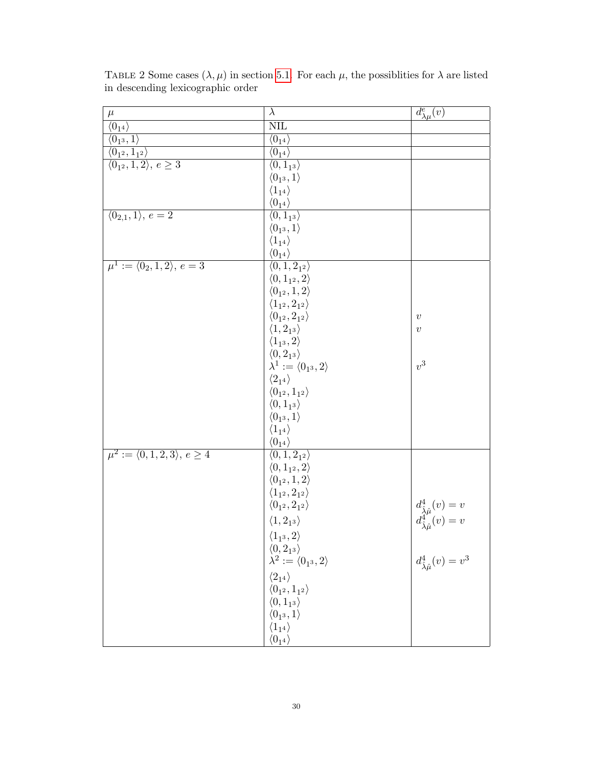| $\mu$                                          | $\lambda$                                                  | $d^e_{\lambda\mu}(v)$                                                                                |
|------------------------------------------------|------------------------------------------------------------|------------------------------------------------------------------------------------------------------|
| $\overline{\langle 0_{14} \rangle}$            | $\overline{\text{NIL}}$                                    |                                                                                                      |
| $\langle 0_1$ <sub>3</sub> , 1)                | $\langle 0_{14} \rangle$                                   |                                                                                                      |
| $\langle 0_{1^2}, 1_{1^2} \rangle$             | $\langle 0_{14} \rangle$                                   |                                                                                                      |
| $\langle 0_1, 1, 2 \rangle, e \geq 3$          | $\overline{\langle 0, 1_{1^3} \rangle}$                    |                                                                                                      |
|                                                | $\langle 0_{13}, 1 \rangle$                                |                                                                                                      |
|                                                | $\langle 1_{1^4}\rangle$                                   |                                                                                                      |
|                                                | $\langle 0_{14} \rangle$                                   |                                                                                                      |
| $\langle 0_{2,1}, 1 \rangle, e = 2$            | $\overline{\langle 0,1_{1^3}\rangle}$                      |                                                                                                      |
|                                                | $\langle 0_1, 1 \rangle$                                   |                                                                                                      |
|                                                | $\langle 1_{14} \rangle$                                   |                                                                                                      |
|                                                | $\langle 0_{14} \rangle$                                   |                                                                                                      |
| $\mu^1 := \langle 0_2, 1, 2 \rangle, e = 3$    | $\langle 0, 1, 2_{12} \rangle$                             |                                                                                                      |
|                                                | $\langle 0, 1_{1^2}, 2 \rangle$                            |                                                                                                      |
|                                                | $\langle 0_{1^2},1,2\rangle$                               |                                                                                                      |
|                                                | $\langle 1_{1^2}, 2_{1^2}\rangle$                          |                                                                                                      |
|                                                | $\langle0_{1^2},2_{1^2}\rangle$                            | $\boldsymbol{v}$                                                                                     |
|                                                | $\langle 1, 2_{1^3}\rangle$                                | $\boldsymbol{v}$                                                                                     |
|                                                |                                                            |                                                                                                      |
|                                                | $\langle 1_{1^3}, 2 \rangle \\ \langle 0, 2_{1^3} \rangle$ |                                                                                                      |
|                                                | $\lambda^1 := \langle 0_{1^3}, 2 \rangle$                  | $v^3$                                                                                                |
|                                                | $\langle 2_{14} \rangle$                                   |                                                                                                      |
|                                                | $\langle 0_{1^2}, 1_{1^2} \rangle$                         |                                                                                                      |
|                                                | $\langle 0, 1_{13} \rangle$                                |                                                                                                      |
|                                                | $\langle 0_1, 1 \rangle$                                   |                                                                                                      |
|                                                | $\langle 1_{14} \rangle$                                   |                                                                                                      |
|                                                | $\langle 0_{1^4}\rangle$                                   |                                                                                                      |
| $\mu^2 := \langle 0, 1, 2, 3 \rangle, e \ge 4$ | $\overline{\langle 0,1,2_{1^2}\rangle}$                    |                                                                                                      |
|                                                | $\langle 0, 1_{1^2}, 2 \rangle$                            |                                                                                                      |
|                                                | $\langle 0_{1^2}, 1, 2 \rangle$                            |                                                                                                      |
|                                                | $\langle 1_{1^2}, 2_{1^2} \rangle$                         |                                                                                                      |
|                                                | $\langle0_{1^2},2_{1^2}\rangle$                            | $\begin{array}{c} d^4_{\hat{\lambda}\hat{\mu}}(v)=v\\ d^4_{\hat{\lambda}\hat{\mu}}(v)=v \end{array}$ |
|                                                | $\langle 1, 2_{13} \rangle$                                |                                                                                                      |
|                                                | $\langle 1_{1^3}, 2 \rangle$                               |                                                                                                      |
|                                                | $\langle 0, 2_{13} \rangle$                                |                                                                                                      |
|                                                | $\lambda^2:=\langle 0_{1^3},2\rangle$                      | $d^4_{\hat{\lambda}\hat{\mu}}(v) = v^3$                                                              |
|                                                |                                                            |                                                                                                      |
|                                                | $\langle 2_{14} \rangle$                                   |                                                                                                      |
|                                                | $\langle 0_{1^2}, 1_{1^2} \rangle$                         |                                                                                                      |
|                                                | $\langle 0, 1_{13} \rangle$                                |                                                                                                      |
|                                                | $\langle 0_1, 1 \rangle$                                   |                                                                                                      |
|                                                | $\langle 1_{14} \rangle$                                   |                                                                                                      |
|                                                | $\langle 0_{14} \rangle$                                   |                                                                                                      |

<span id="page-29-0"></span>TABLE 2 Some cases  $(\lambda, \mu)$  in section [5.1.](#page-17-1) For each  $\mu$ , the possiblities for  $\lambda$  are listed in descending lexicographic order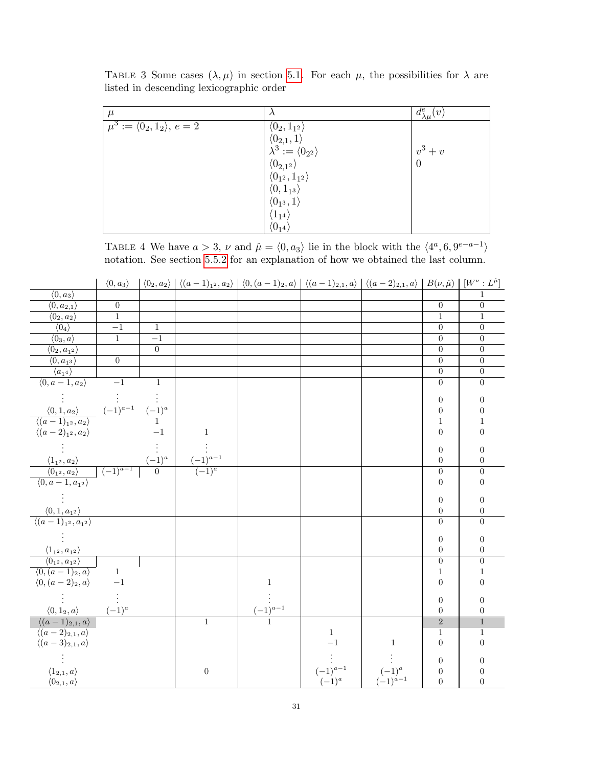| $\mu$                                      |                                                                                             | $d^e_{\lambda\mu}(v)$ |
|--------------------------------------------|---------------------------------------------------------------------------------------------|-----------------------|
| $\mu^3 := \langle 0_2, 1_2 \rangle, e = 2$ | $\langle 0_2, 1_{1^2} \rangle$                                                              |                       |
|                                            | $\begin{array}{c} \langle 0_{2,1},1\rangle\\ \lambda^3:=\langle 0_{2^2}\rangle \end{array}$ |                       |
|                                            |                                                                                             | $v^3+v$               |
|                                            | $\langle 0_{2,1^2} \rangle$<br>$\langle 0_{1^2}, 1_{1^2} \rangle$                           | $\overline{0}$        |
|                                            |                                                                                             |                       |
|                                            | $\langle 0, 1_{13} \rangle$                                                                 |                       |
|                                            | $\langle 0_1, 1 \rangle$                                                                    |                       |
|                                            | $\langle 1_{14} \rangle$                                                                    |                       |
|                                            | $\langle 0_{14} \rangle$                                                                    |                       |

<span id="page-30-0"></span>TABLE 3 Some cases  $(\lambda, \mu)$  in section [5.1.](#page-17-1) For each  $\mu$ , the possibilities for  $\lambda$  are listed in descending lexicographic order

<span id="page-30-1"></span>TABLE 4 We have  $a > 3$ ,  $\nu$  and  $\hat{\mu} = \langle 0, a_3 \rangle$  lie in the block with the  $\langle 4^a, 6, 9^{e-a-1} \rangle$ notation. See section [5.5.2](#page-23-0) for an explanation of how we obtained the last column.

|                                                                                                                                            | $\langle 0, a_3 \rangle$        |                    | $\langle 0_2, a_2 \rangle   \langle (a-1)_{1^2}, a_2 \rangle   \langle 0, (a-1)_{2}, a \rangle   \langle (a-1)_{2,1}, a \rangle   \langle (a-2)_{2,1}, a \rangle   B(\nu, \hat{\mu})   [W^{\nu} : L^{\hat{\mu}}]$ |              |              |                                                     |                  |                  |
|--------------------------------------------------------------------------------------------------------------------------------------------|---------------------------------|--------------------|-------------------------------------------------------------------------------------------------------------------------------------------------------------------------------------------------------------------|--------------|--------------|-----------------------------------------------------|------------------|------------------|
| $\langle 0, a_3 \rangle$                                                                                                                   |                                 |                    |                                                                                                                                                                                                                   |              |              |                                                     |                  | 1                |
| $\langle 0, a_{2,1}\rangle$                                                                                                                | $\boldsymbol{0}$                |                    |                                                                                                                                                                                                                   |              |              |                                                     | $\overline{0}$   | $\overline{0}$   |
| $\langle 0_2, a_2 \rangle$                                                                                                                 | $\overline{1}$                  |                    |                                                                                                                                                                                                                   |              |              |                                                     | $\mathbf{1}$     | $\mathbf{1}$     |
| $\langle 0_4 \rangle$                                                                                                                      | $-1$                            | $\mathbf{1}$       |                                                                                                                                                                                                                   |              |              |                                                     | $\boldsymbol{0}$ | $\overline{0}$   |
| $\langle 0_3, a \rangle$                                                                                                                   | $\overline{1}$                  | $-1$               |                                                                                                                                                                                                                   |              |              |                                                     | $\boldsymbol{0}$ | $\overline{0}$   |
| $\langle 0_2, a_{12} \rangle$                                                                                                              |                                 | $\overline{0}$     |                                                                                                                                                                                                                   |              |              |                                                     | $\boldsymbol{0}$ | $\boldsymbol{0}$ |
| $\langle 0, a_{13} \rangle$                                                                                                                | $\overline{0}$                  |                    |                                                                                                                                                                                                                   |              |              |                                                     | $\boldsymbol{0}$ | $\boldsymbol{0}$ |
| $\langle a_{14} \rangle$                                                                                                                   |                                 |                    |                                                                                                                                                                                                                   |              |              |                                                     | $\overline{0}$   | $\overline{0}$   |
| $\langle 0, a-1, a_2 \rangle$                                                                                                              | $-1$                            | $\mathbf{1}$       |                                                                                                                                                                                                                   |              |              |                                                     | $\boldsymbol{0}$ | $\overline{0}$   |
|                                                                                                                                            |                                 |                    |                                                                                                                                                                                                                   |              |              |                                                     | $\boldsymbol{0}$ | $\boldsymbol{0}$ |
| $\frac{\langle 0,1,a_2 \rangle}{\langle (a-1)_{1^2},a_2 \rangle}$                                                                          | $(-1)^{a-1}$                    | $\frac{(-1)^a}{1}$ |                                                                                                                                                                                                                   |              |              |                                                     | $\boldsymbol{0}$ | $\boldsymbol{0}$ |
|                                                                                                                                            |                                 |                    |                                                                                                                                                                                                                   |              |              |                                                     | $\,1\,$          | $\overline{1}$   |
| $\langle (a-2)_{1^2}, a_2 \rangle$                                                                                                         |                                 | $-1$               | $\mathbf{1}$                                                                                                                                                                                                      |              |              |                                                     | $\boldsymbol{0}$ | $\boldsymbol{0}$ |
|                                                                                                                                            |                                 |                    |                                                                                                                                                                                                                   |              |              |                                                     | $\boldsymbol{0}$ | $\boldsymbol{0}$ |
|                                                                                                                                            |                                 | $\frac{(-1)^a}{0}$ | $\frac{(-1)^{a-1}}{a}$                                                                                                                                                                                            |              |              |                                                     | $\boldsymbol{0}$ | $\boldsymbol{0}$ |
|                                                                                                                                            | $\frac{(-1)^{a-1}}{(-1)^{a-1}}$ |                    | $(-1)^a$                                                                                                                                                                                                          |              |              |                                                     | $\overline{0}$   | $\overline{0}$   |
| $\frac{\langle 1_{1^2},a_2 \rangle}{\langle 0_{1^2},a_2 \rangle} \over \langle 0,a-1,a_{1^2} \rangle}$                                     |                                 |                    |                                                                                                                                                                                                                   |              |              |                                                     | $\boldsymbol{0}$ | $\overline{0}$   |
|                                                                                                                                            |                                 |                    |                                                                                                                                                                                                                   |              |              |                                                     | $\boldsymbol{0}$ | $\boldsymbol{0}$ |
|                                                                                                                                            |                                 |                    |                                                                                                                                                                                                                   |              |              |                                                     | $\boldsymbol{0}$ | $\boldsymbol{0}$ |
| $\frac{\langle 0,1,a_{1^2}\rangle}{\langle (a-1)_{1^2},a_{1^2}\rangle}$                                                                    |                                 |                    |                                                                                                                                                                                                                   |              |              |                                                     | $\overline{0}$   | $\boldsymbol{0}$ |
|                                                                                                                                            |                                 |                    |                                                                                                                                                                                                                   |              |              |                                                     |                  |                  |
|                                                                                                                                            |                                 |                    |                                                                                                                                                                                                                   |              |              |                                                     | $\boldsymbol{0}$ | $\boldsymbol{0}$ |
| $\frac{\langle 1_{1^2},a_{1^2}\rangle}{\langle 0_{1^2},a_{1^2}\rangle}$<br>$\frac{\langle 0,(a-1)_2,a\rangle}{\langle 0,(a-1)_2,a\rangle}$ |                                 |                    |                                                                                                                                                                                                                   |              |              |                                                     | $\boldsymbol{0}$ | $\boldsymbol{0}$ |
|                                                                                                                                            |                                 |                    |                                                                                                                                                                                                                   |              |              |                                                     | $\boldsymbol{0}$ | $\overline{0}$   |
|                                                                                                                                            | $\overline{1}$                  |                    |                                                                                                                                                                                                                   |              |              |                                                     | $\overline{1}$   | $\overline{1}$   |
| $\langle 0, (a-2)_2, a \rangle$                                                                                                            | $-1$                            |                    |                                                                                                                                                                                                                   | $\,1\,$      |              |                                                     | $\boldsymbol{0}$ | $\boldsymbol{0}$ |
|                                                                                                                                            |                                 |                    |                                                                                                                                                                                                                   |              |              |                                                     | $\boldsymbol{0}$ | $\boldsymbol{0}$ |
| $\langle 0, 1_2, a \rangle$                                                                                                                | $(-1)^a$                        |                    |                                                                                                                                                                                                                   | $(-1)^{a-1}$ |              |                                                     | $\boldsymbol{0}$ | $\boldsymbol{0}$ |
| $\langle (a-1)_{2,1}, a \rangle$                                                                                                           |                                 |                    | $\mathbf{1}$                                                                                                                                                                                                      |              |              |                                                     | $\overline{2}$   | $\overline{1}$   |
| $\overline{\langle (a-2)_{2,1},a\rangle}$                                                                                                  |                                 |                    |                                                                                                                                                                                                                   |              | $\,1$        |                                                     | $\mathbf{1}$     | $\mathbf{1}$     |
| $\langle (a-3)_{2,1}, a \rangle$                                                                                                           |                                 |                    |                                                                                                                                                                                                                   |              | $-1$         | $\mathbf{1}$                                        | $\boldsymbol{0}$ | $\boldsymbol{0}$ |
|                                                                                                                                            |                                 |                    |                                                                                                                                                                                                                   |              |              |                                                     | $\boldsymbol{0}$ | $\boldsymbol{0}$ |
| $\langle 1_{2,1},a\rangle$                                                                                                                 |                                 |                    | $\boldsymbol{0}$                                                                                                                                                                                                  |              | $(-1)^{a-1}$ |                                                     | $\boldsymbol{0}$ | $\overline{0}$   |
| $\langle 0_{2,1},a\rangle$                                                                                                                 |                                 |                    |                                                                                                                                                                                                                   |              | $(-1)^{a}$   | $\begin{array}{c}\n(-1)^a\\(-1)^{a-1}\n\end{array}$ | $\boldsymbol{0}$ | $\boldsymbol{0}$ |
|                                                                                                                                            |                                 |                    |                                                                                                                                                                                                                   |              |              |                                                     |                  |                  |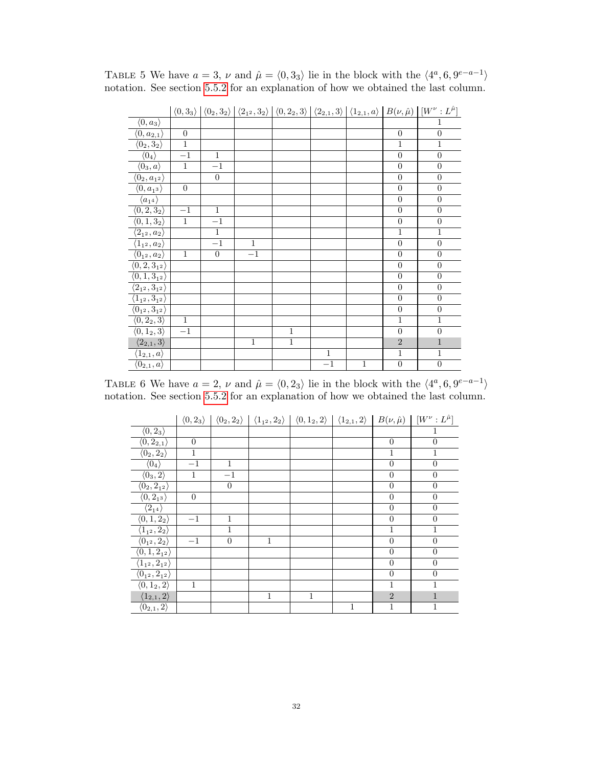|                                             |                  |                  |                |                |              |         |                  | $\langle 0,3_3\rangle   0,3_2\rangle   0,2_1,3_2\rangle   0,2_2,3\rangle   0,2_2,3\rangle   0,2_1,3\rangle   0,1_2,1\rangle   B(\nu,\hat{\mu})   [W^{\nu}:L^{\hat{\mu}}]$ |
|---------------------------------------------|------------------|------------------|----------------|----------------|--------------|---------|------------------|---------------------------------------------------------------------------------------------------------------------------------------------------------------------------|
| $\langle 0, a_3 \rangle$                    |                  |                  |                |                |              |         |                  | 1                                                                                                                                                                         |
| $\langle 0, a_{2,1}\rangle$                 | $\boldsymbol{0}$ |                  |                |                |              |         | $\overline{0}$   | $\overline{0}$                                                                                                                                                            |
| $\overline{\langle 0_2, 3_2 \rangle}$       | $\overline{1}$   |                  |                |                |              |         | 1                | $\mathbf{1}$                                                                                                                                                              |
| $\langle 0_4 \rangle$                       | $-1$             | $\mathbf{1}$     |                |                |              |         | $\overline{0}$   | $\boldsymbol{0}$                                                                                                                                                          |
| $\langle0_3,a\rangle$                       | $\mathbf{1}$     | $-1$             |                |                |              |         | $\overline{0}$   | $\boldsymbol{0}$                                                                                                                                                          |
| $\langle 0_2, a_{1^2}\rangle$               |                  | $\boldsymbol{0}$ |                |                |              |         | $\boldsymbol{0}$ | $\overline{0}$                                                                                                                                                            |
| $\langle 0, a_{1^3}\rangle$                 | $\overline{0}$   |                  |                |                |              |         | $\overline{0}$   | $\overline{0}$                                                                                                                                                            |
| $\langle a_{14}\rangle$                     |                  |                  |                |                |              |         | $\boldsymbol{0}$ | $\boldsymbol{0}$                                                                                                                                                          |
| $\langle 0, 2, 3_2 \rangle$                 | $-1$             | $\mathbf{1}$     |                |                |              |         | $\overline{0}$   | $\overline{0}$                                                                                                                                                            |
| $\langle 0, 1, 3_2 \rangle$                 | $\mathbf{1}$     | $-1$             |                |                |              |         | $\overline{0}$   | $\boldsymbol{0}$                                                                                                                                                          |
| $\langle 2_{1^2},a_2\rangle$                |                  | $\overline{1}$   |                |                |              |         | $\mathbf{1}$     | $\mathbf{1}$                                                                                                                                                              |
| $\langle 1_{1^2},a_2\rangle$                |                  | $-1$             | $\mathbf{1}$   |                |              |         | $\boldsymbol{0}$ | $\boldsymbol{0}$                                                                                                                                                          |
| $\langle 0_{1^2},a_2\rangle$                | $\mathbf{1}$     | $\boldsymbol{0}$ | $-1$           |                |              |         | $\boldsymbol{0}$ | $\boldsymbol{0}$                                                                                                                                                          |
| $\langle 0,2,3_{12}\rangle$                 |                  |                  |                |                |              |         | $\overline{0}$   | $\overline{0}$                                                                                                                                                            |
| $\langle 0, 1, 3_{12} \rangle$              |                  |                  |                |                |              |         | $\boldsymbol{0}$ | $\boldsymbol{0}$                                                                                                                                                          |
| $\langle 2_{1^2}, 3_{1^2} \rangle$          |                  |                  |                |                |              |         | $\overline{0}$   | $\overline{0}$                                                                                                                                                            |
| $\overline{\langle 1_{1^2},3_{1^2}\rangle}$ |                  |                  |                |                |              |         | $\overline{0}$   | $\boldsymbol{0}$                                                                                                                                                          |
| $\langle 0_{1^2}, 3_{1^2}\rangle$           |                  |                  |                |                |              |         | $\overline{0}$   | $\overline{0}$                                                                                                                                                            |
| $\langle 0, 2_2, 3 \rangle$                 | $\mathbf{1}$     |                  |                |                |              |         | $\mathbf{1}$     | $\mathbf{1}$                                                                                                                                                              |
| $\langle 0, 1_2, 3 \rangle$                 | $-1$             |                  |                | $\mathbf{1}$   |              |         | $\overline{0}$   | $\overline{0}$                                                                                                                                                            |
| $\langle 2_{2,1},3 \rangle$                 |                  |                  | $\overline{1}$ | $\overline{1}$ |              |         | $\sqrt{2}$       | $\mathbf{1}$                                                                                                                                                              |
| $\langle 1_{2,1},a\rangle$                  |                  |                  |                |                | $\mathbf{1}$ |         | $\mathbf{1}$     | $\mathbf 1$                                                                                                                                                               |
| $\langle 0_{2,1},a\rangle$                  |                  |                  |                |                | $-1$         | $\,1\,$ | $\boldsymbol{0}$ | $\overline{0}$                                                                                                                                                            |

<span id="page-31-0"></span>TABLE 5 We have  $a = 3$ ,  $\nu$  and  $\hat{\mu} = \langle 0, 3_3 \rangle$  lie in the block with the  $\langle 4^a, 6, 9^{e-a-1} \rangle$ notation. See section [5.5.2](#page-23-0) for an explanation of how we obtained the last column.

<span id="page-31-1"></span>TABLE 6 We have  $a = 2$ ,  $\nu$  and  $\hat{\mu} = \langle 0, 2_3 \rangle$  lie in the block with the  $\langle 4^a, 6, 9^{e-a-1} \rangle$ notation. See section [5.5.2](#page-23-0) for an explanation of how we obtained the last column.

|                                       |                  |                |              | $\langle 0, 2_3 \rangle   \langle 0_2, 2_2 \rangle   \langle 1_{12}, 2_2 \rangle   \langle 0, 1_2, 2 \rangle   \langle 1_{2,1}, 2 \rangle  $ |   |                  | $B(\nu,\hat{\mu}) \mid [W^{\nu}:L^{\hat{\mu}}]$ |
|---------------------------------------|------------------|----------------|--------------|----------------------------------------------------------------------------------------------------------------------------------------------|---|------------------|-------------------------------------------------|
| $\langle 0, 2_3 \rangle$              |                  |                |              |                                                                                                                                              |   |                  | 1                                               |
| $\overline{\langle 0,2_{2,1}\rangle}$ | $\boldsymbol{0}$ |                |              |                                                                                                                                              |   | $\overline{0}$   | $\Omega$                                        |
| $\overline{\langle0_2,2_2\rangle}$    | $\mathbf{1}$     |                |              |                                                                                                                                              |   | $\mathbf{1}$     | 1                                               |
| $\langle 0_4 \rangle$                 | $^{-1}$          | 1              |              |                                                                                                                                              |   | $\boldsymbol{0}$ | $\overline{0}$                                  |
| $\langle 0_3, 2 \rangle$              | 1                | $^{-1}$        |              |                                                                                                                                              |   | $\boldsymbol{0}$ | $\overline{0}$                                  |
| $\langle 0_2, 2_{1^2}\rangle$         |                  | $\overline{0}$ |              |                                                                                                                                              |   | $\boldsymbol{0}$ | $\overline{0}$                                  |
| $\langle 0, 2_{13} \rangle$           | $\boldsymbol{0}$ |                |              |                                                                                                                                              |   | $\overline{0}$   | $\overline{0}$                                  |
| $\langle 2_{14} \rangle$              |                  |                |              |                                                                                                                                              |   | $\overline{0}$   | $\overline{0}$                                  |
| $\langle 0, 1, 2_2 \rangle$           | $-1$             | $\mathbf{1}$   |              |                                                                                                                                              |   | $\overline{0}$   | $\theta$                                        |
| $\langle 1_{1^2}, 2_2 \rangle$        |                  | 1              |              |                                                                                                                                              |   | 1                | 1                                               |
| $\langle 0_{12}, 2_2 \rangle$         | $^{-1}$          | $\overline{0}$ | 1            |                                                                                                                                              |   | $\overline{0}$   | $\theta$                                        |
| $\langle 0, 1, 2_{1^2} \rangle$       |                  |                |              |                                                                                                                                              |   | $\overline{0}$   | $\overline{0}$                                  |
| $\langle 1_{1^2}, 2_{1^2} \rangle$    |                  |                |              |                                                                                                                                              |   | $\overline{0}$   | $\theta$                                        |
| $\langle 0_{1^2}, 2_{1^2}\rangle$     |                  |                |              |                                                                                                                                              |   | $\overline{0}$   | $\theta$                                        |
| $\langle 0, 1_2, 2 \rangle$           | $\mathbf{1}$     |                |              |                                                                                                                                              |   | $\mathbf{1}$     | $\mathbf{1}$                                    |
| $\langle 1_{2,1},2\rangle$            |                  |                | $\mathbf{1}$ | 1                                                                                                                                            |   | $\overline{2}$   | $\mathbf{1}$                                    |
| $\langle 0_{2,1},2\rangle$            |                  |                |              |                                                                                                                                              | 1 | $\mathbf{1}$     | $\overline{1}$                                  |